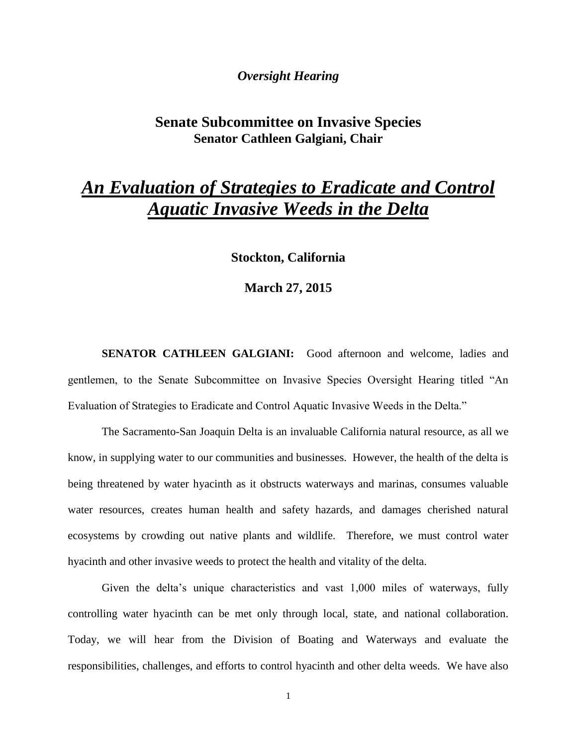### *Oversight Hearing*

## **Senate Subcommittee on Invasive Species Senator Cathleen Galgiani, Chair**

# *An Evaluation of Strategies to Eradicate and Control Aquatic Invasive Weeds in the Delta*

**Stockton, California**

#### **March 27, 2015**

**SENATOR CATHLEEN GALGIANI:** Good afternoon and welcome, ladies and gentlemen, to the Senate Subcommittee on Invasive Species Oversight Hearing titled "An Evaluation of Strategies to Eradicate and Control Aquatic Invasive Weeds in the Delta."

The Sacramento-San Joaquin Delta is an invaluable California natural resource, as all we know, in supplying water to our communities and businesses. However, the health of the delta is being threatened by water hyacinth as it obstructs waterways and marinas, consumes valuable water resources, creates human health and safety hazards, and damages cherished natural ecosystems by crowding out native plants and wildlife. Therefore, we must control water hyacinth and other invasive weeds to protect the health and vitality of the delta.

Given the delta's unique characteristics and vast 1,000 miles of waterways, fully controlling water hyacinth can be met only through local, state, and national collaboration. Today, we will hear from the Division of Boating and Waterways and evaluate the responsibilities, challenges, and efforts to control hyacinth and other delta weeds. We have also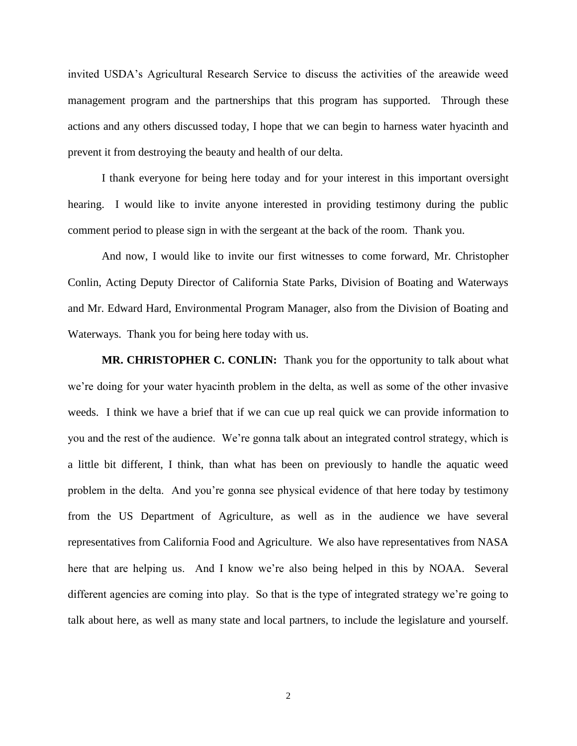invited USDA's Agricultural Research Service to discuss the activities of the areawide weed management program and the partnerships that this program has supported. Through these actions and any others discussed today, I hope that we can begin to harness water hyacinth and prevent it from destroying the beauty and health of our delta.

I thank everyone for being here today and for your interest in this important oversight hearing. I would like to invite anyone interested in providing testimony during the public comment period to please sign in with the sergeant at the back of the room. Thank you.

And now, I would like to invite our first witnesses to come forward, Mr. Christopher Conlin, Acting Deputy Director of California State Parks, Division of Boating and Waterways and Mr. Edward Hard, Environmental Program Manager, also from the Division of Boating and Waterways. Thank you for being here today with us.

**MR. CHRISTOPHER C. CONLIN:** Thank you for the opportunity to talk about what we're doing for your water hyacinth problem in the delta, as well as some of the other invasive weeds. I think we have a brief that if we can cue up real quick we can provide information to you and the rest of the audience. We're gonna talk about an integrated control strategy, which is a little bit different, I think, than what has been on previously to handle the aquatic weed problem in the delta. And you're gonna see physical evidence of that here today by testimony from the US Department of Agriculture, as well as in the audience we have several representatives from California Food and Agriculture. We also have representatives from NASA here that are helping us. And I know we're also being helped in this by NOAA. Several different agencies are coming into play. So that is the type of integrated strategy we're going to talk about here, as well as many state and local partners, to include the legislature and yourself.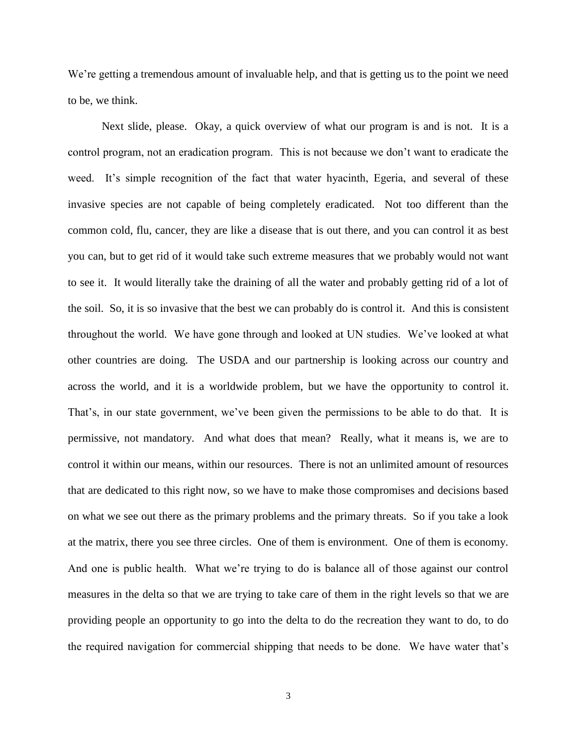We're getting a tremendous amount of invaluable help, and that is getting us to the point we need to be, we think.

Next slide, please. Okay, a quick overview of what our program is and is not. It is a control program, not an eradication program. This is not because we don't want to eradicate the weed. It's simple recognition of the fact that water hyacinth, Egeria, and several of these invasive species are not capable of being completely eradicated. Not too different than the common cold, flu, cancer, they are like a disease that is out there, and you can control it as best you can, but to get rid of it would take such extreme measures that we probably would not want to see it. It would literally take the draining of all the water and probably getting rid of a lot of the soil. So, it is so invasive that the best we can probably do is control it. And this is consistent throughout the world. We have gone through and looked at UN studies. We've looked at what other countries are doing. The USDA and our partnership is looking across our country and across the world, and it is a worldwide problem, but we have the opportunity to control it. That's, in our state government, we've been given the permissions to be able to do that. It is permissive, not mandatory. And what does that mean? Really, what it means is, we are to control it within our means, within our resources. There is not an unlimited amount of resources that are dedicated to this right now, so we have to make those compromises and decisions based on what we see out there as the primary problems and the primary threats. So if you take a look at the matrix, there you see three circles. One of them is environment. One of them is economy. And one is public health. What we're trying to do is balance all of those against our control measures in the delta so that we are trying to take care of them in the right levels so that we are providing people an opportunity to go into the delta to do the recreation they want to do, to do the required navigation for commercial shipping that needs to be done. We have water that's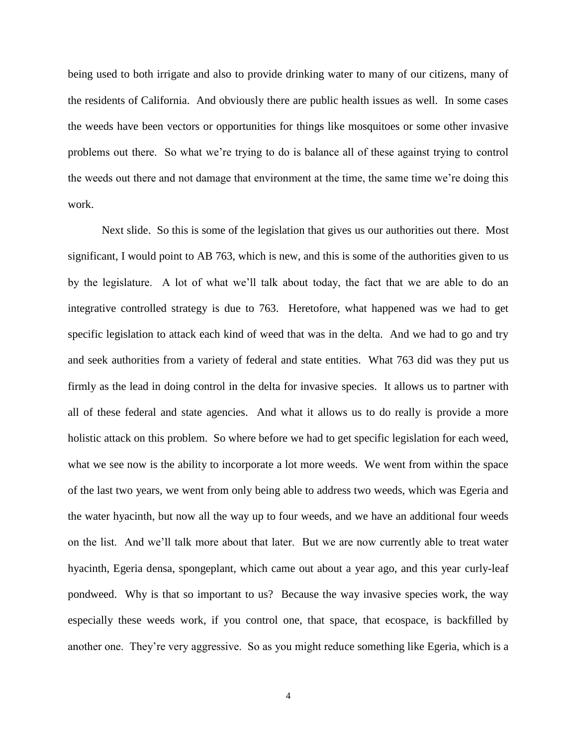being used to both irrigate and also to provide drinking water to many of our citizens, many of the residents of California. And obviously there are public health issues as well. In some cases the weeds have been vectors or opportunities for things like mosquitoes or some other invasive problems out there. So what we're trying to do is balance all of these against trying to control the weeds out there and not damage that environment at the time, the same time we're doing this work.

Next slide. So this is some of the legislation that gives us our authorities out there. Most significant, I would point to AB 763, which is new, and this is some of the authorities given to us by the legislature. A lot of what we'll talk about today, the fact that we are able to do an integrative controlled strategy is due to 763. Heretofore, what happened was we had to get specific legislation to attack each kind of weed that was in the delta. And we had to go and try and seek authorities from a variety of federal and state entities. What 763 did was they put us firmly as the lead in doing control in the delta for invasive species. It allows us to partner with all of these federal and state agencies. And what it allows us to do really is provide a more holistic attack on this problem. So where before we had to get specific legislation for each weed, what we see now is the ability to incorporate a lot more weeds. We went from within the space of the last two years, we went from only being able to address two weeds, which was Egeria and the water hyacinth, but now all the way up to four weeds, and we have an additional four weeds on the list. And we'll talk more about that later. But we are now currently able to treat water hyacinth, Egeria densa, spongeplant, which came out about a year ago, and this year curly-leaf pondweed. Why is that so important to us? Because the way invasive species work, the way especially these weeds work, if you control one, that space, that ecospace, is backfilled by another one. They're very aggressive. So as you might reduce something like Egeria, which is a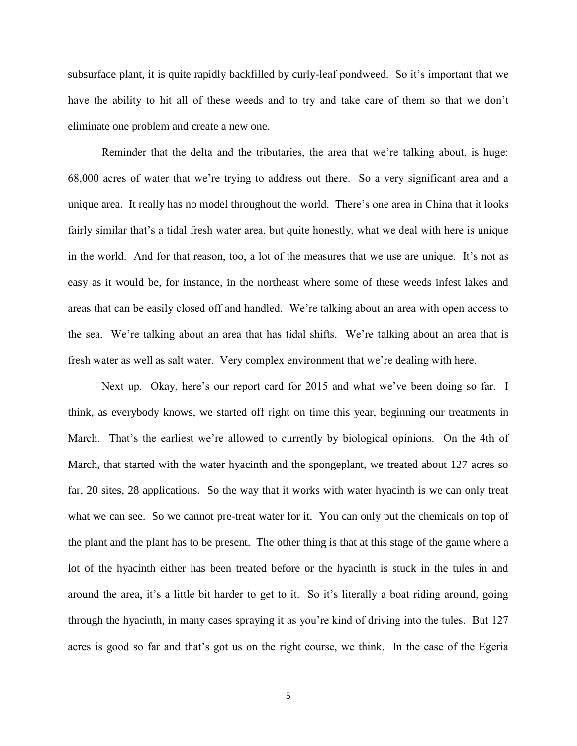subsurface plant, it is quite rapidly backfilled by curly-leaf pondweed. So it's important that we have the ability to hit all of these weeds and to try and take care of them so that we don't eliminate one problem and create a new one.

Reminder that the delta and the tributaries, the area that we're talking about, is huge: 68,000 acres of water that we're trying to address out there. So a very significant area and a unique area. It really has no model throughout the world. There's one area in China that it looks fairly similar that's a tidal fresh water area, but quite honestly, what we deal with here is unique in the world. And for that reason, too, a lot of the measures that we use are unique. It's not as easy as it would be, for instance, in the northeast where some of these weeds infest lakes and areas that can be easily closed off and handled. We're talking about an area with open access to the sea. We're talking about an area that has tidal shifts. We're talking about an area that is fresh water as well as salt water. Very complex environment that we're dealing with here.

Next up. Okay, here's our report card for 2015 and what we've been doing so far. I think, as everybody knows, we started off right on time this year, beginning our treatments in March. That's the earliest we're allowed to currently by biological opinions. On the 4th of March, that started with the water hyacinth and the spongeplant, we treated about 127 acres so far, 20 sites, 28 applications. So the way that it works with water hyacinth is we can only treat what we can see. So we cannot pre-treat water for it. You can only put the chemicals on top of the plant and the plant has to be present. The other thing is that at this stage of the game where a lot of the hyacinth either has been treated before or the hyacinth is stuck in the tules in and around the area, it's a little bit harder to get to it. So it's literally a boat riding around, going through the hyacinth, in many cases spraying it as you're kind of driving into the tules. But 127 acres is good so far and that's got us on the right course, we think. In the case of the Egeria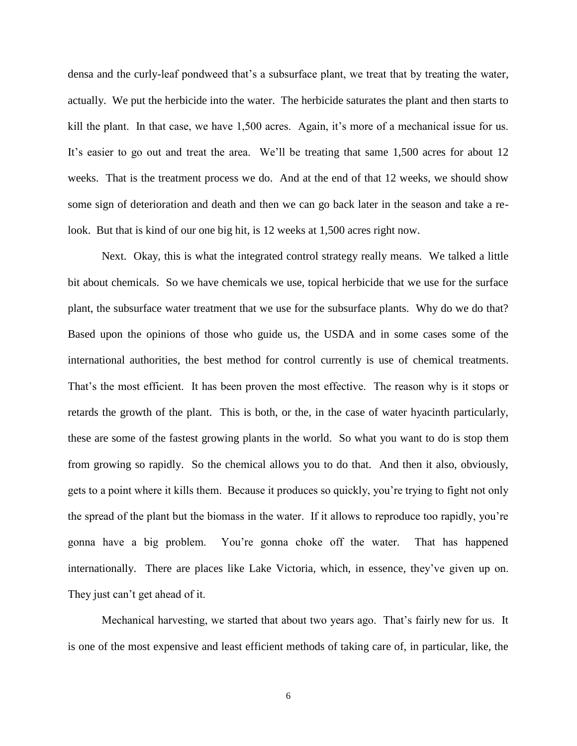densa and the curly-leaf pondweed that's a subsurface plant, we treat that by treating the water, actually. We put the herbicide into the water. The herbicide saturates the plant and then starts to kill the plant. In that case, we have 1,500 acres. Again, it's more of a mechanical issue for us. It's easier to go out and treat the area. We'll be treating that same 1,500 acres for about 12 weeks. That is the treatment process we do. And at the end of that 12 weeks, we should show some sign of deterioration and death and then we can go back later in the season and take a relook. But that is kind of our one big hit, is 12 weeks at 1,500 acres right now.

Next. Okay, this is what the integrated control strategy really means. We talked a little bit about chemicals. So we have chemicals we use, topical herbicide that we use for the surface plant, the subsurface water treatment that we use for the subsurface plants. Why do we do that? Based upon the opinions of those who guide us, the USDA and in some cases some of the international authorities, the best method for control currently is use of chemical treatments. That's the most efficient. It has been proven the most effective. The reason why is it stops or retards the growth of the plant. This is both, or the, in the case of water hyacinth particularly, these are some of the fastest growing plants in the world. So what you want to do is stop them from growing so rapidly. So the chemical allows you to do that. And then it also, obviously, gets to a point where it kills them. Because it produces so quickly, you're trying to fight not only the spread of the plant but the biomass in the water. If it allows to reproduce too rapidly, you're gonna have a big problem. You're gonna choke off the water. That has happened internationally. There are places like Lake Victoria, which, in essence, they've given up on. They just can't get ahead of it.

Mechanical harvesting, we started that about two years ago. That's fairly new for us. It is one of the most expensive and least efficient methods of taking care of, in particular, like, the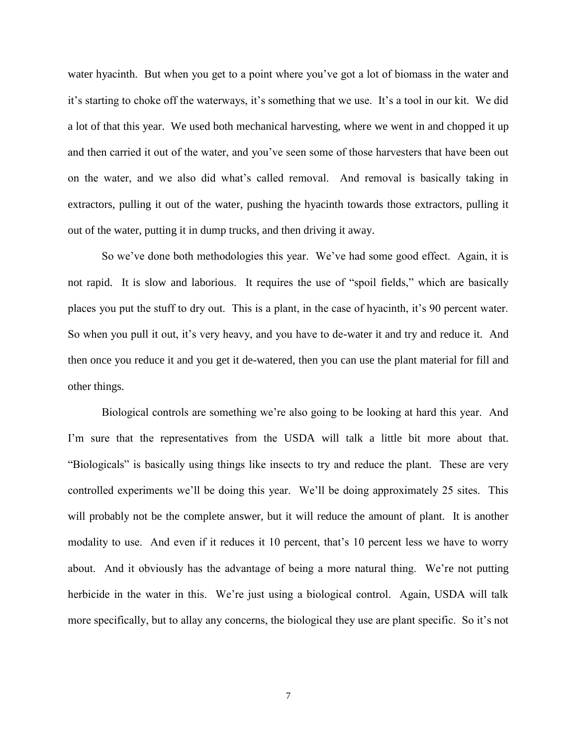water hyacinth. But when you get to a point where you've got a lot of biomass in the water and it's starting to choke off the waterways, it's something that we use. It's a tool in our kit. We did a lot of that this year. We used both mechanical harvesting, where we went in and chopped it up and then carried it out of the water, and you've seen some of those harvesters that have been out on the water, and we also did what's called removal. And removal is basically taking in extractors, pulling it out of the water, pushing the hyacinth towards those extractors, pulling it out of the water, putting it in dump trucks, and then driving it away.

So we've done both methodologies this year. We've had some good effect. Again, it is not rapid. It is slow and laborious. It requires the use of "spoil fields," which are basically places you put the stuff to dry out. This is a plant, in the case of hyacinth, it's 90 percent water. So when you pull it out, it's very heavy, and you have to de-water it and try and reduce it. And then once you reduce it and you get it de-watered, then you can use the plant material for fill and other things.

Biological controls are something we're also going to be looking at hard this year. And I'm sure that the representatives from the USDA will talk a little bit more about that. "Biologicals" is basically using things like insects to try and reduce the plant. These are very controlled experiments we'll be doing this year. We'll be doing approximately 25 sites. This will probably not be the complete answer, but it will reduce the amount of plant. It is another modality to use. And even if it reduces it 10 percent, that's 10 percent less we have to worry about. And it obviously has the advantage of being a more natural thing. We're not putting herbicide in the water in this. We're just using a biological control. Again, USDA will talk more specifically, but to allay any concerns, the biological they use are plant specific. So it's not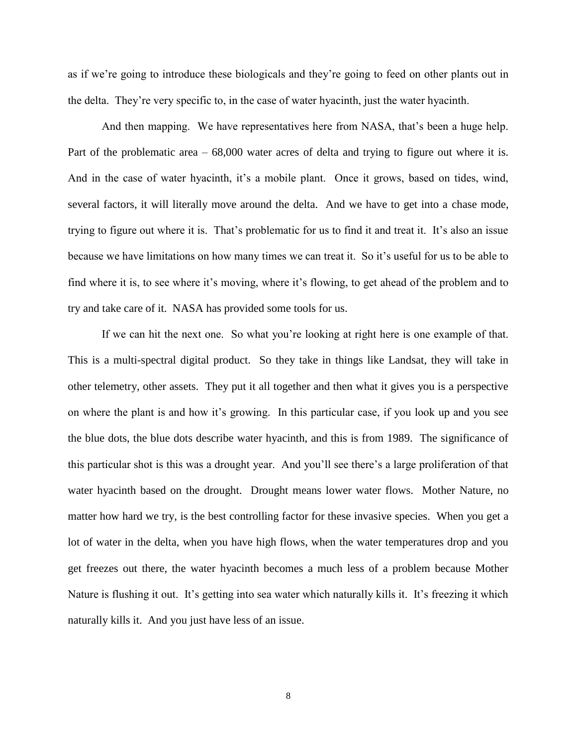as if we're going to introduce these biologicals and they're going to feed on other plants out in the delta. They're very specific to, in the case of water hyacinth, just the water hyacinth.

And then mapping. We have representatives here from NASA, that's been a huge help. Part of the problematic area – 68,000 water acres of delta and trying to figure out where it is. And in the case of water hyacinth, it's a mobile plant. Once it grows, based on tides, wind, several factors, it will literally move around the delta. And we have to get into a chase mode, trying to figure out where it is. That's problematic for us to find it and treat it. It's also an issue because we have limitations on how many times we can treat it. So it's useful for us to be able to find where it is, to see where it's moving, where it's flowing, to get ahead of the problem and to try and take care of it. NASA has provided some tools for us.

If we can hit the next one. So what you're looking at right here is one example of that. This is a multi-spectral digital product. So they take in things like Landsat, they will take in other telemetry, other assets. They put it all together and then what it gives you is a perspective on where the plant is and how it's growing. In this particular case, if you look up and you see the blue dots, the blue dots describe water hyacinth, and this is from 1989. The significance of this particular shot is this was a drought year. And you'll see there's a large proliferation of that water hyacinth based on the drought. Drought means lower water flows. Mother Nature, no matter how hard we try, is the best controlling factor for these invasive species. When you get a lot of water in the delta, when you have high flows, when the water temperatures drop and you get freezes out there, the water hyacinth becomes a much less of a problem because Mother Nature is flushing it out. It's getting into sea water which naturally kills it. It's freezing it which naturally kills it. And you just have less of an issue.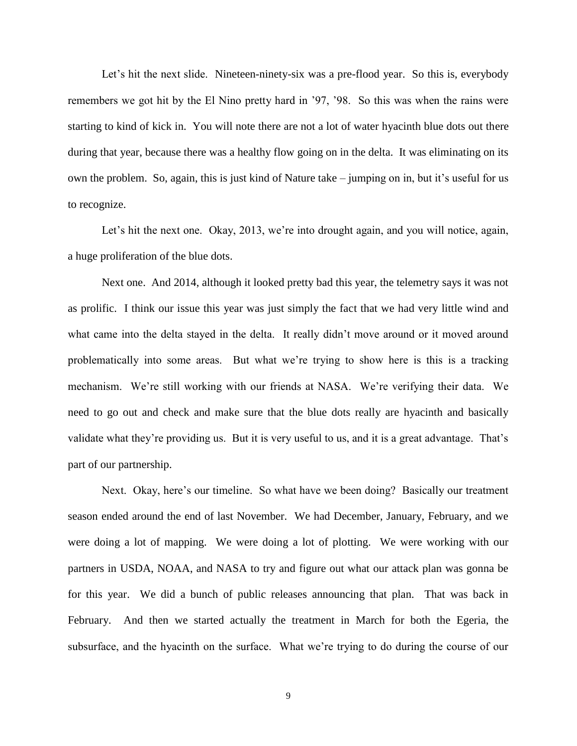Let's hit the next slide. Nineteen-ninety-six was a pre-flood year. So this is, everybody remembers we got hit by the El Nino pretty hard in '97, '98. So this was when the rains were starting to kind of kick in. You will note there are not a lot of water hyacinth blue dots out there during that year, because there was a healthy flow going on in the delta. It was eliminating on its own the problem. So, again, this is just kind of Nature take – jumping on in, but it's useful for us to recognize.

Let's hit the next one. Okay, 2013, we're into drought again, and you will notice, again, a huge proliferation of the blue dots.

Next one. And 2014, although it looked pretty bad this year, the telemetry says it was not as prolific. I think our issue this year was just simply the fact that we had very little wind and what came into the delta stayed in the delta. It really didn't move around or it moved around problematically into some areas. But what we're trying to show here is this is a tracking mechanism. We're still working with our friends at NASA. We're verifying their data. We need to go out and check and make sure that the blue dots really are hyacinth and basically validate what they're providing us. But it is very useful to us, and it is a great advantage. That's part of our partnership.

Next. Okay, here's our timeline. So what have we been doing? Basically our treatment season ended around the end of last November. We had December, January, February, and we were doing a lot of mapping. We were doing a lot of plotting. We were working with our partners in USDA, NOAA, and NASA to try and figure out what our attack plan was gonna be for this year. We did a bunch of public releases announcing that plan. That was back in February. And then we started actually the treatment in March for both the Egeria, the subsurface, and the hyacinth on the surface. What we're trying to do during the course of our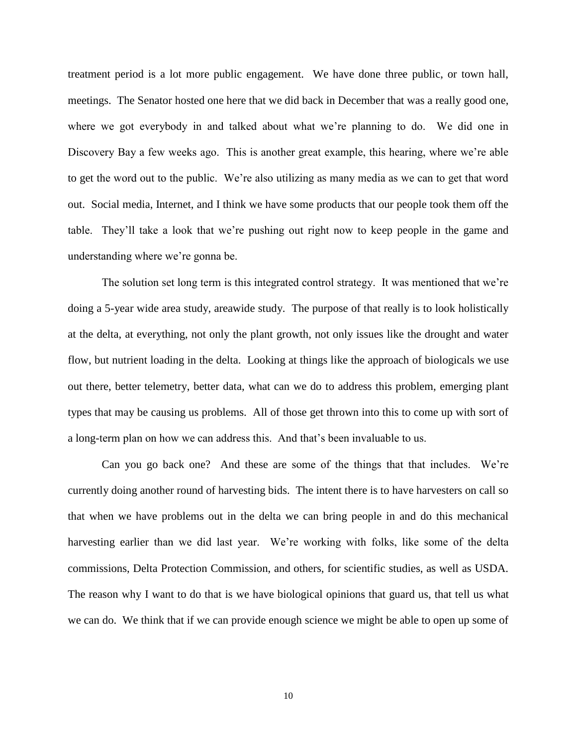treatment period is a lot more public engagement. We have done three public, or town hall, meetings. The Senator hosted one here that we did back in December that was a really good one, where we got everybody in and talked about what we're planning to do. We did one in Discovery Bay a few weeks ago. This is another great example, this hearing, where we're able to get the word out to the public. We're also utilizing as many media as we can to get that word out. Social media, Internet, and I think we have some products that our people took them off the table. They'll take a look that we're pushing out right now to keep people in the game and understanding where we're gonna be.

The solution set long term is this integrated control strategy. It was mentioned that we're doing a 5-year wide area study, areawide study. The purpose of that really is to look holistically at the delta, at everything, not only the plant growth, not only issues like the drought and water flow, but nutrient loading in the delta. Looking at things like the approach of biologicals we use out there, better telemetry, better data, what can we do to address this problem, emerging plant types that may be causing us problems. All of those get thrown into this to come up with sort of a long-term plan on how we can address this. And that's been invaluable to us.

Can you go back one? And these are some of the things that that includes. We're currently doing another round of harvesting bids. The intent there is to have harvesters on call so that when we have problems out in the delta we can bring people in and do this mechanical harvesting earlier than we did last year. We're working with folks, like some of the delta commissions, Delta Protection Commission, and others, for scientific studies, as well as USDA. The reason why I want to do that is we have biological opinions that guard us, that tell us what we can do. We think that if we can provide enough science we might be able to open up some of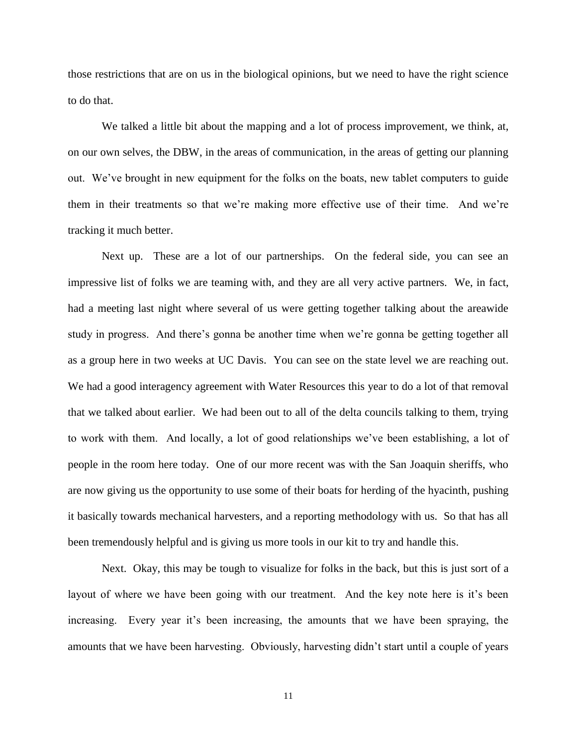those restrictions that are on us in the biological opinions, but we need to have the right science to do that.

We talked a little bit about the mapping and a lot of process improvement, we think, at, on our own selves, the DBW, in the areas of communication, in the areas of getting our planning out. We've brought in new equipment for the folks on the boats, new tablet computers to guide them in their treatments so that we're making more effective use of their time. And we're tracking it much better.

Next up. These are a lot of our partnerships. On the federal side, you can see an impressive list of folks we are teaming with, and they are all very active partners. We, in fact, had a meeting last night where several of us were getting together talking about the areawide study in progress. And there's gonna be another time when we're gonna be getting together all as a group here in two weeks at UC Davis. You can see on the state level we are reaching out. We had a good interagency agreement with Water Resources this year to do a lot of that removal that we talked about earlier. We had been out to all of the delta councils talking to them, trying to work with them. And locally, a lot of good relationships we've been establishing, a lot of people in the room here today. One of our more recent was with the San Joaquin sheriffs, who are now giving us the opportunity to use some of their boats for herding of the hyacinth, pushing it basically towards mechanical harvesters, and a reporting methodology with us. So that has all been tremendously helpful and is giving us more tools in our kit to try and handle this.

Next. Okay, this may be tough to visualize for folks in the back, but this is just sort of a layout of where we have been going with our treatment. And the key note here is it's been increasing. Every year it's been increasing, the amounts that we have been spraying, the amounts that we have been harvesting. Obviously, harvesting didn't start until a couple of years

11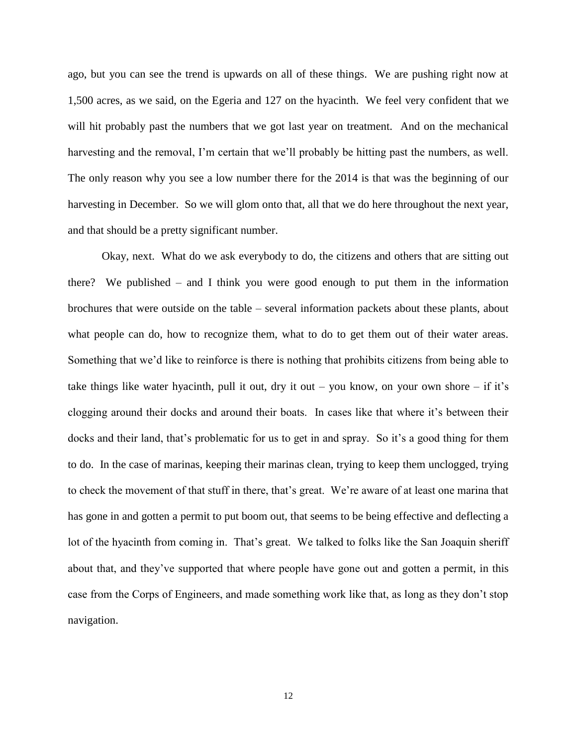ago, but you can see the trend is upwards on all of these things. We are pushing right now at 1,500 acres, as we said, on the Egeria and 127 on the hyacinth. We feel very confident that we will hit probably past the numbers that we got last year on treatment. And on the mechanical harvesting and the removal, I'm certain that we'll probably be hitting past the numbers, as well. The only reason why you see a low number there for the 2014 is that was the beginning of our harvesting in December. So we will glom onto that, all that we do here throughout the next year, and that should be a pretty significant number.

Okay, next. What do we ask everybody to do, the citizens and others that are sitting out there? We published – and I think you were good enough to put them in the information brochures that were outside on the table – several information packets about these plants, about what people can do, how to recognize them, what to do to get them out of their water areas. Something that we'd like to reinforce is there is nothing that prohibits citizens from being able to take things like water hyacinth, pull it out, dry it out – you know, on your own shore – if it's clogging around their docks and around their boats. In cases like that where it's between their docks and their land, that's problematic for us to get in and spray. So it's a good thing for them to do. In the case of marinas, keeping their marinas clean, trying to keep them unclogged, trying to check the movement of that stuff in there, that's great. We're aware of at least one marina that has gone in and gotten a permit to put boom out, that seems to be being effective and deflecting a lot of the hyacinth from coming in. That's great. We talked to folks like the San Joaquin sheriff about that, and they've supported that where people have gone out and gotten a permit, in this case from the Corps of Engineers, and made something work like that, as long as they don't stop navigation.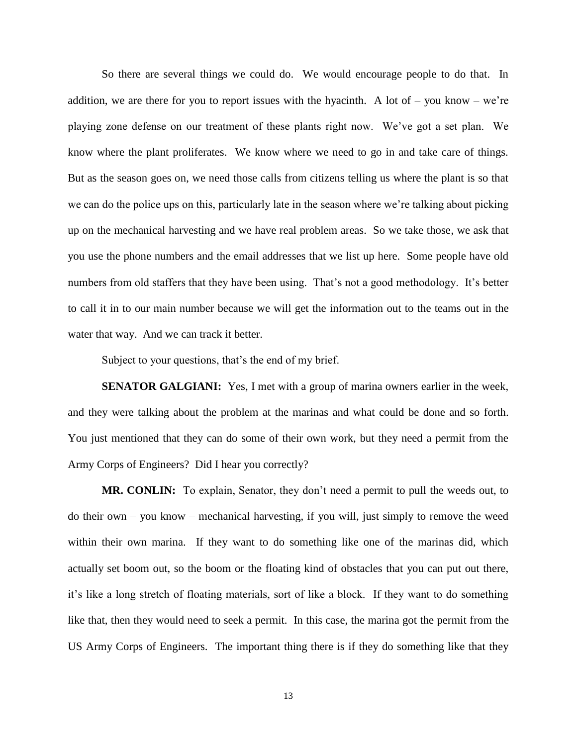So there are several things we could do. We would encourage people to do that. In addition, we are there for you to report issues with the hyacinth. A lot of – you know – we're playing zone defense on our treatment of these plants right now. We've got a set plan. We know where the plant proliferates. We know where we need to go in and take care of things. But as the season goes on, we need those calls from citizens telling us where the plant is so that we can do the police ups on this, particularly late in the season where we're talking about picking up on the mechanical harvesting and we have real problem areas. So we take those, we ask that you use the phone numbers and the email addresses that we list up here. Some people have old numbers from old staffers that they have been using. That's not a good methodology. It's better to call it in to our main number because we will get the information out to the teams out in the water that way. And we can track it better.

Subject to your questions, that's the end of my brief.

**SENATOR GALGIANI:** Yes, I met with a group of marina owners earlier in the week, and they were talking about the problem at the marinas and what could be done and so forth. You just mentioned that they can do some of their own work, but they need a permit from the Army Corps of Engineers? Did I hear you correctly?

**MR. CONLIN:** To explain, Senator, they don't need a permit to pull the weeds out, to do their own – you know – mechanical harvesting, if you will, just simply to remove the weed within their own marina. If they want to do something like one of the marinas did, which actually set boom out, so the boom or the floating kind of obstacles that you can put out there, it's like a long stretch of floating materials, sort of like a block. If they want to do something like that, then they would need to seek a permit. In this case, the marina got the permit from the US Army Corps of Engineers. The important thing there is if they do something like that they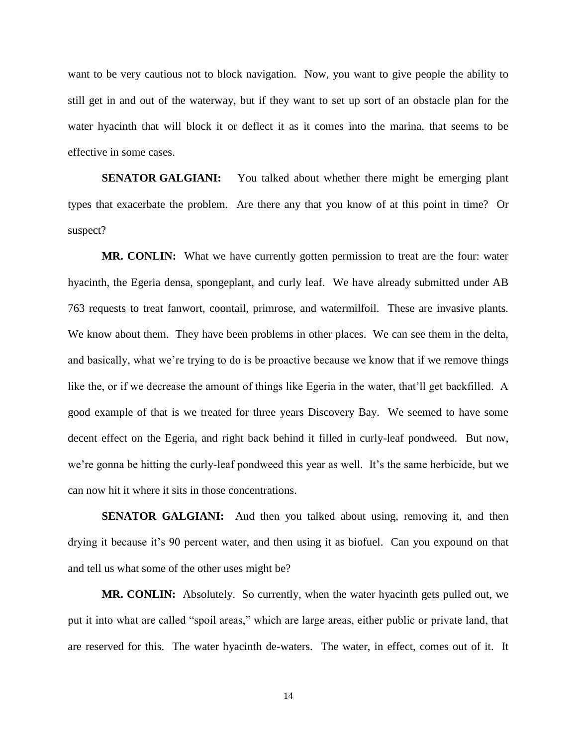want to be very cautious not to block navigation. Now, you want to give people the ability to still get in and out of the waterway, but if they want to set up sort of an obstacle plan for the water hyacinth that will block it or deflect it as it comes into the marina, that seems to be effective in some cases.

**SENATOR GALGIANI:** You talked about whether there might be emerging plant types that exacerbate the problem. Are there any that you know of at this point in time? Or suspect?

**MR. CONLIN:** What we have currently gotten permission to treat are the four: water hyacinth, the Egeria densa, spongeplant, and curly leaf. We have already submitted under AB 763 requests to treat fanwort, coontail, primrose, and watermilfoil. These are invasive plants. We know about them. They have been problems in other places. We can see them in the delta, and basically, what we're trying to do is be proactive because we know that if we remove things like the, or if we decrease the amount of things like Egeria in the water, that'll get backfilled. A good example of that is we treated for three years Discovery Bay. We seemed to have some decent effect on the Egeria, and right back behind it filled in curly-leaf pondweed. But now, we're gonna be hitting the curly-leaf pondweed this year as well. It's the same herbicide, but we can now hit it where it sits in those concentrations.

**SENATOR GALGIANI:** And then you talked about using, removing it, and then drying it because it's 90 percent water, and then using it as biofuel. Can you expound on that and tell us what some of the other uses might be?

**MR. CONLIN:** Absolutely. So currently, when the water hyacinth gets pulled out, we put it into what are called "spoil areas," which are large areas, either public or private land, that are reserved for this. The water hyacinth de-waters. The water, in effect, comes out of it. It

14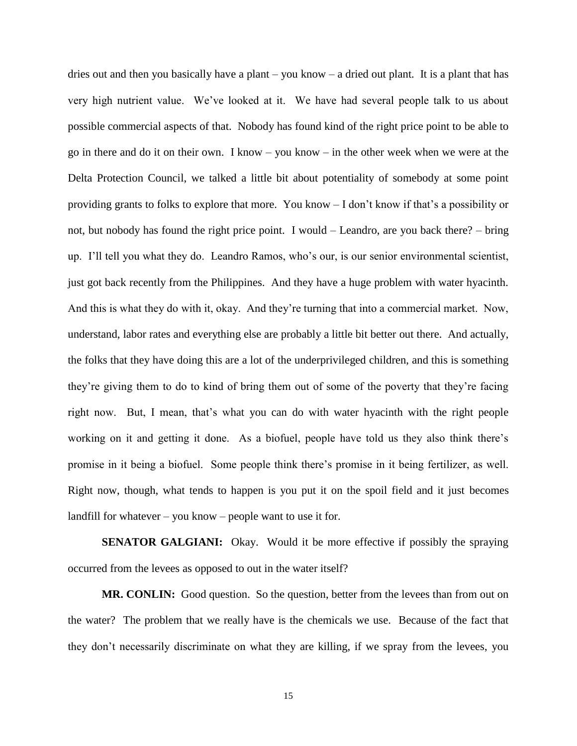dries out and then you basically have a plant – you know – a dried out plant. It is a plant that has very high nutrient value. We've looked at it. We have had several people talk to us about possible commercial aspects of that. Nobody has found kind of the right price point to be able to go in there and do it on their own. I know – you know – in the other week when we were at the Delta Protection Council, we talked a little bit about potentiality of somebody at some point providing grants to folks to explore that more. You know – I don't know if that's a possibility or not, but nobody has found the right price point. I would – Leandro, are you back there? – bring up. I'll tell you what they do. Leandro Ramos, who's our, is our senior environmental scientist, just got back recently from the Philippines. And they have a huge problem with water hyacinth. And this is what they do with it, okay. And they're turning that into a commercial market. Now, understand, labor rates and everything else are probably a little bit better out there. And actually, the folks that they have doing this are a lot of the underprivileged children, and this is something they're giving them to do to kind of bring them out of some of the poverty that they're facing right now. But, I mean, that's what you can do with water hyacinth with the right people working on it and getting it done. As a biofuel, people have told us they also think there's promise in it being a biofuel. Some people think there's promise in it being fertilizer, as well. Right now, though, what tends to happen is you put it on the spoil field and it just becomes landfill for whatever – you know – people want to use it for.

**SENATOR GALGIANI:** Okay. Would it be more effective if possibly the spraying occurred from the levees as opposed to out in the water itself?

**MR. CONLIN:** Good question. So the question, better from the levees than from out on the water? The problem that we really have is the chemicals we use. Because of the fact that they don't necessarily discriminate on what they are killing, if we spray from the levees, you

15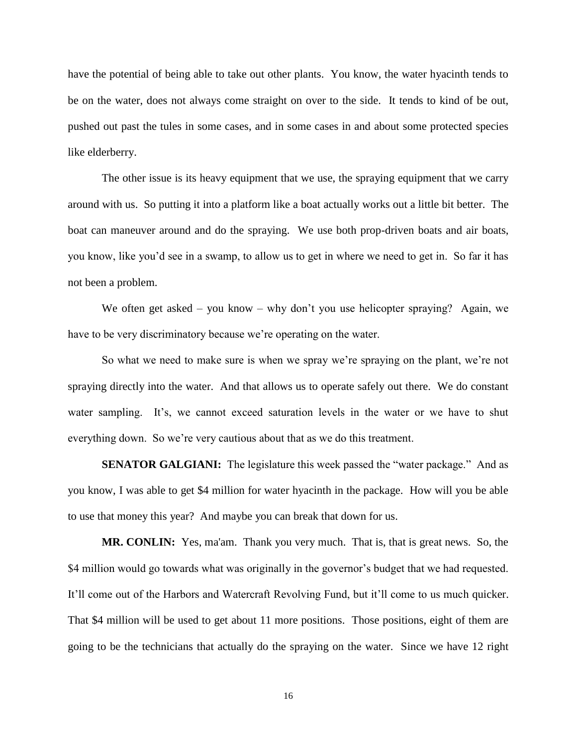have the potential of being able to take out other plants. You know, the water hyacinth tends to be on the water, does not always come straight on over to the side. It tends to kind of be out, pushed out past the tules in some cases, and in some cases in and about some protected species like elderberry.

The other issue is its heavy equipment that we use, the spraying equipment that we carry around with us. So putting it into a platform like a boat actually works out a little bit better. The boat can maneuver around and do the spraying. We use both prop-driven boats and air boats, you know, like you'd see in a swamp, to allow us to get in where we need to get in. So far it has not been a problem.

We often get asked – you know – why don't you use helicopter spraying? Again, we have to be very discriminatory because we're operating on the water.

So what we need to make sure is when we spray we're spraying on the plant, we're not spraying directly into the water. And that allows us to operate safely out there. We do constant water sampling. It's, we cannot exceed saturation levels in the water or we have to shut everything down. So we're very cautious about that as we do this treatment.

**SENATOR GALGIANI:** The legislature this week passed the "water package." And as you know, I was able to get \$4 million for water hyacinth in the package. How will you be able to use that money this year? And maybe you can break that down for us.

**MR. CONLIN:** Yes, ma'am. Thank you very much. That is, that is great news. So, the \$4 million would go towards what was originally in the governor's budget that we had requested. It'll come out of the Harbors and Watercraft Revolving Fund, but it'll come to us much quicker. That \$4 million will be used to get about 11 more positions. Those positions, eight of them are going to be the technicians that actually do the spraying on the water. Since we have 12 right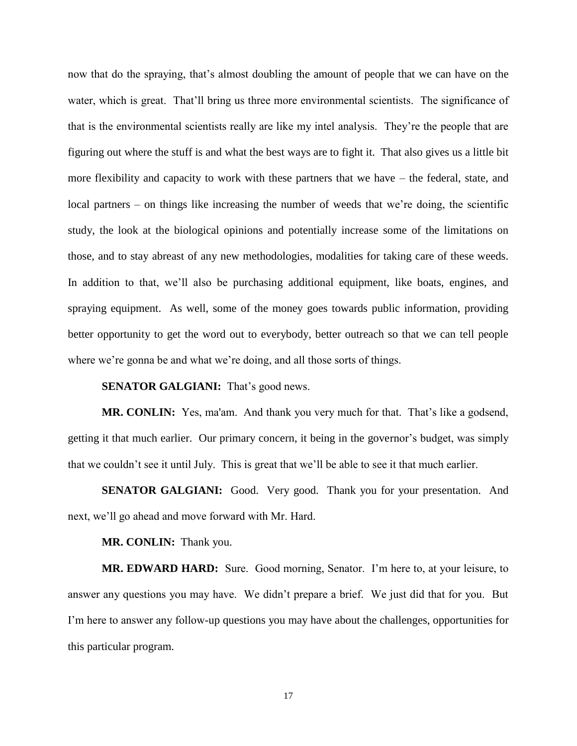now that do the spraying, that's almost doubling the amount of people that we can have on the water, which is great. That'll bring us three more environmental scientists. The significance of that is the environmental scientists really are like my intel analysis. They're the people that are figuring out where the stuff is and what the best ways are to fight it. That also gives us a little bit more flexibility and capacity to work with these partners that we have – the federal, state, and local partners – on things like increasing the number of weeds that we're doing, the scientific study, the look at the biological opinions and potentially increase some of the limitations on those, and to stay abreast of any new methodologies, modalities for taking care of these weeds. In addition to that, we'll also be purchasing additional equipment, like boats, engines, and spraying equipment. As well, some of the money goes towards public information, providing better opportunity to get the word out to everybody, better outreach so that we can tell people where we're gonna be and what we're doing, and all those sorts of things.

**SENATOR GALGIANI:** That's good news.

**MR. CONLIN:** Yes, ma'am. And thank you very much for that. That's like a godsend, getting it that much earlier. Our primary concern, it being in the governor's budget, was simply that we couldn't see it until July. This is great that we'll be able to see it that much earlier.

**SENATOR GALGIANI:** Good. Very good. Thank you for your presentation. And next, we'll go ahead and move forward with Mr. Hard.

**MR. CONLIN:** Thank you.

**MR. EDWARD HARD:** Sure. Good morning, Senator. I'm here to, at your leisure, to answer any questions you may have. We didn't prepare a brief. We just did that for you. But I'm here to answer any follow-up questions you may have about the challenges, opportunities for this particular program.

17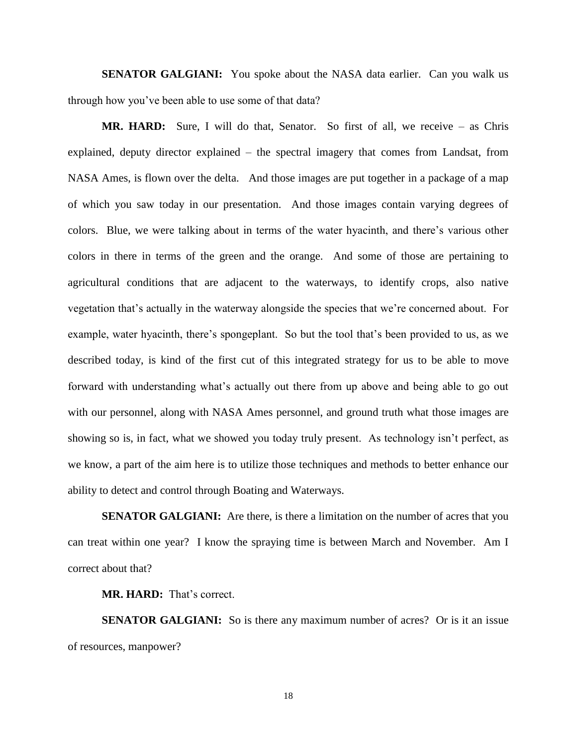**SENATOR GALGIANI:** You spoke about the NASA data earlier. Can you walk us through how you've been able to use some of that data?

**MR. HARD:** Sure, I will do that, Senator. So first of all, we receive – as Chris explained, deputy director explained – the spectral imagery that comes from Landsat, from NASA Ames, is flown over the delta. And those images are put together in a package of a map of which you saw today in our presentation. And those images contain varying degrees of colors. Blue, we were talking about in terms of the water hyacinth, and there's various other colors in there in terms of the green and the orange. And some of those are pertaining to agricultural conditions that are adjacent to the waterways, to identify crops, also native vegetation that's actually in the waterway alongside the species that we're concerned about. For example, water hyacinth, there's spongeplant. So but the tool that's been provided to us, as we described today, is kind of the first cut of this integrated strategy for us to be able to move forward with understanding what's actually out there from up above and being able to go out with our personnel, along with NASA Ames personnel, and ground truth what those images are showing so is, in fact, what we showed you today truly present. As technology isn't perfect, as we know, a part of the aim here is to utilize those techniques and methods to better enhance our ability to detect and control through Boating and Waterways.

**SENATOR GALGIANI:** Are there, is there a limitation on the number of acres that you can treat within one year? I know the spraying time is between March and November. Am I correct about that?

**MR. HARD:** That's correct.

**SENATOR GALGIANI:** So is there any maximum number of acres? Or is it an issue of resources, manpower?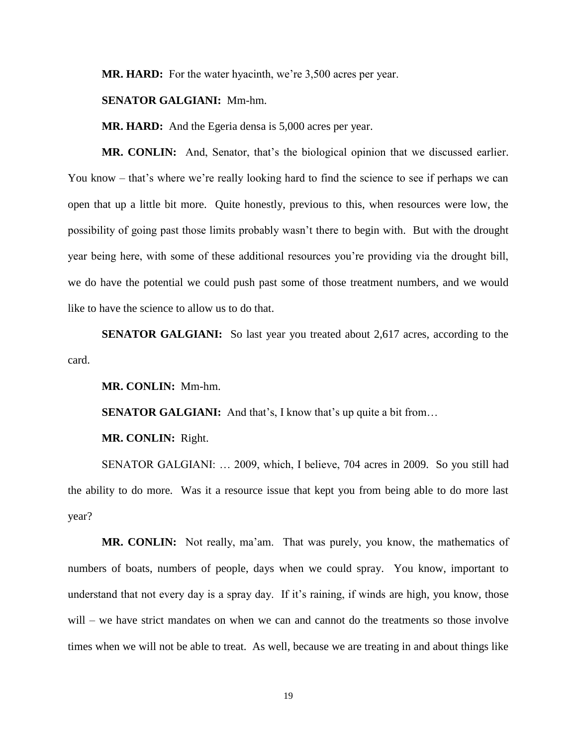**MR. HARD:** For the water hyacinth, we're 3,500 acres per year.

#### **SENATOR GALGIANI:** Mm-hm.

**MR. HARD:** And the Egeria densa is 5,000 acres per year.

**MR. CONLIN:** And, Senator, that's the biological opinion that we discussed earlier. You know – that's where we're really looking hard to find the science to see if perhaps we can open that up a little bit more. Quite honestly, previous to this, when resources were low, the possibility of going past those limits probably wasn't there to begin with. But with the drought year being here, with some of these additional resources you're providing via the drought bill, we do have the potential we could push past some of those treatment numbers, and we would like to have the science to allow us to do that.

**SENATOR GALGIANI:** So last year you treated about 2,617 acres, according to the card.

**MR. CONLIN:** Mm-hm.

**SENATOR GALGIANI:** And that's, I know that's up quite a bit from...

**MR. CONLIN:** Right.

SENATOR GALGIANI: … 2009, which, I believe, 704 acres in 2009. So you still had the ability to do more. Was it a resource issue that kept you from being able to do more last year?

**MR. CONLIN:** Not really, ma'am. That was purely, you know, the mathematics of numbers of boats, numbers of people, days when we could spray. You know, important to understand that not every day is a spray day. If it's raining, if winds are high, you know, those will – we have strict mandates on when we can and cannot do the treatments so those involve times when we will not be able to treat. As well, because we are treating in and about things like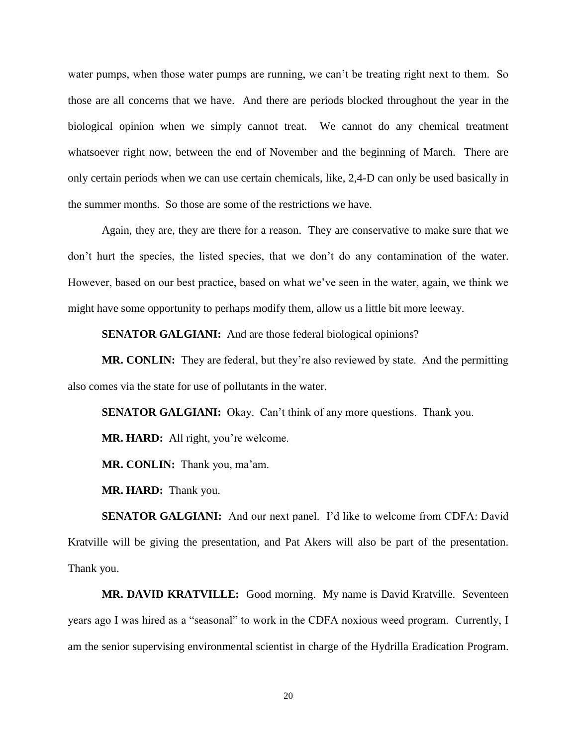water pumps, when those water pumps are running, we can't be treating right next to them. So those are all concerns that we have. And there are periods blocked throughout the year in the biological opinion when we simply cannot treat. We cannot do any chemical treatment whatsoever right now, between the end of November and the beginning of March. There are only certain periods when we can use certain chemicals, like, 2,4-D can only be used basically in the summer months. So those are some of the restrictions we have.

Again, they are, they are there for a reason. They are conservative to make sure that we don't hurt the species, the listed species, that we don't do any contamination of the water. However, based on our best practice, based on what we've seen in the water, again, we think we might have some opportunity to perhaps modify them, allow us a little bit more leeway.

**SENATOR GALGIANI:** And are those federal biological opinions?

**MR. CONLIN:** They are federal, but they're also reviewed by state. And the permitting also comes via the state for use of pollutants in the water.

**SENATOR GALGIANI:** Okay. Can't think of any more questions. Thank you.

**MR. HARD:** All right, you're welcome.

**MR. CONLIN:** Thank you, ma'am.

**MR. HARD:** Thank you.

**SENATOR GALGIANI:** And our next panel. I'd like to welcome from CDFA: David Kratville will be giving the presentation, and Pat Akers will also be part of the presentation. Thank you.

**MR. DAVID KRATVILLE:** Good morning. My name is David Kratville. Seventeen years ago I was hired as a "seasonal" to work in the CDFA noxious weed program. Currently, I am the senior supervising environmental scientist in charge of the Hydrilla Eradication Program.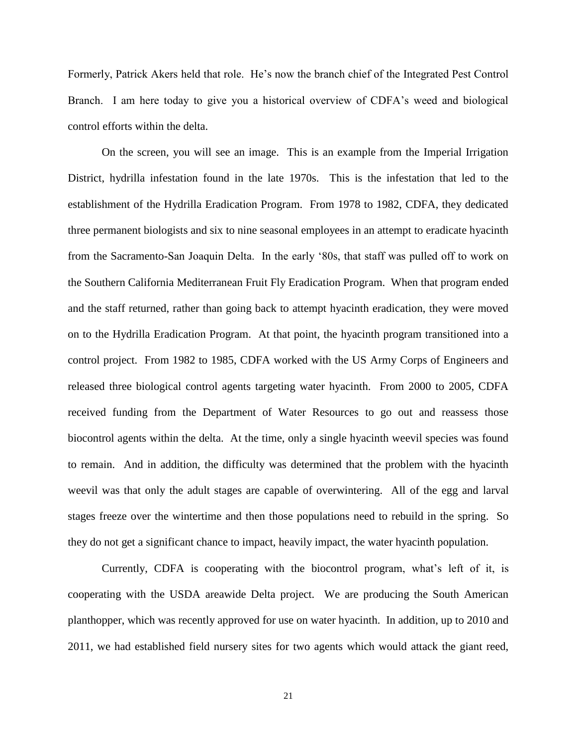Formerly, Patrick Akers held that role. He's now the branch chief of the Integrated Pest Control Branch. I am here today to give you a historical overview of CDFA's weed and biological control efforts within the delta.

On the screen, you will see an image. This is an example from the Imperial Irrigation District, hydrilla infestation found in the late 1970s. This is the infestation that led to the establishment of the Hydrilla Eradication Program. From 1978 to 1982, CDFA, they dedicated three permanent biologists and six to nine seasonal employees in an attempt to eradicate hyacinth from the Sacramento-San Joaquin Delta. In the early '80s, that staff was pulled off to work on the Southern California Mediterranean Fruit Fly Eradication Program. When that program ended and the staff returned, rather than going back to attempt hyacinth eradication, they were moved on to the Hydrilla Eradication Program. At that point, the hyacinth program transitioned into a control project. From 1982 to 1985, CDFA worked with the US Army Corps of Engineers and released three biological control agents targeting water hyacinth. From 2000 to 2005, CDFA received funding from the Department of Water Resources to go out and reassess those biocontrol agents within the delta. At the time, only a single hyacinth weevil species was found to remain. And in addition, the difficulty was determined that the problem with the hyacinth weevil was that only the adult stages are capable of overwintering. All of the egg and larval stages freeze over the wintertime and then those populations need to rebuild in the spring. So they do not get a significant chance to impact, heavily impact, the water hyacinth population.

Currently, CDFA is cooperating with the biocontrol program, what's left of it, is cooperating with the USDA areawide Delta project. We are producing the South American planthopper, which was recently approved for use on water hyacinth. In addition, up to 2010 and 2011, we had established field nursery sites for two agents which would attack the giant reed,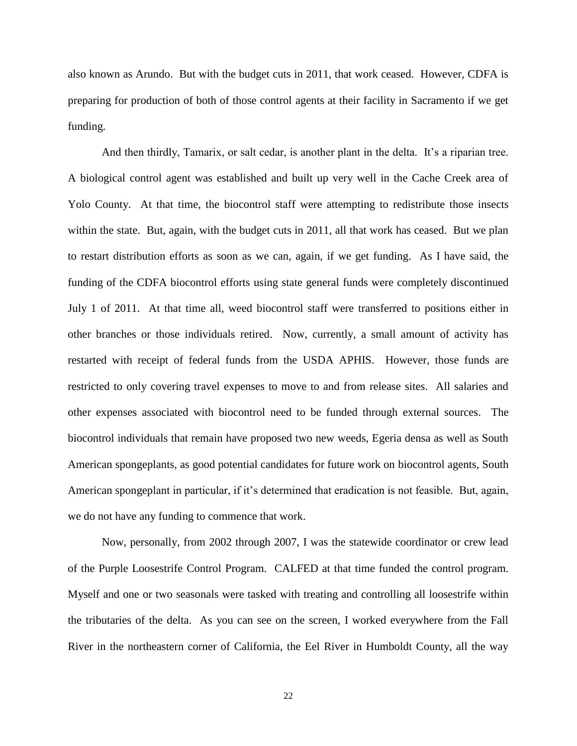also known as Arundo. But with the budget cuts in 2011, that work ceased. However, CDFA is preparing for production of both of those control agents at their facility in Sacramento if we get funding.

And then thirdly, Tamarix, or salt cedar, is another plant in the delta. It's a riparian tree. A biological control agent was established and built up very well in the Cache Creek area of Yolo County. At that time, the biocontrol staff were attempting to redistribute those insects within the state. But, again, with the budget cuts in 2011, all that work has ceased. But we plan to restart distribution efforts as soon as we can, again, if we get funding. As I have said, the funding of the CDFA biocontrol efforts using state general funds were completely discontinued July 1 of 2011. At that time all, weed biocontrol staff were transferred to positions either in other branches or those individuals retired. Now, currently, a small amount of activity has restarted with receipt of federal funds from the USDA APHIS. However, those funds are restricted to only covering travel expenses to move to and from release sites. All salaries and other expenses associated with biocontrol need to be funded through external sources. The biocontrol individuals that remain have proposed two new weeds, Egeria densa as well as South American spongeplants, as good potential candidates for future work on biocontrol agents, South American spongeplant in particular, if it's determined that eradication is not feasible. But, again, we do not have any funding to commence that work.

Now, personally, from 2002 through 2007, I was the statewide coordinator or crew lead of the Purple Loosestrife Control Program. CALFED at that time funded the control program. Myself and one or two seasonals were tasked with treating and controlling all loosestrife within the tributaries of the delta. As you can see on the screen, I worked everywhere from the Fall River in the northeastern corner of California, the Eel River in Humboldt County, all the way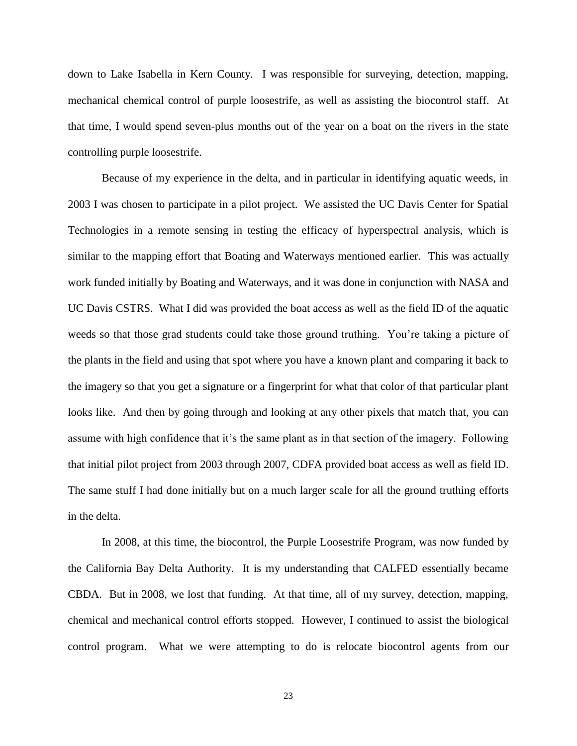down to Lake Isabella in Kern County. I was responsible for surveying, detection, mapping, mechanical chemical control of purple loosestrife, as well as assisting the biocontrol staff. At that time, I would spend seven-plus months out of the year on a boat on the rivers in the state controlling purple loosestrife.

Because of my experience in the delta, and in particular in identifying aquatic weeds, in 2003 I was chosen to participate in a pilot project. We assisted the UC Davis Center for Spatial Technologies in a remote sensing in testing the efficacy of hyperspectral analysis, which is similar to the mapping effort that Boating and Waterways mentioned earlier. This was actually work funded initially by Boating and Waterways, and it was done in conjunction with NASA and UC Davis CSTRS. What I did was provided the boat access as well as the field ID of the aquatic weeds so that those grad students could take those ground truthing. You're taking a picture of the plants in the field and using that spot where you have a known plant and comparing it back to the imagery so that you get a signature or a fingerprint for what that color of that particular plant looks like. And then by going through and looking at any other pixels that match that, you can assume with high confidence that it's the same plant as in that section of the imagery. Following that initial pilot project from 2003 through 2007, CDFA provided boat access as well as field ID. The same stuff I had done initially but on a much larger scale for all the ground truthing efforts in the delta.

In 2008, at this time, the biocontrol, the Purple Loosestrife Program, was now funded by the California Bay Delta Authority. It is my understanding that CALFED essentially became CBDA. But in 2008, we lost that funding. At that time, all of my survey, detection, mapping, chemical and mechanical control efforts stopped. However, I continued to assist the biological control program. What we were attempting to do is relocate biocontrol agents from our

23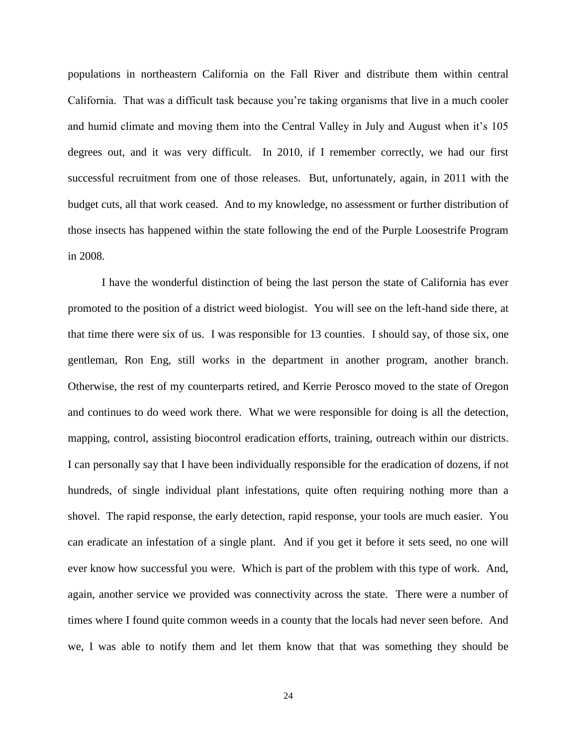populations in northeastern California on the Fall River and distribute them within central California. That was a difficult task because you're taking organisms that live in a much cooler and humid climate and moving them into the Central Valley in July and August when it's 105 degrees out, and it was very difficult. In 2010, if I remember correctly, we had our first successful recruitment from one of those releases. But, unfortunately, again, in 2011 with the budget cuts, all that work ceased. And to my knowledge, no assessment or further distribution of those insects has happened within the state following the end of the Purple Loosestrife Program in 2008.

I have the wonderful distinction of being the last person the state of California has ever promoted to the position of a district weed biologist. You will see on the left-hand side there, at that time there were six of us. I was responsible for 13 counties. I should say, of those six, one gentleman, Ron Eng, still works in the department in another program, another branch. Otherwise, the rest of my counterparts retired, and Kerrie Perosco moved to the state of Oregon and continues to do weed work there. What we were responsible for doing is all the detection, mapping, control, assisting biocontrol eradication efforts, training, outreach within our districts. I can personally say that I have been individually responsible for the eradication of dozens, if not hundreds, of single individual plant infestations, quite often requiring nothing more than a shovel. The rapid response, the early detection, rapid response, your tools are much easier. You can eradicate an infestation of a single plant. And if you get it before it sets seed, no one will ever know how successful you were. Which is part of the problem with this type of work. And, again, another service we provided was connectivity across the state. There were a number of times where I found quite common weeds in a county that the locals had never seen before. And we, I was able to notify them and let them know that that was something they should be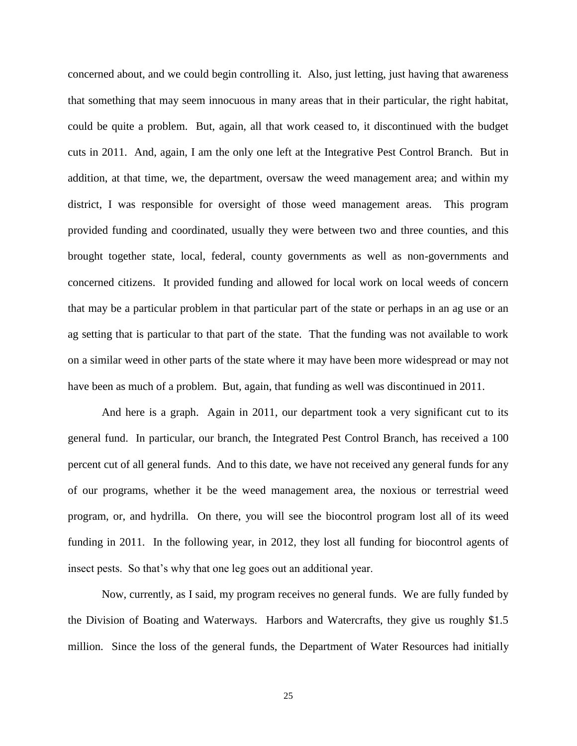concerned about, and we could begin controlling it. Also, just letting, just having that awareness that something that may seem innocuous in many areas that in their particular, the right habitat, could be quite a problem. But, again, all that work ceased to, it discontinued with the budget cuts in 2011. And, again, I am the only one left at the Integrative Pest Control Branch. But in addition, at that time, we, the department, oversaw the weed management area; and within my district, I was responsible for oversight of those weed management areas. This program provided funding and coordinated, usually they were between two and three counties, and this brought together state, local, federal, county governments as well as non-governments and concerned citizens. It provided funding and allowed for local work on local weeds of concern that may be a particular problem in that particular part of the state or perhaps in an ag use or an ag setting that is particular to that part of the state. That the funding was not available to work on a similar weed in other parts of the state where it may have been more widespread or may not have been as much of a problem. But, again, that funding as well was discontinued in 2011.

And here is a graph. Again in 2011, our department took a very significant cut to its general fund. In particular, our branch, the Integrated Pest Control Branch, has received a 100 percent cut of all general funds. And to this date, we have not received any general funds for any of our programs, whether it be the weed management area, the noxious or terrestrial weed program, or, and hydrilla. On there, you will see the biocontrol program lost all of its weed funding in 2011. In the following year, in 2012, they lost all funding for biocontrol agents of insect pests. So that's why that one leg goes out an additional year.

Now, currently, as I said, my program receives no general funds. We are fully funded by the Division of Boating and Waterways. Harbors and Watercrafts, they give us roughly \$1.5 million. Since the loss of the general funds, the Department of Water Resources had initially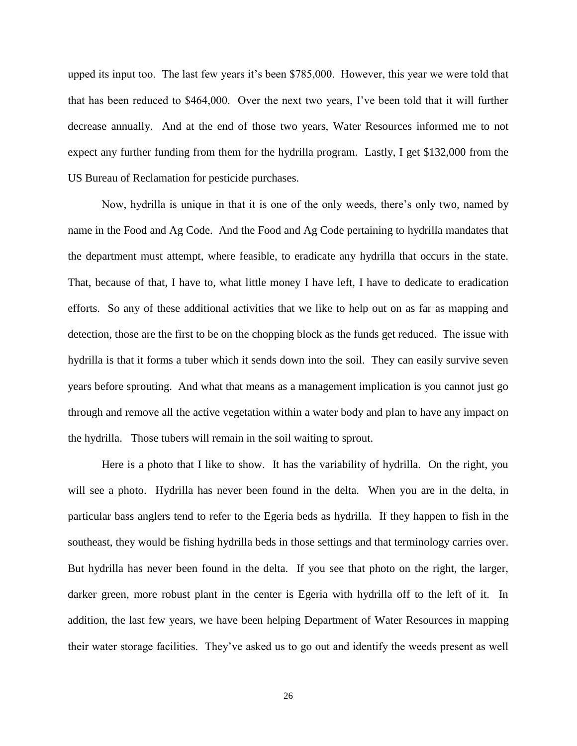upped its input too. The last few years it's been \$785,000. However, this year we were told that that has been reduced to \$464,000. Over the next two years, I've been told that it will further decrease annually. And at the end of those two years, Water Resources informed me to not expect any further funding from them for the hydrilla program. Lastly, I get \$132,000 from the US Bureau of Reclamation for pesticide purchases.

Now, hydrilla is unique in that it is one of the only weeds, there's only two, named by name in the Food and Ag Code. And the Food and Ag Code pertaining to hydrilla mandates that the department must attempt, where feasible, to eradicate any hydrilla that occurs in the state. That, because of that, I have to, what little money I have left, I have to dedicate to eradication efforts. So any of these additional activities that we like to help out on as far as mapping and detection, those are the first to be on the chopping block as the funds get reduced. The issue with hydrilla is that it forms a tuber which it sends down into the soil. They can easily survive seven years before sprouting. And what that means as a management implication is you cannot just go through and remove all the active vegetation within a water body and plan to have any impact on the hydrilla. Those tubers will remain in the soil waiting to sprout.

Here is a photo that I like to show. It has the variability of hydrilla. On the right, you will see a photo. Hydrilla has never been found in the delta. When you are in the delta, in particular bass anglers tend to refer to the Egeria beds as hydrilla. If they happen to fish in the southeast, they would be fishing hydrilla beds in those settings and that terminology carries over. But hydrilla has never been found in the delta. If you see that photo on the right, the larger, darker green, more robust plant in the center is Egeria with hydrilla off to the left of it. In addition, the last few years, we have been helping Department of Water Resources in mapping their water storage facilities. They've asked us to go out and identify the weeds present as well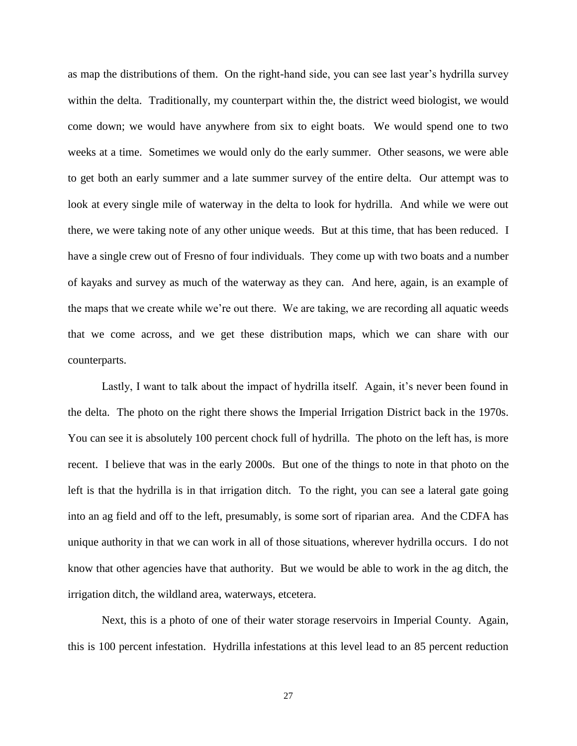as map the distributions of them. On the right-hand side, you can see last year's hydrilla survey within the delta. Traditionally, my counterpart within the, the district weed biologist, we would come down; we would have anywhere from six to eight boats. We would spend one to two weeks at a time. Sometimes we would only do the early summer. Other seasons, we were able to get both an early summer and a late summer survey of the entire delta. Our attempt was to look at every single mile of waterway in the delta to look for hydrilla. And while we were out there, we were taking note of any other unique weeds. But at this time, that has been reduced. I have a single crew out of Fresno of four individuals. They come up with two boats and a number of kayaks and survey as much of the waterway as they can. And here, again, is an example of the maps that we create while we're out there. We are taking, we are recording all aquatic weeds that we come across, and we get these distribution maps, which we can share with our counterparts.

Lastly, I want to talk about the impact of hydrilla itself. Again, it's never been found in the delta. The photo on the right there shows the Imperial Irrigation District back in the 1970s. You can see it is absolutely 100 percent chock full of hydrilla. The photo on the left has, is more recent. I believe that was in the early 2000s. But one of the things to note in that photo on the left is that the hydrilla is in that irrigation ditch. To the right, you can see a lateral gate going into an ag field and off to the left, presumably, is some sort of riparian area. And the CDFA has unique authority in that we can work in all of those situations, wherever hydrilla occurs. I do not know that other agencies have that authority. But we would be able to work in the ag ditch, the irrigation ditch, the wildland area, waterways, etcetera.

Next, this is a photo of one of their water storage reservoirs in Imperial County. Again, this is 100 percent infestation. Hydrilla infestations at this level lead to an 85 percent reduction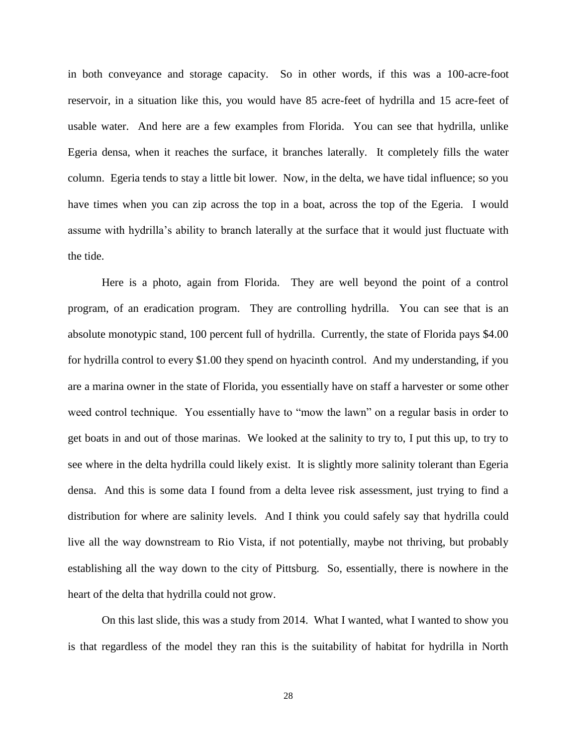in both conveyance and storage capacity. So in other words, if this was a 100-acre-foot reservoir, in a situation like this, you would have 85 acre-feet of hydrilla and 15 acre-feet of usable water. And here are a few examples from Florida. You can see that hydrilla, unlike Egeria densa, when it reaches the surface, it branches laterally. It completely fills the water column. Egeria tends to stay a little bit lower. Now, in the delta, we have tidal influence; so you have times when you can zip across the top in a boat, across the top of the Egeria. I would assume with hydrilla's ability to branch laterally at the surface that it would just fluctuate with the tide.

Here is a photo, again from Florida. They are well beyond the point of a control program, of an eradication program. They are controlling hydrilla. You can see that is an absolute monotypic stand, 100 percent full of hydrilla. Currently, the state of Florida pays \$4.00 for hydrilla control to every \$1.00 they spend on hyacinth control. And my understanding, if you are a marina owner in the state of Florida, you essentially have on staff a harvester or some other weed control technique. You essentially have to "mow the lawn" on a regular basis in order to get boats in and out of those marinas. We looked at the salinity to try to, I put this up, to try to see where in the delta hydrilla could likely exist. It is slightly more salinity tolerant than Egeria densa. And this is some data I found from a delta levee risk assessment, just trying to find a distribution for where are salinity levels. And I think you could safely say that hydrilla could live all the way downstream to Rio Vista, if not potentially, maybe not thriving, but probably establishing all the way down to the city of Pittsburg. So, essentially, there is nowhere in the heart of the delta that hydrilla could not grow.

On this last slide, this was a study from 2014. What I wanted, what I wanted to show you is that regardless of the model they ran this is the suitability of habitat for hydrilla in North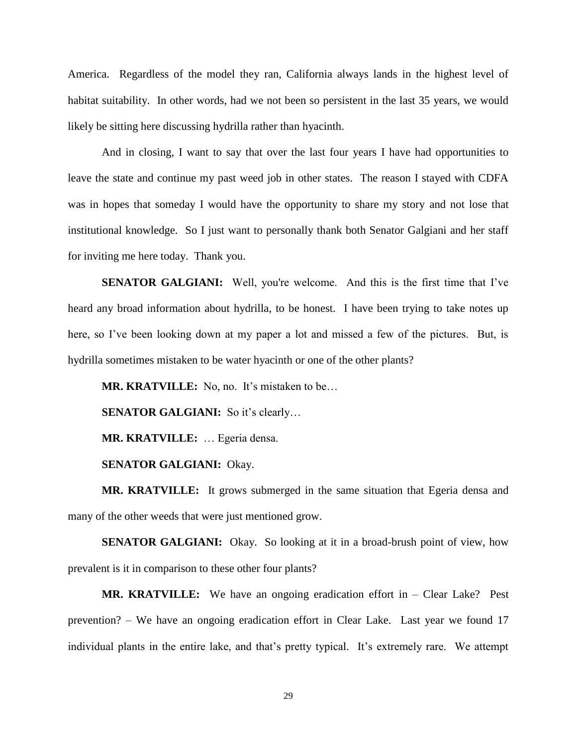America. Regardless of the model they ran, California always lands in the highest level of habitat suitability. In other words, had we not been so persistent in the last 35 years, we would likely be sitting here discussing hydrilla rather than hyacinth.

And in closing, I want to say that over the last four years I have had opportunities to leave the state and continue my past weed job in other states. The reason I stayed with CDFA was in hopes that someday I would have the opportunity to share my story and not lose that institutional knowledge. So I just want to personally thank both Senator Galgiani and her staff for inviting me here today. Thank you.

**SENATOR GALGIANI:** Well, you're welcome. And this is the first time that I've heard any broad information about hydrilla, to be honest. I have been trying to take notes up here, so I've been looking down at my paper a lot and missed a few of the pictures. But, is hydrilla sometimes mistaken to be water hyacinth or one of the other plants?

**MR. KRATVILLE:** No, no. It's mistaken to be...

**SENATOR GALGIANI:** So it's clearly...

**MR. KRATVILLE:** … Egeria densa.

**SENATOR GALGIANI:** Okay.

**MR. KRATVILLE:** It grows submerged in the same situation that Egeria densa and many of the other weeds that were just mentioned grow.

**SENATOR GALGIANI:** Okay. So looking at it in a broad-brush point of view, how prevalent is it in comparison to these other four plants?

**MR. KRATVILLE:** We have an ongoing eradication effort in – Clear Lake? Pest prevention? – We have an ongoing eradication effort in Clear Lake. Last year we found 17 individual plants in the entire lake, and that's pretty typical. It's extremely rare. We attempt

29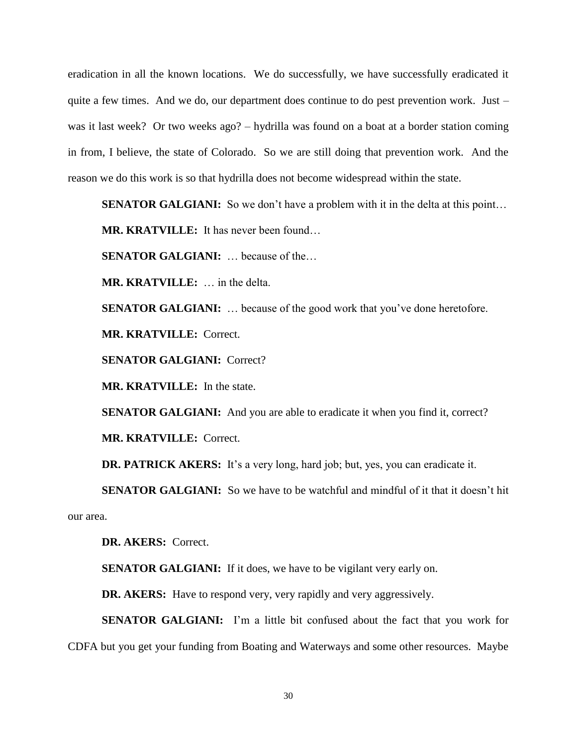eradication in all the known locations. We do successfully, we have successfully eradicated it quite a few times. And we do, our department does continue to do pest prevention work. Just – was it last week? Or two weeks ago? – hydrilla was found on a boat at a border station coming in from, I believe, the state of Colorado. So we are still doing that prevention work. And the reason we do this work is so that hydrilla does not become widespread within the state.

**SENATOR GALGIANI:** So we don't have a problem with it in the delta at this point...

**MR. KRATVILLE:** It has never been found…

**SENATOR GALGIANI:** … because of the…

**MR. KRATVILLE:** … in the delta.

**SENATOR GALGIANI:** ... because of the good work that you've done heretofore.

**MR. KRATVILLE:** Correct.

**SENATOR GALGIANI:** Correct?

**MR. KRATVILLE:** In the state.

**SENATOR GALGIANI:** And you are able to eradicate it when you find it, correct? **MR. KRATVILLE:** Correct.

**DR. PATRICK AKERS:** It's a very long, hard job; but, yes, you can eradicate it.

**SENATOR GALGIANI:** So we have to be watchful and mindful of it that it doesn't hit our area.

**DR. AKERS:** Correct.

**SENATOR GALGIANI:** If it does, we have to be vigilant very early on.

**DR. AKERS:** Have to respond very, very rapidly and very aggressively.

**SENATOR GALGIANI:** I'm a little bit confused about the fact that you work for CDFA but you get your funding from Boating and Waterways and some other resources. Maybe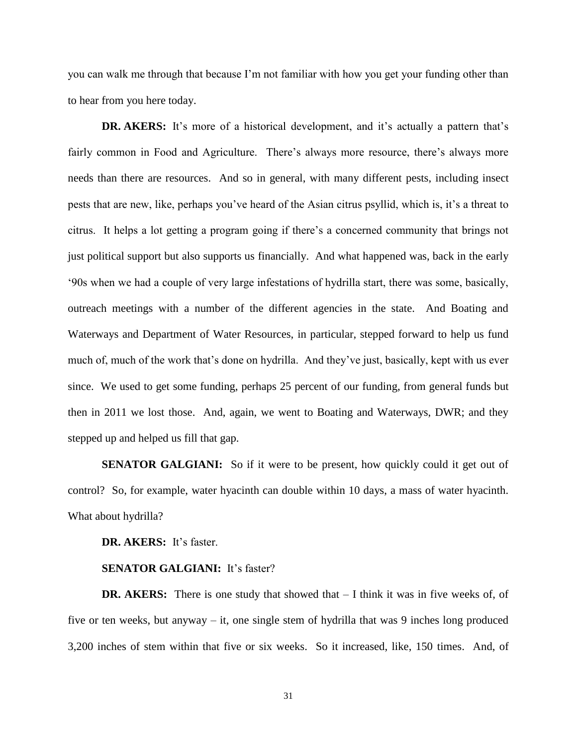you can walk me through that because I'm not familiar with how you get your funding other than to hear from you here today.

**DR. AKERS:** It's more of a historical development, and it's actually a pattern that's fairly common in Food and Agriculture. There's always more resource, there's always more needs than there are resources. And so in general, with many different pests, including insect pests that are new, like, perhaps you've heard of the Asian citrus psyllid, which is, it's a threat to citrus. It helps a lot getting a program going if there's a concerned community that brings not just political support but also supports us financially. And what happened was, back in the early '90s when we had a couple of very large infestations of hydrilla start, there was some, basically, outreach meetings with a number of the different agencies in the state. And Boating and Waterways and Department of Water Resources, in particular, stepped forward to help us fund much of, much of the work that's done on hydrilla. And they've just, basically, kept with us ever since. We used to get some funding, perhaps 25 percent of our funding, from general funds but then in 2011 we lost those. And, again, we went to Boating and Waterways, DWR; and they stepped up and helped us fill that gap.

**SENATOR GALGIANI:** So if it were to be present, how quickly could it get out of control? So, for example, water hyacinth can double within 10 days, a mass of water hyacinth. What about hydrilla?

**DR. AKERS:** It's faster.

#### **SENATOR GALGIANI:** It's faster?

**DR. AKERS:** There is one study that showed that – I think it was in five weeks of, of five or ten weeks, but anyway – it, one single stem of hydrilla that was 9 inches long produced 3,200 inches of stem within that five or six weeks. So it increased, like, 150 times. And, of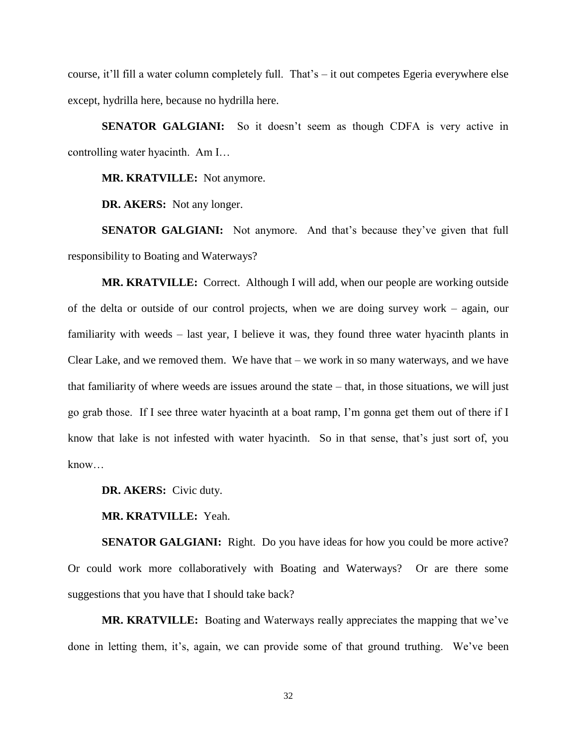course, it'll fill a water column completely full. That's – it out competes Egeria everywhere else except, hydrilla here, because no hydrilla here.

**SENATOR GALGIANI:** So it doesn't seem as though CDFA is very active in controlling water hyacinth. Am I…

**MR. KRATVILLE:** Not anymore.

**DR. AKERS:** Not any longer.

**SENATOR GALGIANI:** Not anymore. And that's because they've given that full responsibility to Boating and Waterways?

**MR. KRATVILLE:** Correct. Although I will add, when our people are working outside of the delta or outside of our control projects, when we are doing survey work – again, our familiarity with weeds – last year, I believe it was, they found three water hyacinth plants in Clear Lake, and we removed them. We have that – we work in so many waterways, and we have that familiarity of where weeds are issues around the state – that, in those situations, we will just go grab those. If I see three water hyacinth at a boat ramp, I'm gonna get them out of there if I know that lake is not infested with water hyacinth. So in that sense, that's just sort of, you know…

**DR. AKERS:** Civic duty.

**MR. KRATVILLE:** Yeah.

**SENATOR GALGIANI:** Right. Do you have ideas for how you could be more active? Or could work more collaboratively with Boating and Waterways? Or are there some suggestions that you have that I should take back?

**MR. KRATVILLE:** Boating and Waterways really appreciates the mapping that we've done in letting them, it's, again, we can provide some of that ground truthing. We've been

32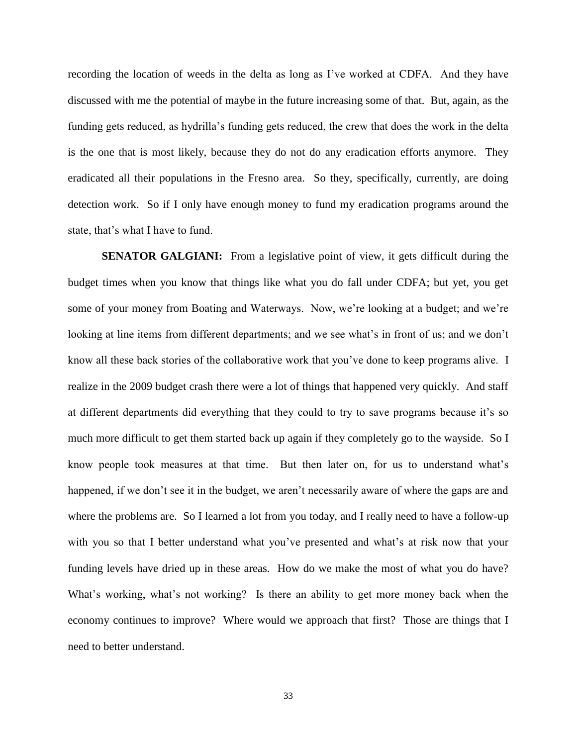recording the location of weeds in the delta as long as I've worked at CDFA. And they have discussed with me the potential of maybe in the future increasing some of that. But, again, as the funding gets reduced, as hydrilla's funding gets reduced, the crew that does the work in the delta is the one that is most likely, because they do not do any eradication efforts anymore. They eradicated all their populations in the Fresno area. So they, specifically, currently, are doing detection work. So if I only have enough money to fund my eradication programs around the state, that's what I have to fund.

**SENATOR GALGIANI:** From a legislative point of view, it gets difficult during the budget times when you know that things like what you do fall under CDFA; but yet, you get some of your money from Boating and Waterways. Now, we're looking at a budget; and we're looking at line items from different departments; and we see what's in front of us; and we don't know all these back stories of the collaborative work that you've done to keep programs alive. I realize in the 2009 budget crash there were a lot of things that happened very quickly. And staff at different departments did everything that they could to try to save programs because it's so much more difficult to get them started back up again if they completely go to the wayside. So I know people took measures at that time. But then later on, for us to understand what's happened, if we don't see it in the budget, we aren't necessarily aware of where the gaps are and where the problems are. So I learned a lot from you today, and I really need to have a follow-up with you so that I better understand what you've presented and what's at risk now that your funding levels have dried up in these areas. How do we make the most of what you do have? What's working, what's not working? Is there an ability to get more money back when the economy continues to improve? Where would we approach that first? Those are things that I need to better understand.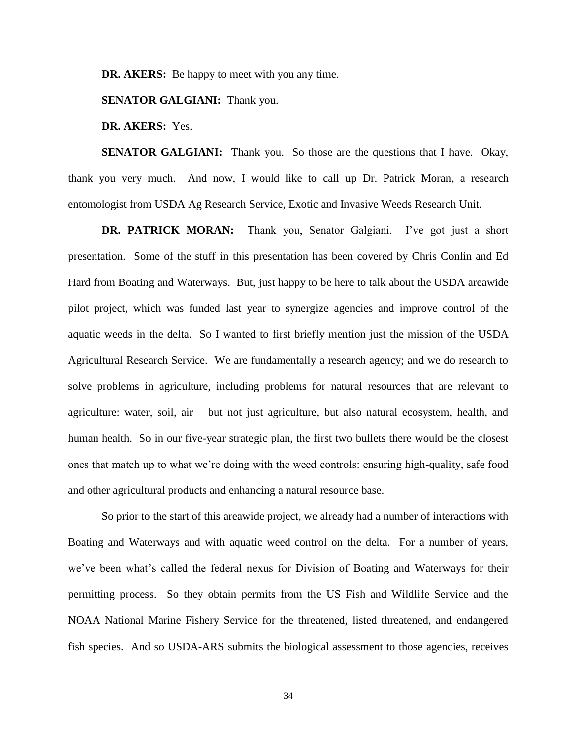**DR. AKERS:** Be happy to meet with you any time.

**SENATOR GALGIANI:** Thank you.

**DR. AKERS:** Yes.

**SENATOR GALGIANI:** Thank you. So those are the questions that I have. Okay, thank you very much. And now, I would like to call up Dr. Patrick Moran, a research entomologist from USDA Ag Research Service, Exotic and Invasive Weeds Research Unit.

**DR. PATRICK MORAN:** Thank you, Senator Galgiani. I've got just a short presentation. Some of the stuff in this presentation has been covered by Chris Conlin and Ed Hard from Boating and Waterways. But, just happy to be here to talk about the USDA areawide pilot project, which was funded last year to synergize agencies and improve control of the aquatic weeds in the delta. So I wanted to first briefly mention just the mission of the USDA Agricultural Research Service. We are fundamentally a research agency; and we do research to solve problems in agriculture, including problems for natural resources that are relevant to agriculture: water, soil, air – but not just agriculture, but also natural ecosystem, health, and human health. So in our five-year strategic plan, the first two bullets there would be the closest ones that match up to what we're doing with the weed controls: ensuring high-quality, safe food and other agricultural products and enhancing a natural resource base.

So prior to the start of this areawide project, we already had a number of interactions with Boating and Waterways and with aquatic weed control on the delta. For a number of years, we've been what's called the federal nexus for Division of Boating and Waterways for their permitting process. So they obtain permits from the US Fish and Wildlife Service and the NOAA National Marine Fishery Service for the threatened, listed threatened, and endangered fish species. And so USDA-ARS submits the biological assessment to those agencies, receives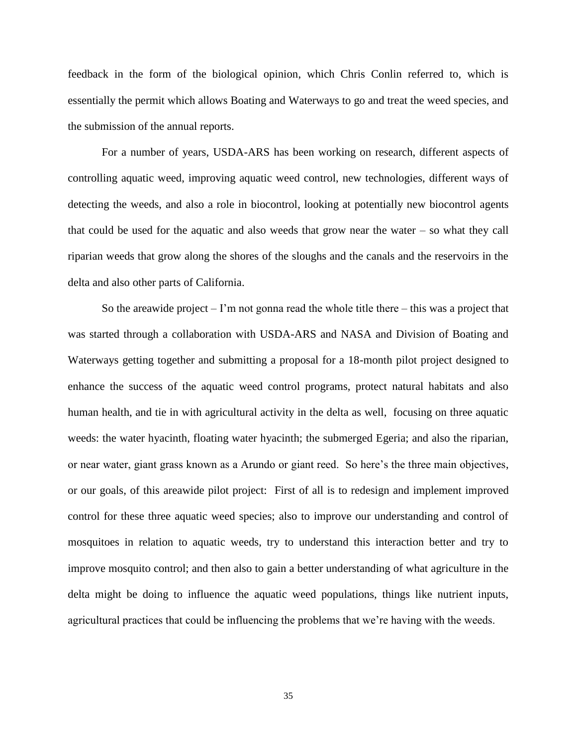feedback in the form of the biological opinion, which Chris Conlin referred to, which is essentially the permit which allows Boating and Waterways to go and treat the weed species, and the submission of the annual reports.

For a number of years, USDA-ARS has been working on research, different aspects of controlling aquatic weed, improving aquatic weed control, new technologies, different ways of detecting the weeds, and also a role in biocontrol, looking at potentially new biocontrol agents that could be used for the aquatic and also weeds that grow near the water – so what they call riparian weeds that grow along the shores of the sloughs and the canals and the reservoirs in the delta and also other parts of California.

So the areawide project  $- \Gamma$  m not gonna read the whole title there  $-$  this was a project that was started through a collaboration with USDA-ARS and NASA and Division of Boating and Waterways getting together and submitting a proposal for a 18-month pilot project designed to enhance the success of the aquatic weed control programs, protect natural habitats and also human health, and tie in with agricultural activity in the delta as well, focusing on three aquatic weeds: the water hyacinth, floating water hyacinth; the submerged Egeria; and also the riparian, or near water, giant grass known as a Arundo or giant reed. So here's the three main objectives, or our goals, of this areawide pilot project: First of all is to redesign and implement improved control for these three aquatic weed species; also to improve our understanding and control of mosquitoes in relation to aquatic weeds, try to understand this interaction better and try to improve mosquito control; and then also to gain a better understanding of what agriculture in the delta might be doing to influence the aquatic weed populations, things like nutrient inputs, agricultural practices that could be influencing the problems that we're having with the weeds.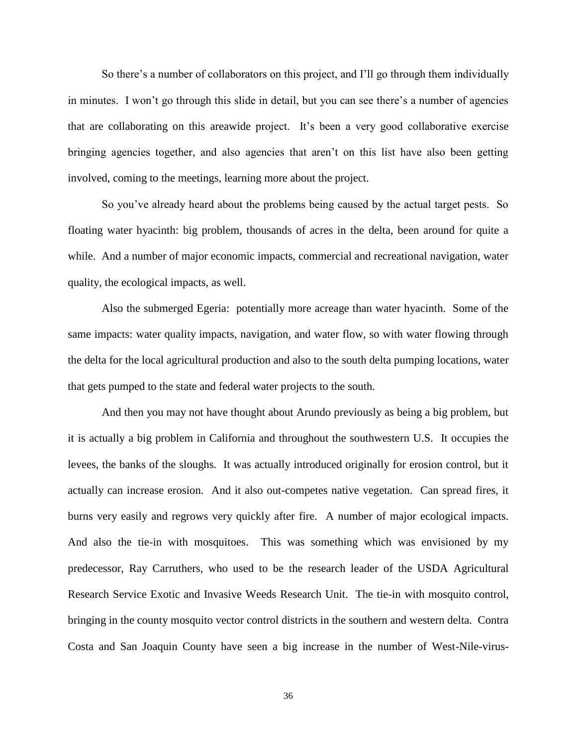So there's a number of collaborators on this project, and I'll go through them individually in minutes. I won't go through this slide in detail, but you can see there's a number of agencies that are collaborating on this areawide project. It's been a very good collaborative exercise bringing agencies together, and also agencies that aren't on this list have also been getting involved, coming to the meetings, learning more about the project.

So you've already heard about the problems being caused by the actual target pests. So floating water hyacinth: big problem, thousands of acres in the delta, been around for quite a while. And a number of major economic impacts, commercial and recreational navigation, water quality, the ecological impacts, as well.

Also the submerged Egeria: potentially more acreage than water hyacinth. Some of the same impacts: water quality impacts, navigation, and water flow, so with water flowing through the delta for the local agricultural production and also to the south delta pumping locations, water that gets pumped to the state and federal water projects to the south.

And then you may not have thought about Arundo previously as being a big problem, but it is actually a big problem in California and throughout the southwestern U.S. It occupies the levees, the banks of the sloughs. It was actually introduced originally for erosion control, but it actually can increase erosion. And it also out-competes native vegetation. Can spread fires, it burns very easily and regrows very quickly after fire. A number of major ecological impacts. And also the tie-in with mosquitoes. This was something which was envisioned by my predecessor, Ray Carruthers, who used to be the research leader of the USDA Agricultural Research Service Exotic and Invasive Weeds Research Unit. The tie-in with mosquito control, bringing in the county mosquito vector control districts in the southern and western delta. Contra Costa and San Joaquin County have seen a big increase in the number of West-Nile-virus-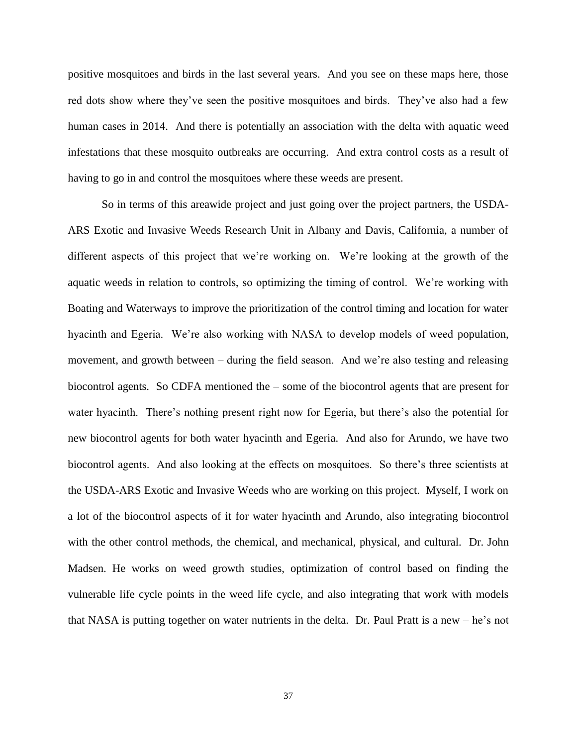positive mosquitoes and birds in the last several years. And you see on these maps here, those red dots show where they've seen the positive mosquitoes and birds. They've also had a few human cases in 2014. And there is potentially an association with the delta with aquatic weed infestations that these mosquito outbreaks are occurring. And extra control costs as a result of having to go in and control the mosquitoes where these weeds are present.

So in terms of this areawide project and just going over the project partners, the USDA-ARS Exotic and Invasive Weeds Research Unit in Albany and Davis, California, a number of different aspects of this project that we're working on. We're looking at the growth of the aquatic weeds in relation to controls, so optimizing the timing of control. We're working with Boating and Waterways to improve the prioritization of the control timing and location for water hyacinth and Egeria. We're also working with NASA to develop models of weed population, movement, and growth between – during the field season. And we're also testing and releasing biocontrol agents. So CDFA mentioned the – some of the biocontrol agents that are present for water hyacinth. There's nothing present right now for Egeria, but there's also the potential for new biocontrol agents for both water hyacinth and Egeria. And also for Arundo, we have two biocontrol agents. And also looking at the effects on mosquitoes. So there's three scientists at the USDA-ARS Exotic and Invasive Weeds who are working on this project. Myself, I work on a lot of the biocontrol aspects of it for water hyacinth and Arundo, also integrating biocontrol with the other control methods, the chemical, and mechanical, physical, and cultural. Dr. John Madsen. He works on weed growth studies, optimization of control based on finding the vulnerable life cycle points in the weed life cycle, and also integrating that work with models that NASA is putting together on water nutrients in the delta. Dr. Paul Pratt is a new – he's not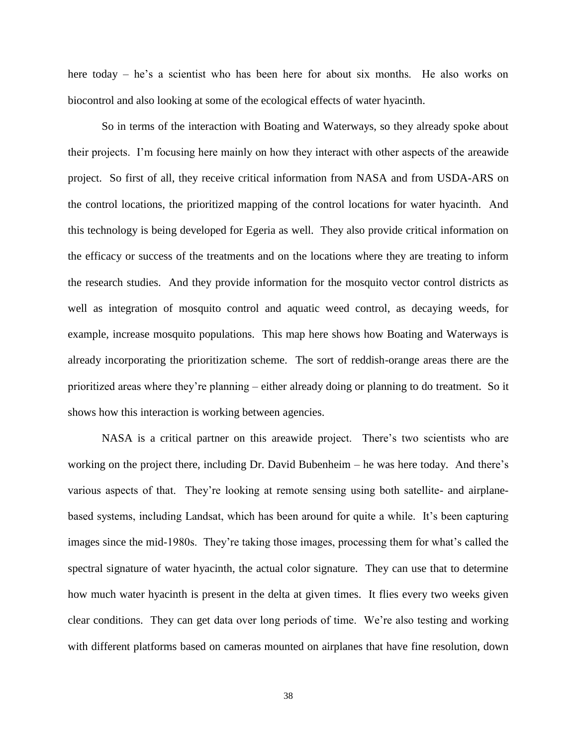here today – he's a scientist who has been here for about six months. He also works on biocontrol and also looking at some of the ecological effects of water hyacinth.

So in terms of the interaction with Boating and Waterways, so they already spoke about their projects. I'm focusing here mainly on how they interact with other aspects of the areawide project. So first of all, they receive critical information from NASA and from USDA-ARS on the control locations, the prioritized mapping of the control locations for water hyacinth. And this technology is being developed for Egeria as well. They also provide critical information on the efficacy or success of the treatments and on the locations where they are treating to inform the research studies. And they provide information for the mosquito vector control districts as well as integration of mosquito control and aquatic weed control, as decaying weeds, for example, increase mosquito populations. This map here shows how Boating and Waterways is already incorporating the prioritization scheme. The sort of reddish-orange areas there are the prioritized areas where they're planning – either already doing or planning to do treatment. So it shows how this interaction is working between agencies.

NASA is a critical partner on this areawide project. There's two scientists who are working on the project there, including Dr. David Bubenheim – he was here today. And there's various aspects of that. They're looking at remote sensing using both satellite- and airplanebased systems, including Landsat, which has been around for quite a while. It's been capturing images since the mid-1980s. They're taking those images, processing them for what's called the spectral signature of water hyacinth, the actual color signature. They can use that to determine how much water hyacinth is present in the delta at given times. It flies every two weeks given clear conditions. They can get data over long periods of time. We're also testing and working with different platforms based on cameras mounted on airplanes that have fine resolution, down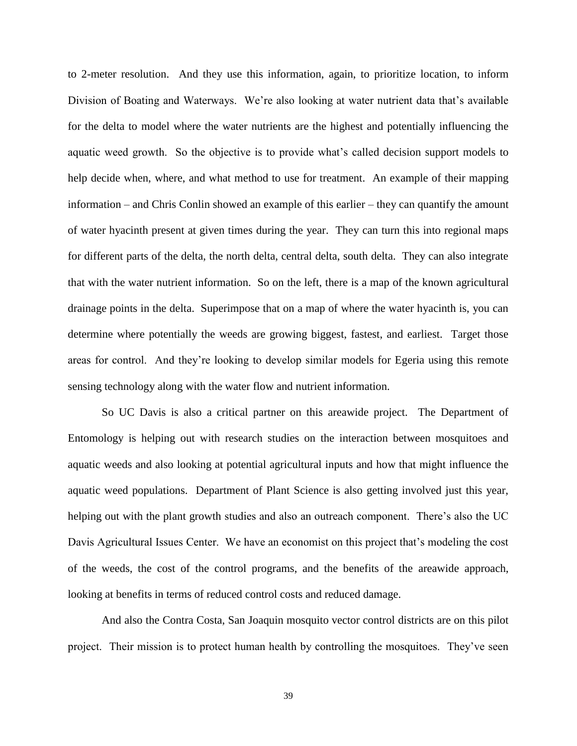to 2-meter resolution. And they use this information, again, to prioritize location, to inform Division of Boating and Waterways. We're also looking at water nutrient data that's available for the delta to model where the water nutrients are the highest and potentially influencing the aquatic weed growth. So the objective is to provide what's called decision support models to help decide when, where, and what method to use for treatment. An example of their mapping information – and Chris Conlin showed an example of this earlier – they can quantify the amount of water hyacinth present at given times during the year. They can turn this into regional maps for different parts of the delta, the north delta, central delta, south delta. They can also integrate that with the water nutrient information. So on the left, there is a map of the known agricultural drainage points in the delta. Superimpose that on a map of where the water hyacinth is, you can determine where potentially the weeds are growing biggest, fastest, and earliest. Target those areas for control. And they're looking to develop similar models for Egeria using this remote sensing technology along with the water flow and nutrient information.

So UC Davis is also a critical partner on this areawide project. The Department of Entomology is helping out with research studies on the interaction between mosquitoes and aquatic weeds and also looking at potential agricultural inputs and how that might influence the aquatic weed populations. Department of Plant Science is also getting involved just this year, helping out with the plant growth studies and also an outreach component. There's also the UC Davis Agricultural Issues Center. We have an economist on this project that's modeling the cost of the weeds, the cost of the control programs, and the benefits of the areawide approach, looking at benefits in terms of reduced control costs and reduced damage.

And also the Contra Costa, San Joaquin mosquito vector control districts are on this pilot project. Their mission is to protect human health by controlling the mosquitoes. They've seen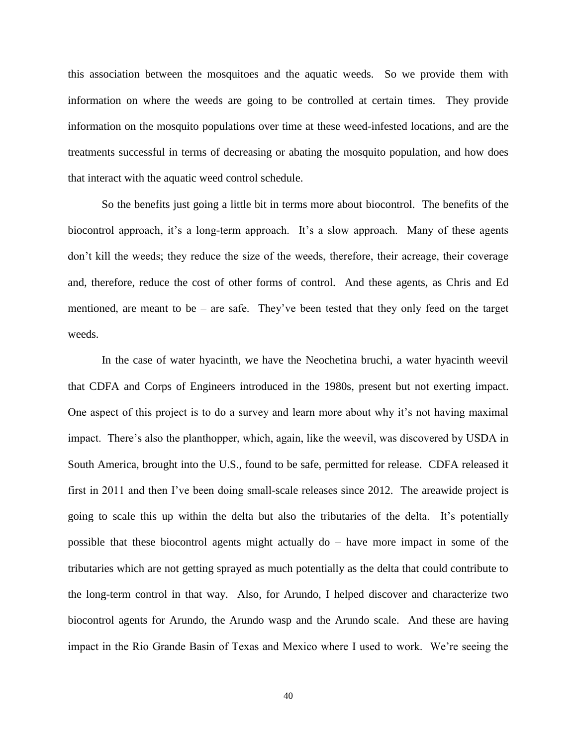this association between the mosquitoes and the aquatic weeds. So we provide them with information on where the weeds are going to be controlled at certain times. They provide information on the mosquito populations over time at these weed-infested locations, and are the treatments successful in terms of decreasing or abating the mosquito population, and how does that interact with the aquatic weed control schedule.

So the benefits just going a little bit in terms more about biocontrol. The benefits of the biocontrol approach, it's a long-term approach. It's a slow approach. Many of these agents don't kill the weeds; they reduce the size of the weeds, therefore, their acreage, their coverage and, therefore, reduce the cost of other forms of control. And these agents, as Chris and Ed mentioned, are meant to be – are safe. They've been tested that they only feed on the target weeds.

In the case of water hyacinth, we have the Neochetina bruchi, a water hyacinth weevil that CDFA and Corps of Engineers introduced in the 1980s, present but not exerting impact. One aspect of this project is to do a survey and learn more about why it's not having maximal impact. There's also the planthopper, which, again, like the weevil, was discovered by USDA in South America, brought into the U.S., found to be safe, permitted for release. CDFA released it first in 2011 and then I've been doing small-scale releases since 2012. The areawide project is going to scale this up within the delta but also the tributaries of the delta. It's potentially possible that these biocontrol agents might actually do – have more impact in some of the tributaries which are not getting sprayed as much potentially as the delta that could contribute to the long-term control in that way. Also, for Arundo, I helped discover and characterize two biocontrol agents for Arundo, the Arundo wasp and the Arundo scale. And these are having impact in the Rio Grande Basin of Texas and Mexico where I used to work. We're seeing the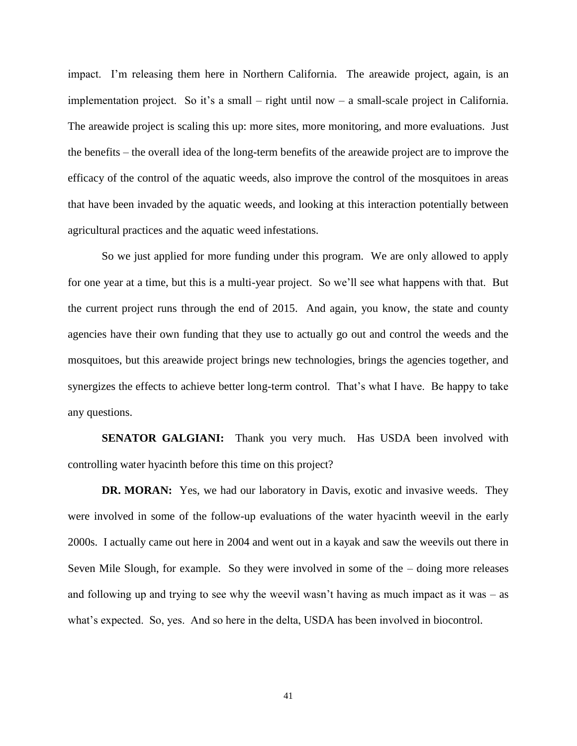impact. I'm releasing them here in Northern California. The areawide project, again, is an implementation project. So it's a small – right until now – a small-scale project in California. The areawide project is scaling this up: more sites, more monitoring, and more evaluations. Just the benefits – the overall idea of the long-term benefits of the areawide project are to improve the efficacy of the control of the aquatic weeds, also improve the control of the mosquitoes in areas that have been invaded by the aquatic weeds, and looking at this interaction potentially between agricultural practices and the aquatic weed infestations.

So we just applied for more funding under this program. We are only allowed to apply for one year at a time, but this is a multi-year project. So we'll see what happens with that. But the current project runs through the end of 2015. And again, you know, the state and county agencies have their own funding that they use to actually go out and control the weeds and the mosquitoes, but this areawide project brings new technologies, brings the agencies together, and synergizes the effects to achieve better long-term control. That's what I have. Be happy to take any questions.

**SENATOR GALGIANI:** Thank you very much. Has USDA been involved with controlling water hyacinth before this time on this project?

**DR. MORAN:** Yes, we had our laboratory in Davis, exotic and invasive weeds. They were involved in some of the follow-up evaluations of the water hyacinth weevil in the early 2000s. I actually came out here in 2004 and went out in a kayak and saw the weevils out there in Seven Mile Slough, for example. So they were involved in some of the – doing more releases and following up and trying to see why the weevil wasn't having as much impact as it was  $-$  as what's expected. So, yes. And so here in the delta, USDA has been involved in biocontrol.

41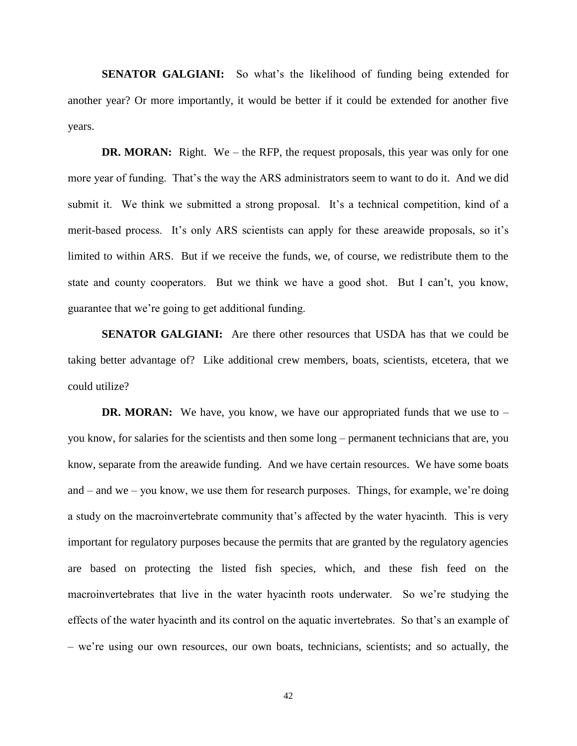**SENATOR GALGIANI:** So what's the likelihood of funding being extended for another year? Or more importantly, it would be better if it could be extended for another five years.

**DR. MORAN:** Right. We – the RFP, the request proposals, this year was only for one more year of funding. That's the way the ARS administrators seem to want to do it. And we did submit it. We think we submitted a strong proposal. It's a technical competition, kind of a merit-based process. It's only ARS scientists can apply for these areawide proposals, so it's limited to within ARS. But if we receive the funds, we, of course, we redistribute them to the state and county cooperators. But we think we have a good shot. But I can't, you know, guarantee that we're going to get additional funding.

**SENATOR GALGIANI:** Are there other resources that USDA has that we could be taking better advantage of? Like additional crew members, boats, scientists, etcetera, that we could utilize?

**DR. MORAN:** We have, you know, we have our appropriated funds that we use to – you know, for salaries for the scientists and then some long – permanent technicians that are, you know, separate from the areawide funding. And we have certain resources. We have some boats and – and we – you know, we use them for research purposes. Things, for example, we're doing a study on the macroinvertebrate community that's affected by the water hyacinth. This is very important for regulatory purposes because the permits that are granted by the regulatory agencies are based on protecting the listed fish species, which, and these fish feed on the macroinvertebrates that live in the water hyacinth roots underwater. So we're studying the effects of the water hyacinth and its control on the aquatic invertebrates. So that's an example of – we're using our own resources, our own boats, technicians, scientists; and so actually, the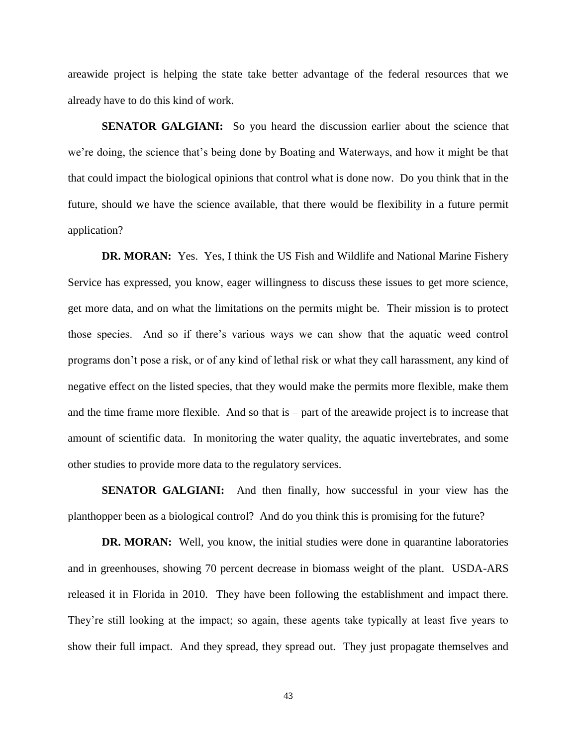areawide project is helping the state take better advantage of the federal resources that we already have to do this kind of work.

**SENATOR GALGIANI:** So you heard the discussion earlier about the science that we're doing, the science that's being done by Boating and Waterways, and how it might be that that could impact the biological opinions that control what is done now. Do you think that in the future, should we have the science available, that there would be flexibility in a future permit application?

**DR. MORAN:** Yes. Yes, I think the US Fish and Wildlife and National Marine Fishery Service has expressed, you know, eager willingness to discuss these issues to get more science, get more data, and on what the limitations on the permits might be. Their mission is to protect those species. And so if there's various ways we can show that the aquatic weed control programs don't pose a risk, or of any kind of lethal risk or what they call harassment, any kind of negative effect on the listed species, that they would make the permits more flexible, make them and the time frame more flexible. And so that is – part of the areawide project is to increase that amount of scientific data. In monitoring the water quality, the aquatic invertebrates, and some other studies to provide more data to the regulatory services.

**SENATOR GALGIANI:** And then finally, how successful in your view has the planthopper been as a biological control? And do you think this is promising for the future?

**DR. MORAN:** Well, you know, the initial studies were done in quarantine laboratories and in greenhouses, showing 70 percent decrease in biomass weight of the plant. USDA-ARS released it in Florida in 2010. They have been following the establishment and impact there. They're still looking at the impact; so again, these agents take typically at least five years to show their full impact. And they spread, they spread out. They just propagate themselves and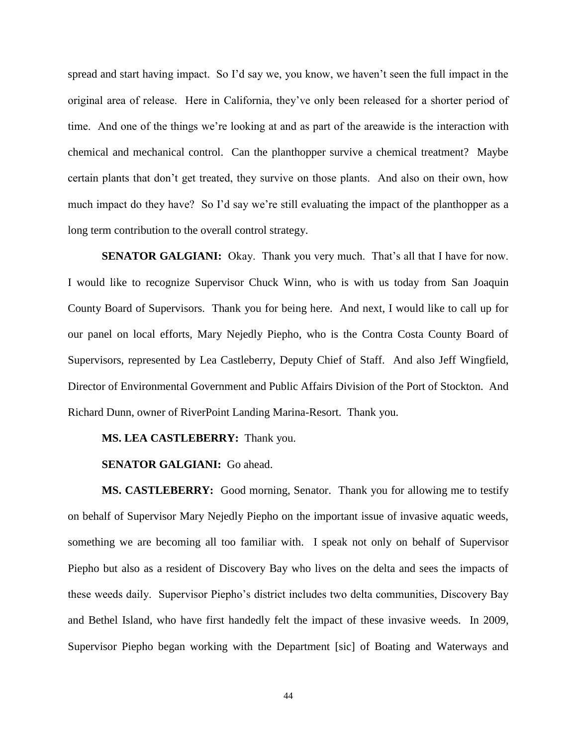spread and start having impact. So I'd say we, you know, we haven't seen the full impact in the original area of release. Here in California, they've only been released for a shorter period of time. And one of the things we're looking at and as part of the areawide is the interaction with chemical and mechanical control. Can the planthopper survive a chemical treatment? Maybe certain plants that don't get treated, they survive on those plants. And also on their own, how much impact do they have? So I'd say we're still evaluating the impact of the planthopper as a long term contribution to the overall control strategy.

**SENATOR GALGIANI:** Okay. Thank you very much. That's all that I have for now. I would like to recognize Supervisor Chuck Winn, who is with us today from San Joaquin County Board of Supervisors. Thank you for being here. And next, I would like to call up for our panel on local efforts, Mary Nejedly Piepho, who is the Contra Costa County Board of Supervisors, represented by Lea Castleberry, Deputy Chief of Staff. And also Jeff Wingfield, Director of Environmental Government and Public Affairs Division of the Port of Stockton. And Richard Dunn, owner of RiverPoint Landing Marina-Resort. Thank you.

### **MS. LEA CASTLEBERRY:** Thank you.

## **SENATOR GALGIANI:** Go ahead.

**MS. CASTLEBERRY:** Good morning, Senator. Thank you for allowing me to testify on behalf of Supervisor Mary Nejedly Piepho on the important issue of invasive aquatic weeds, something we are becoming all too familiar with. I speak not only on behalf of Supervisor Piepho but also as a resident of Discovery Bay who lives on the delta and sees the impacts of these weeds daily. Supervisor Piepho's district includes two delta communities, Discovery Bay and Bethel Island, who have first handedly felt the impact of these invasive weeds. In 2009, Supervisor Piepho began working with the Department [sic] of Boating and Waterways and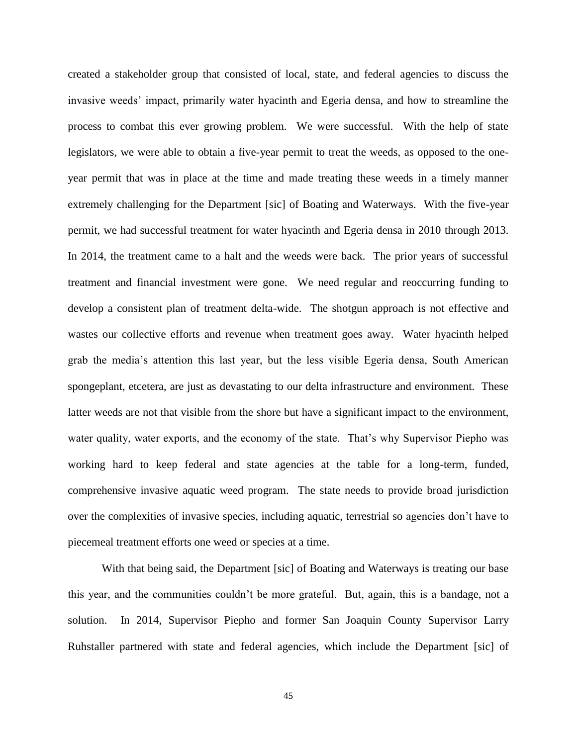created a stakeholder group that consisted of local, state, and federal agencies to discuss the invasive weeds' impact, primarily water hyacinth and Egeria densa, and how to streamline the process to combat this ever growing problem. We were successful. With the help of state legislators, we were able to obtain a five-year permit to treat the weeds, as opposed to the oneyear permit that was in place at the time and made treating these weeds in a timely manner extremely challenging for the Department [sic] of Boating and Waterways. With the five-year permit, we had successful treatment for water hyacinth and Egeria densa in 2010 through 2013. In 2014, the treatment came to a halt and the weeds were back. The prior years of successful treatment and financial investment were gone. We need regular and reoccurring funding to develop a consistent plan of treatment delta-wide. The shotgun approach is not effective and wastes our collective efforts and revenue when treatment goes away. Water hyacinth helped grab the media's attention this last year, but the less visible Egeria densa, South American spongeplant, etcetera, are just as devastating to our delta infrastructure and environment. These latter weeds are not that visible from the shore but have a significant impact to the environment, water quality, water exports, and the economy of the state. That's why Supervisor Piepho was working hard to keep federal and state agencies at the table for a long-term, funded, comprehensive invasive aquatic weed program. The state needs to provide broad jurisdiction over the complexities of invasive species, including aquatic, terrestrial so agencies don't have to piecemeal treatment efforts one weed or species at a time.

With that being said, the Department [sic] of Boating and Waterways is treating our base this year, and the communities couldn't be more grateful. But, again, this is a bandage, not a solution. In 2014, Supervisor Piepho and former San Joaquin County Supervisor Larry Ruhstaller partnered with state and federal agencies, which include the Department [sic] of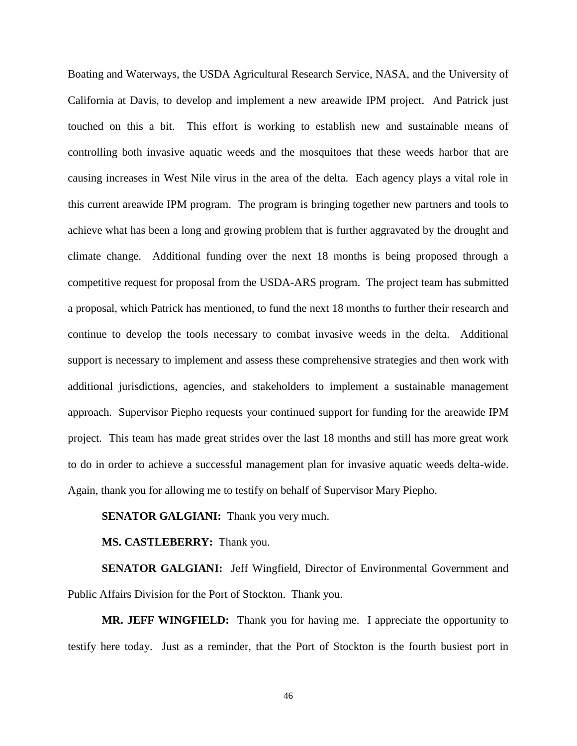Boating and Waterways, the USDA Agricultural Research Service, NASA, and the University of California at Davis, to develop and implement a new areawide IPM project. And Patrick just touched on this a bit. This effort is working to establish new and sustainable means of controlling both invasive aquatic weeds and the mosquitoes that these weeds harbor that are causing increases in West Nile virus in the area of the delta. Each agency plays a vital role in this current areawide IPM program. The program is bringing together new partners and tools to achieve what has been a long and growing problem that is further aggravated by the drought and climate change. Additional funding over the next 18 months is being proposed through a competitive request for proposal from the USDA-ARS program. The project team has submitted a proposal, which Patrick has mentioned, to fund the next 18 months to further their research and continue to develop the tools necessary to combat invasive weeds in the delta. Additional support is necessary to implement and assess these comprehensive strategies and then work with additional jurisdictions, agencies, and stakeholders to implement a sustainable management approach. Supervisor Piepho requests your continued support for funding for the areawide IPM project. This team has made great strides over the last 18 months and still has more great work to do in order to achieve a successful management plan for invasive aquatic weeds delta-wide. Again, thank you for allowing me to testify on behalf of Supervisor Mary Piepho.

## **SENATOR GALGIANI:** Thank you very much.

## **MS. CASTLEBERRY:** Thank you.

**SENATOR GALGIANI:** Jeff Wingfield, Director of Environmental Government and Public Affairs Division for the Port of Stockton. Thank you.

**MR. JEFF WINGFIELD:** Thank you for having me. I appreciate the opportunity to testify here today. Just as a reminder, that the Port of Stockton is the fourth busiest port in

46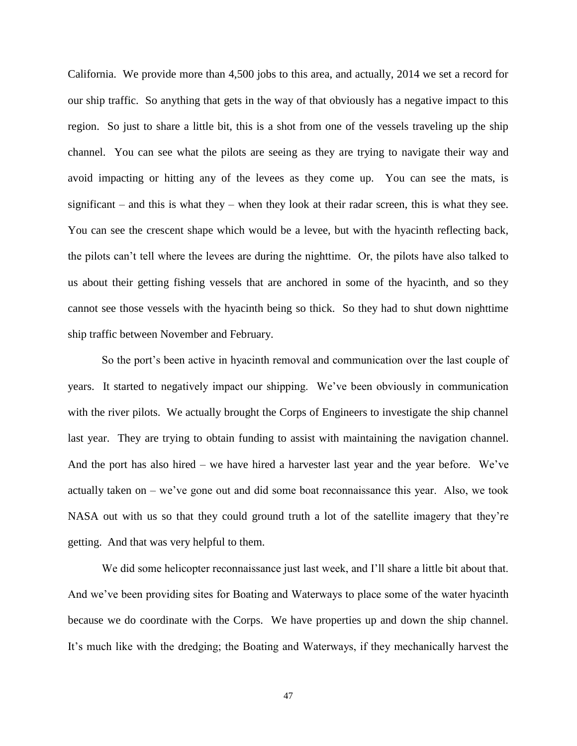California. We provide more than 4,500 jobs to this area, and actually, 2014 we set a record for our ship traffic. So anything that gets in the way of that obviously has a negative impact to this region. So just to share a little bit, this is a shot from one of the vessels traveling up the ship channel. You can see what the pilots are seeing as they are trying to navigate their way and avoid impacting or hitting any of the levees as they come up. You can see the mats, is significant – and this is what they – when they look at their radar screen, this is what they see. You can see the crescent shape which would be a levee, but with the hyacinth reflecting back, the pilots can't tell where the levees are during the nighttime. Or, the pilots have also talked to us about their getting fishing vessels that are anchored in some of the hyacinth, and so they cannot see those vessels with the hyacinth being so thick. So they had to shut down nighttime ship traffic between November and February.

So the port's been active in hyacinth removal and communication over the last couple of years. It started to negatively impact our shipping. We've been obviously in communication with the river pilots. We actually brought the Corps of Engineers to investigate the ship channel last year. They are trying to obtain funding to assist with maintaining the navigation channel. And the port has also hired – we have hired a harvester last year and the year before. We've actually taken on – we've gone out and did some boat reconnaissance this year. Also, we took NASA out with us so that they could ground truth a lot of the satellite imagery that they're getting. And that was very helpful to them.

We did some helicopter reconnaissance just last week, and I'll share a little bit about that. And we've been providing sites for Boating and Waterways to place some of the water hyacinth because we do coordinate with the Corps. We have properties up and down the ship channel. It's much like with the dredging; the Boating and Waterways, if they mechanically harvest the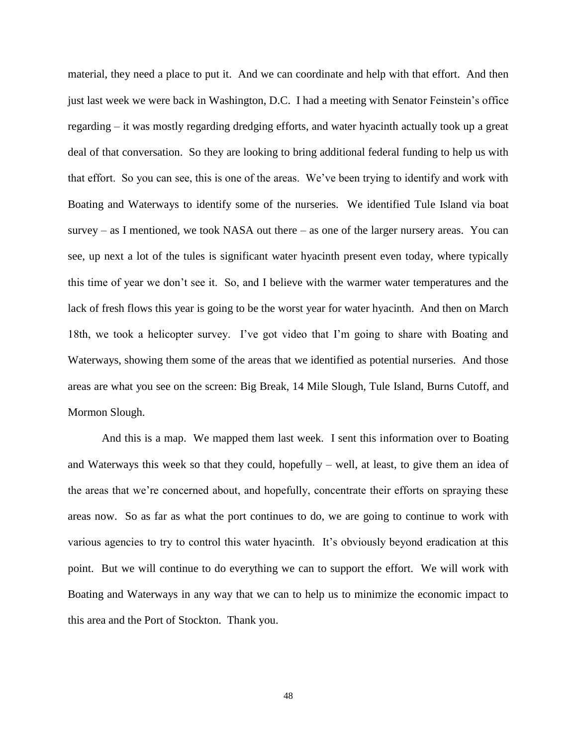material, they need a place to put it. And we can coordinate and help with that effort. And then just last week we were back in Washington, D.C. I had a meeting with Senator Feinstein's office regarding – it was mostly regarding dredging efforts, and water hyacinth actually took up a great deal of that conversation. So they are looking to bring additional federal funding to help us with that effort. So you can see, this is one of the areas. We've been trying to identify and work with Boating and Waterways to identify some of the nurseries. We identified Tule Island via boat survey – as I mentioned, we took NASA out there – as one of the larger nursery areas. You can see, up next a lot of the tules is significant water hyacinth present even today, where typically this time of year we don't see it. So, and I believe with the warmer water temperatures and the lack of fresh flows this year is going to be the worst year for water hyacinth. And then on March 18th, we took a helicopter survey. I've got video that I'm going to share with Boating and Waterways, showing them some of the areas that we identified as potential nurseries. And those areas are what you see on the screen: Big Break, 14 Mile Slough, Tule Island, Burns Cutoff, and Mormon Slough.

And this is a map. We mapped them last week. I sent this information over to Boating and Waterways this week so that they could, hopefully – well, at least, to give them an idea of the areas that we're concerned about, and hopefully, concentrate their efforts on spraying these areas now. So as far as what the port continues to do, we are going to continue to work with various agencies to try to control this water hyacinth. It's obviously beyond eradication at this point. But we will continue to do everything we can to support the effort. We will work with Boating and Waterways in any way that we can to help us to minimize the economic impact to this area and the Port of Stockton. Thank you.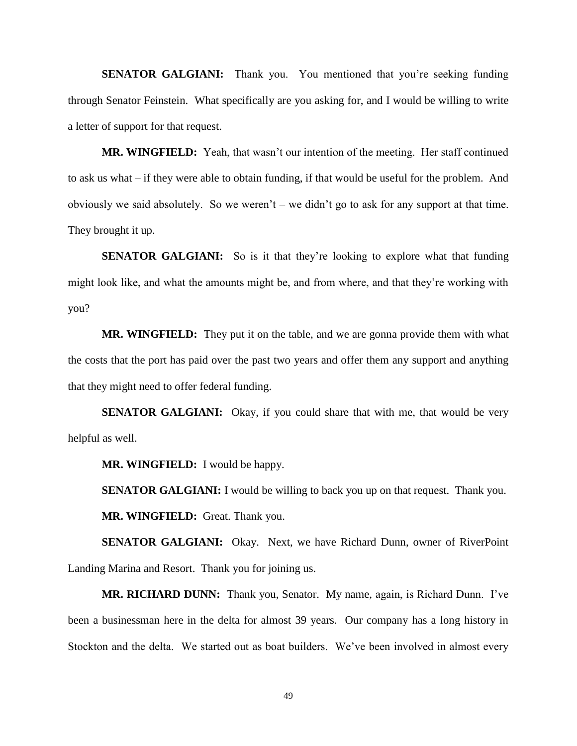**SENATOR GALGIANI:** Thank you. You mentioned that you're seeking funding through Senator Feinstein. What specifically are you asking for, and I would be willing to write a letter of support for that request.

**MR. WINGFIELD:** Yeah, that wasn't our intention of the meeting. Her staff continued to ask us what – if they were able to obtain funding, if that would be useful for the problem. And obviously we said absolutely. So we weren't – we didn't go to ask for any support at that time. They brought it up.

**SENATOR GALGIANI:** So is it that they're looking to explore what that funding might look like, and what the amounts might be, and from where, and that they're working with you?

**MR. WINGFIELD:** They put it on the table, and we are gonna provide them with what the costs that the port has paid over the past two years and offer them any support and anything that they might need to offer federal funding.

**SENATOR GALGIANI:** Okay, if you could share that with me, that would be very helpful as well.

**MR. WINGFIELD:** I would be happy.

**SENATOR GALGIANI:** I would be willing to back you up on that request. Thank you. **MR. WINGFIELD:** Great. Thank you.

**SENATOR GALGIANI:** Okay. Next, we have Richard Dunn, owner of RiverPoint Landing Marina and Resort. Thank you for joining us.

**MR. RICHARD DUNN:** Thank you, Senator. My name, again, is Richard Dunn. I've been a businessman here in the delta for almost 39 years. Our company has a long history in Stockton and the delta. We started out as boat builders. We've been involved in almost every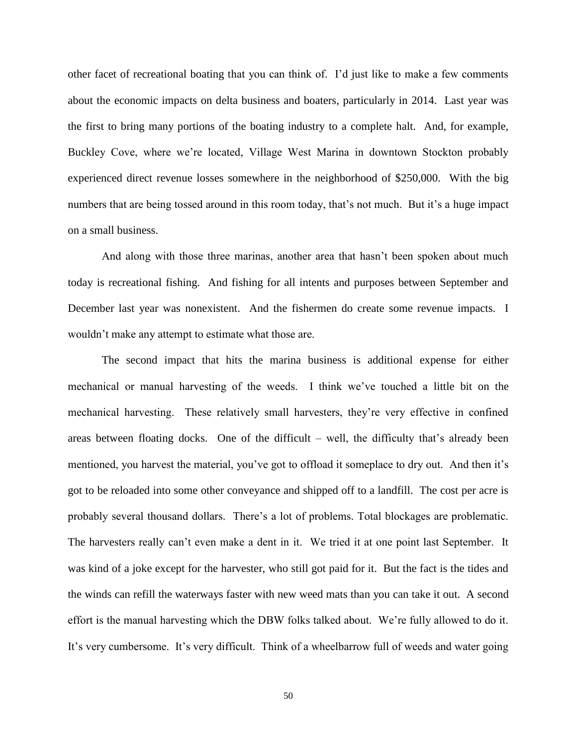other facet of recreational boating that you can think of. I'd just like to make a few comments about the economic impacts on delta business and boaters, particularly in 2014. Last year was the first to bring many portions of the boating industry to a complete halt. And, for example, Buckley Cove, where we're located, Village West Marina in downtown Stockton probably experienced direct revenue losses somewhere in the neighborhood of \$250,000. With the big numbers that are being tossed around in this room today, that's not much. But it's a huge impact on a small business.

And along with those three marinas, another area that hasn't been spoken about much today is recreational fishing. And fishing for all intents and purposes between September and December last year was nonexistent. And the fishermen do create some revenue impacts. I wouldn't make any attempt to estimate what those are.

The second impact that hits the marina business is additional expense for either mechanical or manual harvesting of the weeds. I think we've touched a little bit on the mechanical harvesting. These relatively small harvesters, they're very effective in confined areas between floating docks. One of the difficult – well, the difficulty that's already been mentioned, you harvest the material, you've got to offload it someplace to dry out. And then it's got to be reloaded into some other conveyance and shipped off to a landfill. The cost per acre is probably several thousand dollars. There's a lot of problems. Total blockages are problematic. The harvesters really can't even make a dent in it. We tried it at one point last September. It was kind of a joke except for the harvester, who still got paid for it. But the fact is the tides and the winds can refill the waterways faster with new weed mats than you can take it out. A second effort is the manual harvesting which the DBW folks talked about. We're fully allowed to do it. It's very cumbersome. It's very difficult. Think of a wheelbarrow full of weeds and water going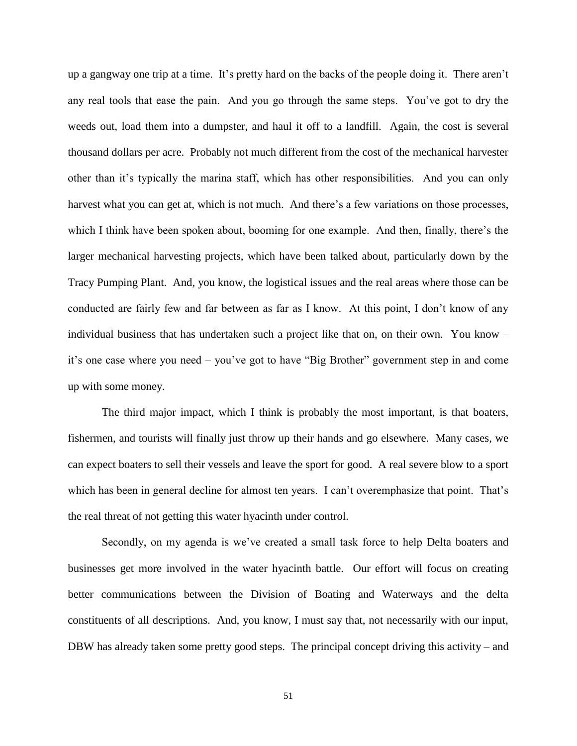up a gangway one trip at a time. It's pretty hard on the backs of the people doing it. There aren't any real tools that ease the pain. And you go through the same steps. You've got to dry the weeds out, load them into a dumpster, and haul it off to a landfill. Again, the cost is several thousand dollars per acre. Probably not much different from the cost of the mechanical harvester other than it's typically the marina staff, which has other responsibilities. And you can only harvest what you can get at, which is not much. And there's a few variations on those processes, which I think have been spoken about, booming for one example. And then, finally, there's the larger mechanical harvesting projects, which have been talked about, particularly down by the Tracy Pumping Plant. And, you know, the logistical issues and the real areas where those can be conducted are fairly few and far between as far as I know. At this point, I don't know of any individual business that has undertaken such a project like that on, on their own. You know – it's one case where you need – you've got to have "Big Brother" government step in and come up with some money.

The third major impact, which I think is probably the most important, is that boaters, fishermen, and tourists will finally just throw up their hands and go elsewhere. Many cases, we can expect boaters to sell their vessels and leave the sport for good. A real severe blow to a sport which has been in general decline for almost ten years. I can't overemphasize that point. That's the real threat of not getting this water hyacinth under control.

Secondly, on my agenda is we've created a small task force to help Delta boaters and businesses get more involved in the water hyacinth battle. Our effort will focus on creating better communications between the Division of Boating and Waterways and the delta constituents of all descriptions. And, you know, I must say that, not necessarily with our input, DBW has already taken some pretty good steps. The principal concept driving this activity – and

51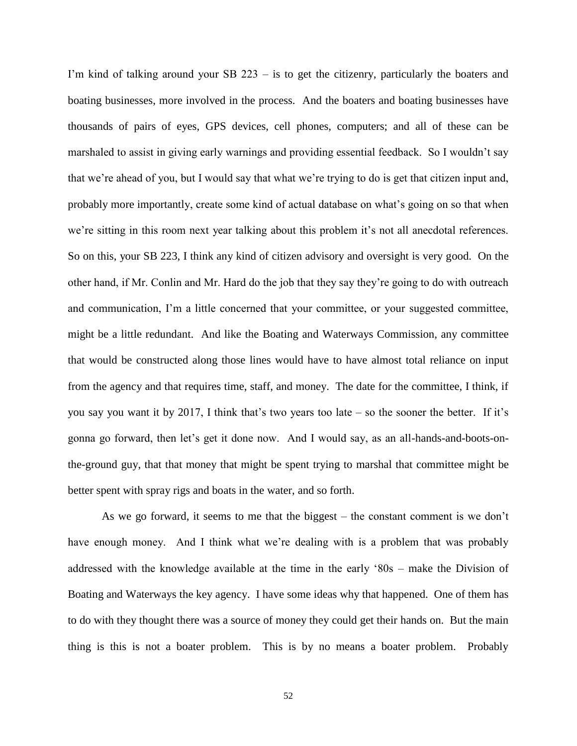I'm kind of talking around your SB 223 – is to get the citizenry, particularly the boaters and boating businesses, more involved in the process. And the boaters and boating businesses have thousands of pairs of eyes, GPS devices, cell phones, computers; and all of these can be marshaled to assist in giving early warnings and providing essential feedback. So I wouldn't say that we're ahead of you, but I would say that what we're trying to do is get that citizen input and, probably more importantly, create some kind of actual database on what's going on so that when we're sitting in this room next year talking about this problem it's not all anecdotal references. So on this, your SB 223, I think any kind of citizen advisory and oversight is very good. On the other hand, if Mr. Conlin and Mr. Hard do the job that they say they're going to do with outreach and communication, I'm a little concerned that your committee, or your suggested committee, might be a little redundant. And like the Boating and Waterways Commission, any committee that would be constructed along those lines would have to have almost total reliance on input from the agency and that requires time, staff, and money. The date for the committee, I think, if you say you want it by 2017, I think that's two years too late – so the sooner the better. If it's gonna go forward, then let's get it done now. And I would say, as an all-hands-and-boots-onthe-ground guy, that that money that might be spent trying to marshal that committee might be better spent with spray rigs and boats in the water, and so forth.

As we go forward, it seems to me that the biggest – the constant comment is we don't have enough money. And I think what we're dealing with is a problem that was probably addressed with the knowledge available at the time in the early '80s – make the Division of Boating and Waterways the key agency. I have some ideas why that happened. One of them has to do with they thought there was a source of money they could get their hands on. But the main thing is this is not a boater problem. This is by no means a boater problem. Probably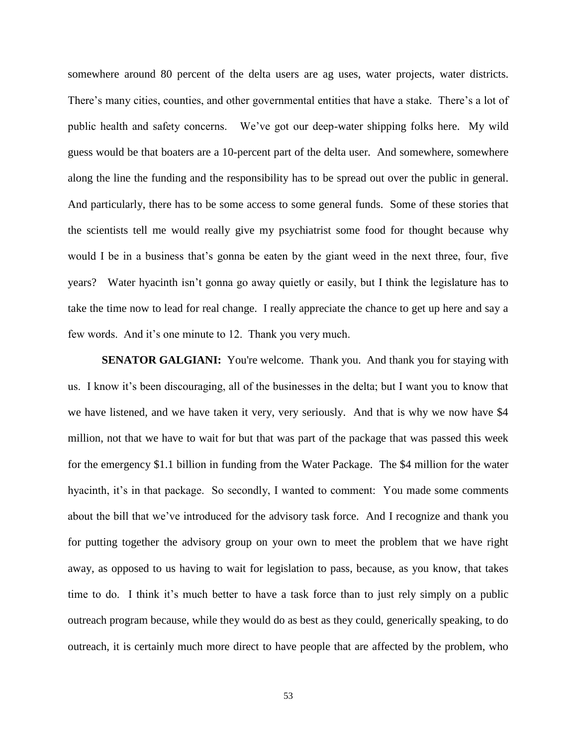somewhere around 80 percent of the delta users are ag uses, water projects, water districts. There's many cities, counties, and other governmental entities that have a stake. There's a lot of public health and safety concerns. We've got our deep-water shipping folks here. My wild guess would be that boaters are a 10-percent part of the delta user. And somewhere, somewhere along the line the funding and the responsibility has to be spread out over the public in general. And particularly, there has to be some access to some general funds. Some of these stories that the scientists tell me would really give my psychiatrist some food for thought because why would I be in a business that's gonna be eaten by the giant weed in the next three, four, five years? Water hyacinth isn't gonna go away quietly or easily, but I think the legislature has to take the time now to lead for real change. I really appreciate the chance to get up here and say a few words. And it's one minute to 12. Thank you very much.

**SENATOR GALGIANI:** You're welcome. Thank you. And thank you for staying with us. I know it's been discouraging, all of the businesses in the delta; but I want you to know that we have listened, and we have taken it very, very seriously. And that is why we now have \$4 million, not that we have to wait for but that was part of the package that was passed this week for the emergency \$1.1 billion in funding from the Water Package. The \$4 million for the water hyacinth, it's in that package. So secondly, I wanted to comment: You made some comments about the bill that we've introduced for the advisory task force. And I recognize and thank you for putting together the advisory group on your own to meet the problem that we have right away, as opposed to us having to wait for legislation to pass, because, as you know, that takes time to do. I think it's much better to have a task force than to just rely simply on a public outreach program because, while they would do as best as they could, generically speaking, to do outreach, it is certainly much more direct to have people that are affected by the problem, who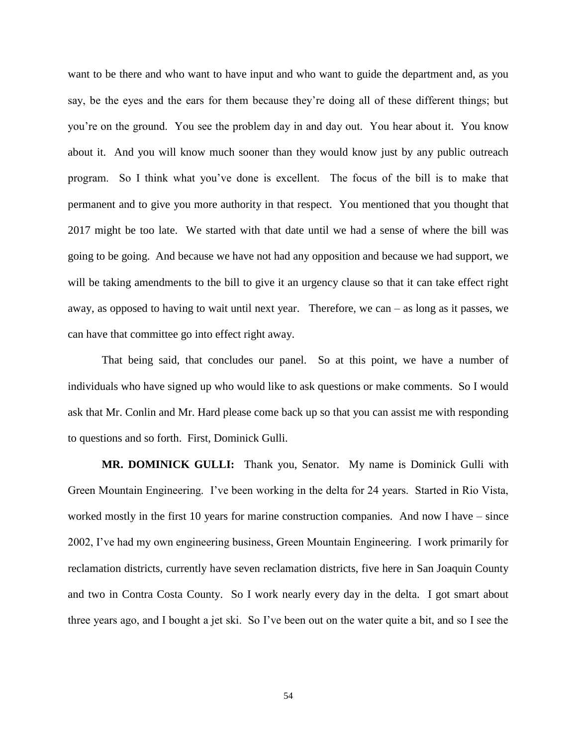want to be there and who want to have input and who want to guide the department and, as you say, be the eyes and the ears for them because they're doing all of these different things; but you're on the ground. You see the problem day in and day out. You hear about it. You know about it. And you will know much sooner than they would know just by any public outreach program. So I think what you've done is excellent. The focus of the bill is to make that permanent and to give you more authority in that respect. You mentioned that you thought that 2017 might be too late. We started with that date until we had a sense of where the bill was going to be going. And because we have not had any opposition and because we had support, we will be taking amendments to the bill to give it an urgency clause so that it can take effect right away, as opposed to having to wait until next year. Therefore, we can – as long as it passes, we can have that committee go into effect right away.

That being said, that concludes our panel. So at this point, we have a number of individuals who have signed up who would like to ask questions or make comments. So I would ask that Mr. Conlin and Mr. Hard please come back up so that you can assist me with responding to questions and so forth. First, Dominick Gulli.

**MR. DOMINICK GULLI:** Thank you, Senator. My name is Dominick Gulli with Green Mountain Engineering. I've been working in the delta for 24 years. Started in Rio Vista, worked mostly in the first 10 years for marine construction companies. And now I have – since 2002, I've had my own engineering business, Green Mountain Engineering. I work primarily for reclamation districts, currently have seven reclamation districts, five here in San Joaquin County and two in Contra Costa County. So I work nearly every day in the delta. I got smart about three years ago, and I bought a jet ski. So I've been out on the water quite a bit, and so I see the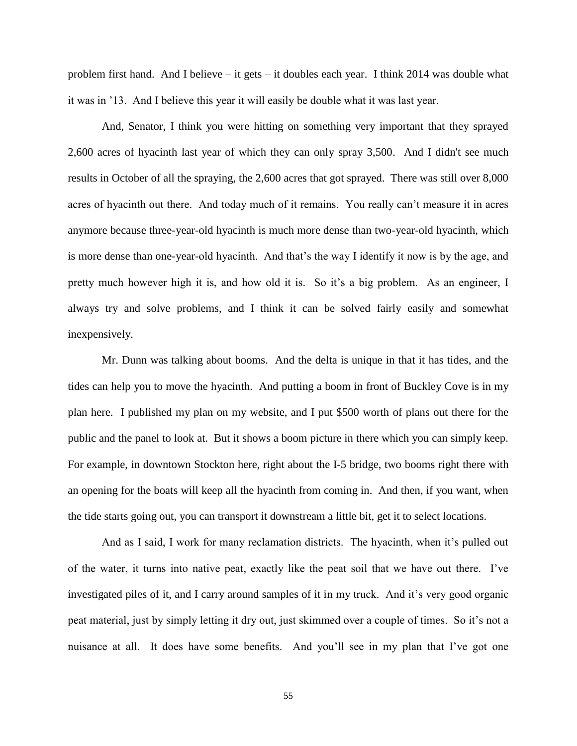problem first hand. And I believe – it gets – it doubles each year. I think 2014 was double what it was in '13. And I believe this year it will easily be double what it was last year.

And, Senator, I think you were hitting on something very important that they sprayed 2,600 acres of hyacinth last year of which they can only spray 3,500. And I didn't see much results in October of all the spraying, the 2,600 acres that got sprayed. There was still over 8,000 acres of hyacinth out there. And today much of it remains. You really can't measure it in acres anymore because three-year-old hyacinth is much more dense than two-year-old hyacinth, which is more dense than one-year-old hyacinth. And that's the way I identify it now is by the age, and pretty much however high it is, and how old it is. So it's a big problem. As an engineer, I always try and solve problems, and I think it can be solved fairly easily and somewhat inexpensively.

Mr. Dunn was talking about booms. And the delta is unique in that it has tides, and the tides can help you to move the hyacinth. And putting a boom in front of Buckley Cove is in my plan here. I published my plan on my website, and I put \$500 worth of plans out there for the public and the panel to look at. But it shows a boom picture in there which you can simply keep. For example, in downtown Stockton here, right about the I-5 bridge, two booms right there with an opening for the boats will keep all the hyacinth from coming in. And then, if you want, when the tide starts going out, you can transport it downstream a little bit, get it to select locations.

And as I said, I work for many reclamation districts. The hyacinth, when it's pulled out of the water, it turns into native peat, exactly like the peat soil that we have out there. I've investigated piles of it, and I carry around samples of it in my truck. And it's very good organic peat material, just by simply letting it dry out, just skimmed over a couple of times. So it's not a nuisance at all. It does have some benefits. And you'll see in my plan that I've got one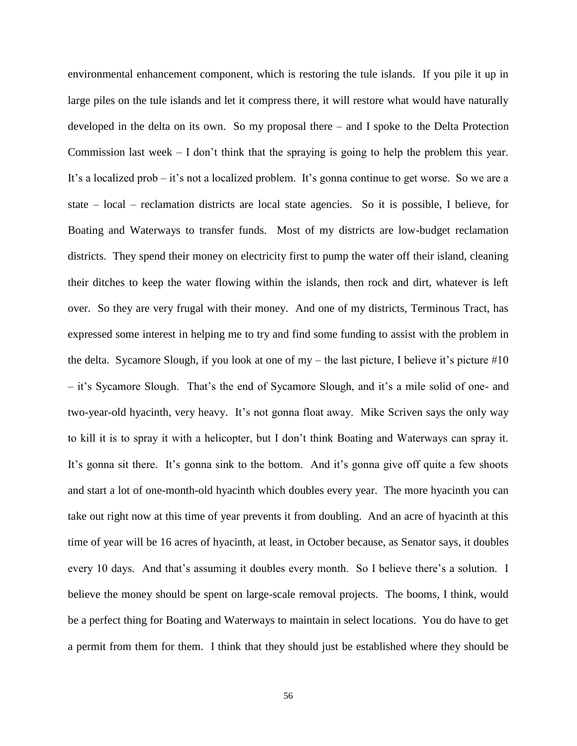environmental enhancement component, which is restoring the tule islands. If you pile it up in large piles on the tule islands and let it compress there, it will restore what would have naturally developed in the delta on its own. So my proposal there – and I spoke to the Delta Protection Commission last week  $- I$  don't think that the spraying is going to help the problem this year. It's a localized prob – it's not a localized problem. It's gonna continue to get worse. So we are a state – local – reclamation districts are local state agencies. So it is possible, I believe, for Boating and Waterways to transfer funds. Most of my districts are low-budget reclamation districts. They spend their money on electricity first to pump the water off their island, cleaning their ditches to keep the water flowing within the islands, then rock and dirt, whatever is left over. So they are very frugal with their money. And one of my districts, Terminous Tract, has expressed some interest in helping me to try and find some funding to assist with the problem in the delta. Sycamore Slough, if you look at one of  $my$  – the last picture, I believe it's picture #10 – it's Sycamore Slough. That's the end of Sycamore Slough, and it's a mile solid of one- and two-year-old hyacinth, very heavy. It's not gonna float away. Mike Scriven says the only way to kill it is to spray it with a helicopter, but I don't think Boating and Waterways can spray it. It's gonna sit there. It's gonna sink to the bottom. And it's gonna give off quite a few shoots and start a lot of one-month-old hyacinth which doubles every year. The more hyacinth you can take out right now at this time of year prevents it from doubling. And an acre of hyacinth at this time of year will be 16 acres of hyacinth, at least, in October because, as Senator says, it doubles every 10 days. And that's assuming it doubles every month. So I believe there's a solution. I believe the money should be spent on large-scale removal projects. The booms, I think, would be a perfect thing for Boating and Waterways to maintain in select locations. You do have to get a permit from them for them. I think that they should just be established where they should be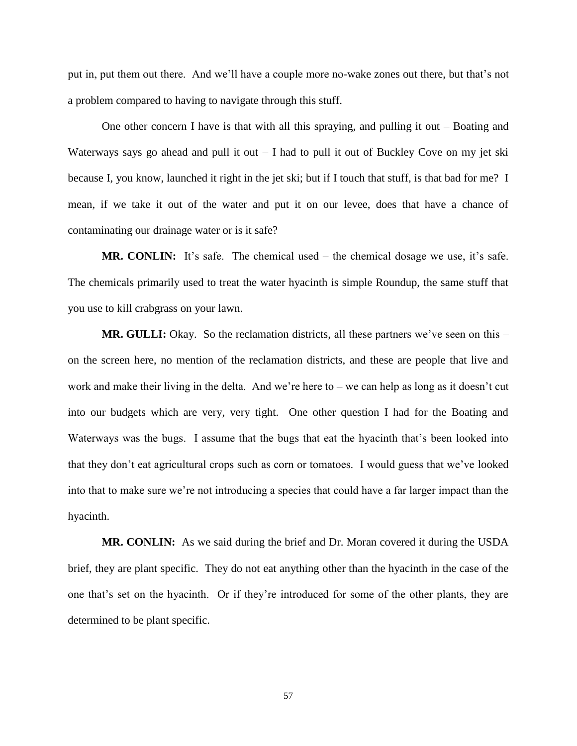put in, put them out there. And we'll have a couple more no-wake zones out there, but that's not a problem compared to having to navigate through this stuff.

One other concern I have is that with all this spraying, and pulling it out – Boating and Waterways says go ahead and pull it out  $-1$  had to pull it out of Buckley Cove on my jet ski because I, you know, launched it right in the jet ski; but if I touch that stuff, is that bad for me? I mean, if we take it out of the water and put it on our levee, does that have a chance of contaminating our drainage water or is it safe?

**MR. CONLIN:** It's safe. The chemical used – the chemical dosage we use, it's safe. The chemicals primarily used to treat the water hyacinth is simple Roundup, the same stuff that you use to kill crabgrass on your lawn.

**MR. GULLI:** Okay. So the reclamation districts, all these partners we've seen on this – on the screen here, no mention of the reclamation districts, and these are people that live and work and make their living in the delta. And we're here to – we can help as long as it doesn't cut into our budgets which are very, very tight. One other question I had for the Boating and Waterways was the bugs. I assume that the bugs that eat the hyacinth that's been looked into that they don't eat agricultural crops such as corn or tomatoes. I would guess that we've looked into that to make sure we're not introducing a species that could have a far larger impact than the hyacinth.

**MR. CONLIN:** As we said during the brief and Dr. Moran covered it during the USDA brief, they are plant specific. They do not eat anything other than the hyacinth in the case of the one that's set on the hyacinth. Or if they're introduced for some of the other plants, they are determined to be plant specific.

57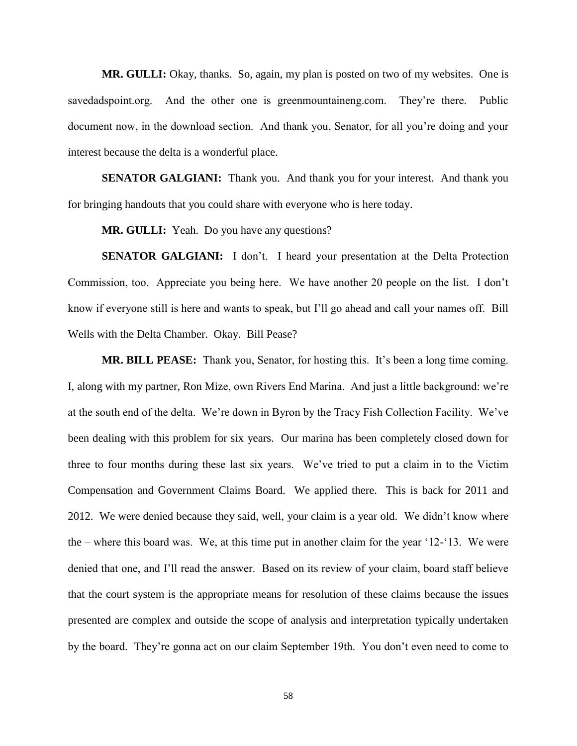**MR. GULLI:** Okay, thanks. So, again, my plan is posted on two of my websites. One is savedadspoint.org. And the other one is greenmountaineng.com. They're there. Public document now, in the download section. And thank you, Senator, for all you're doing and your interest because the delta is a wonderful place.

**SENATOR GALGIANI:** Thank you. And thank you for your interest. And thank you for bringing handouts that you could share with everyone who is here today.

**MR. GULLI:** Yeah. Do you have any questions?

**SENATOR GALGIANI:** I don't. I heard your presentation at the Delta Protection Commission, too. Appreciate you being here. We have another 20 people on the list. I don't know if everyone still is here and wants to speak, but I'll go ahead and call your names off. Bill Wells with the Delta Chamber. Okay. Bill Pease?

**MR. BILL PEASE:** Thank you, Senator, for hosting this. It's been a long time coming. I, along with my partner, Ron Mize, own Rivers End Marina. And just a little background: we're at the south end of the delta. We're down in Byron by the Tracy Fish Collection Facility. We've been dealing with this problem for six years. Our marina has been completely closed down for three to four months during these last six years. We've tried to put a claim in to the Victim Compensation and Government Claims Board. We applied there. This is back for 2011 and 2012. We were denied because they said, well, your claim is a year old. We didn't know where the – where this board was. We, at this time put in another claim for the year '12-'13. We were denied that one, and I'll read the answer. Based on its review of your claim, board staff believe that the court system is the appropriate means for resolution of these claims because the issues presented are complex and outside the scope of analysis and interpretation typically undertaken by the board. They're gonna act on our claim September 19th. You don't even need to come to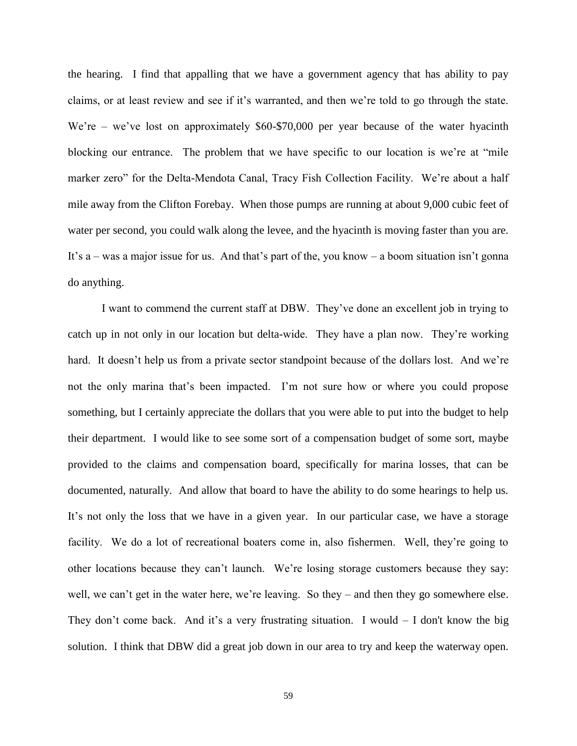the hearing. I find that appalling that we have a government agency that has ability to pay claims, or at least review and see if it's warranted, and then we're told to go through the state. We're – we've lost on approximately \$60-\$70,000 per year because of the water hyacinth blocking our entrance. The problem that we have specific to our location is we're at "mile marker zero" for the Delta-Mendota Canal, Tracy Fish Collection Facility. We're about a half mile away from the Clifton Forebay. When those pumps are running at about 9,000 cubic feet of water per second, you could walk along the levee, and the hyacinth is moving faster than you are. It's a – was a major issue for us. And that's part of the, you know – a boom situation isn't gonna do anything.

I want to commend the current staff at DBW. They've done an excellent job in trying to catch up in not only in our location but delta-wide. They have a plan now. They're working hard. It doesn't help us from a private sector standpoint because of the dollars lost. And we're not the only marina that's been impacted. I'm not sure how or where you could propose something, but I certainly appreciate the dollars that you were able to put into the budget to help their department. I would like to see some sort of a compensation budget of some sort, maybe provided to the claims and compensation board, specifically for marina losses, that can be documented, naturally. And allow that board to have the ability to do some hearings to help us. It's not only the loss that we have in a given year. In our particular case, we have a storage facility. We do a lot of recreational boaters come in, also fishermen. Well, they're going to other locations because they can't launch. We're losing storage customers because they say: well, we can't get in the water here, we're leaving. So they – and then they go somewhere else. They don't come back. And it's a very frustrating situation. I would  $-$  I don't know the big solution. I think that DBW did a great job down in our area to try and keep the waterway open.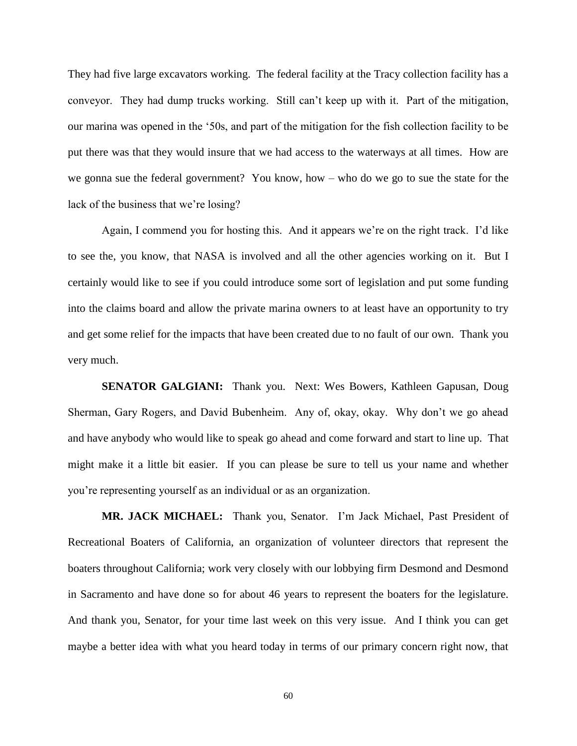They had five large excavators working. The federal facility at the Tracy collection facility has a conveyor. They had dump trucks working. Still can't keep up with it. Part of the mitigation, our marina was opened in the '50s, and part of the mitigation for the fish collection facility to be put there was that they would insure that we had access to the waterways at all times. How are we gonna sue the federal government? You know, how – who do we go to sue the state for the lack of the business that we're losing?

Again, I commend you for hosting this. And it appears we're on the right track. I'd like to see the, you know, that NASA is involved and all the other agencies working on it. But I certainly would like to see if you could introduce some sort of legislation and put some funding into the claims board and allow the private marina owners to at least have an opportunity to try and get some relief for the impacts that have been created due to no fault of our own. Thank you very much.

**SENATOR GALGIANI:** Thank you. Next: Wes Bowers, Kathleen Gapusan, Doug Sherman, Gary Rogers, and David Bubenheim. Any of, okay, okay. Why don't we go ahead and have anybody who would like to speak go ahead and come forward and start to line up. That might make it a little bit easier. If you can please be sure to tell us your name and whether you're representing yourself as an individual or as an organization.

**MR. JACK MICHAEL:** Thank you, Senator. I'm Jack Michael, Past President of Recreational Boaters of California, an organization of volunteer directors that represent the boaters throughout California; work very closely with our lobbying firm Desmond and Desmond in Sacramento and have done so for about 46 years to represent the boaters for the legislature. And thank you, Senator, for your time last week on this very issue. And I think you can get maybe a better idea with what you heard today in terms of our primary concern right now, that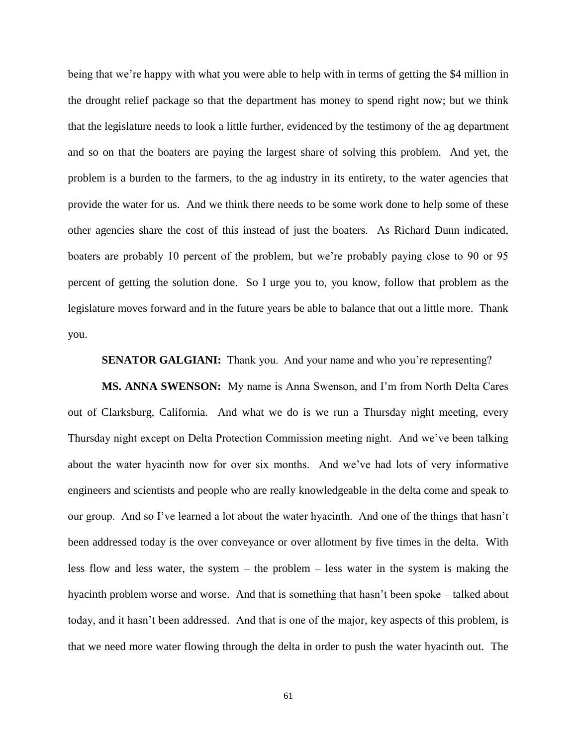being that we're happy with what you were able to help with in terms of getting the \$4 million in the drought relief package so that the department has money to spend right now; but we think that the legislature needs to look a little further, evidenced by the testimony of the ag department and so on that the boaters are paying the largest share of solving this problem. And yet, the problem is a burden to the farmers, to the ag industry in its entirety, to the water agencies that provide the water for us. And we think there needs to be some work done to help some of these other agencies share the cost of this instead of just the boaters. As Richard Dunn indicated, boaters are probably 10 percent of the problem, but we're probably paying close to 90 or 95 percent of getting the solution done. So I urge you to, you know, follow that problem as the legislature moves forward and in the future years be able to balance that out a little more. Thank you.

**SENATOR GALGIANI:** Thank you. And your name and who you're representing?

**MS. ANNA SWENSON:** My name is Anna Swenson, and I'm from North Delta Cares out of Clarksburg, California. And what we do is we run a Thursday night meeting, every Thursday night except on Delta Protection Commission meeting night. And we've been talking about the water hyacinth now for over six months. And we've had lots of very informative engineers and scientists and people who are really knowledgeable in the delta come and speak to our group. And so I've learned a lot about the water hyacinth. And one of the things that hasn't been addressed today is the over conveyance or over allotment by five times in the delta. With less flow and less water, the system – the problem – less water in the system is making the hyacinth problem worse and worse. And that is something that hasn't been spoke – talked about today, and it hasn't been addressed. And that is one of the major, key aspects of this problem, is that we need more water flowing through the delta in order to push the water hyacinth out. The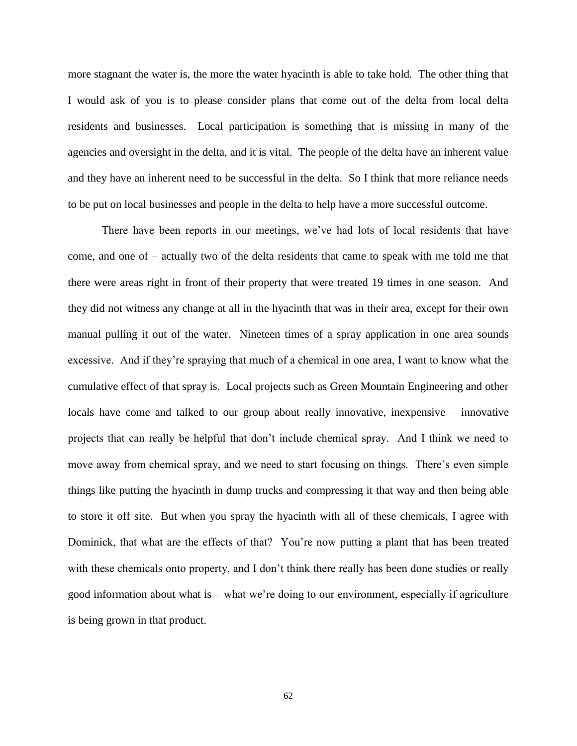more stagnant the water is, the more the water hyacinth is able to take hold. The other thing that I would ask of you is to please consider plans that come out of the delta from local delta residents and businesses. Local participation is something that is missing in many of the agencies and oversight in the delta, and it is vital. The people of the delta have an inherent value and they have an inherent need to be successful in the delta. So I think that more reliance needs to be put on local businesses and people in the delta to help have a more successful outcome.

There have been reports in our meetings, we've had lots of local residents that have come, and one of – actually two of the delta residents that came to speak with me told me that there were areas right in front of their property that were treated 19 times in one season. And they did not witness any change at all in the hyacinth that was in their area, except for their own manual pulling it out of the water. Nineteen times of a spray application in one area sounds excessive. And if they're spraying that much of a chemical in one area, I want to know what the cumulative effect of that spray is. Local projects such as Green Mountain Engineering and other locals have come and talked to our group about really innovative, inexpensive – innovative projects that can really be helpful that don't include chemical spray. And I think we need to move away from chemical spray, and we need to start focusing on things. There's even simple things like putting the hyacinth in dump trucks and compressing it that way and then being able to store it off site. But when you spray the hyacinth with all of these chemicals, I agree with Dominick, that what are the effects of that? You're now putting a plant that has been treated with these chemicals onto property, and I don't think there really has been done studies or really good information about what is – what we're doing to our environment, especially if agriculture is being grown in that product.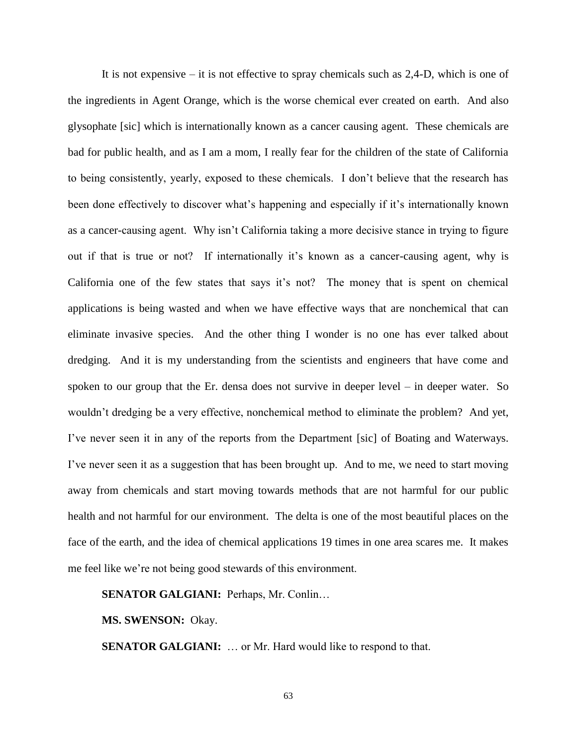It is not expensive – it is not effective to spray chemicals such as  $2.4$ -D, which is one of the ingredients in Agent Orange, which is the worse chemical ever created on earth. And also glysophate [sic] which is internationally known as a cancer causing agent. These chemicals are bad for public health, and as I am a mom, I really fear for the children of the state of California to being consistently, yearly, exposed to these chemicals. I don't believe that the research has been done effectively to discover what's happening and especially if it's internationally known as a cancer-causing agent. Why isn't California taking a more decisive stance in trying to figure out if that is true or not? If internationally it's known as a cancer-causing agent, why is California one of the few states that says it's not? The money that is spent on chemical applications is being wasted and when we have effective ways that are nonchemical that can eliminate invasive species. And the other thing I wonder is no one has ever talked about dredging. And it is my understanding from the scientists and engineers that have come and spoken to our group that the Er. densa does not survive in deeper level – in deeper water. So wouldn't dredging be a very effective, nonchemical method to eliminate the problem? And yet, I've never seen it in any of the reports from the Department [sic] of Boating and Waterways. I've never seen it as a suggestion that has been brought up. And to me, we need to start moving away from chemicals and start moving towards methods that are not harmful for our public health and not harmful for our environment. The delta is one of the most beautiful places on the face of the earth, and the idea of chemical applications 19 times in one area scares me. It makes me feel like we're not being good stewards of this environment.

# **SENATOR GALGIANI:** Perhaps, Mr. Conlin…

**MS. SWENSON:** Okay.

**SENATOR GALGIANI:** ... or Mr. Hard would like to respond to that.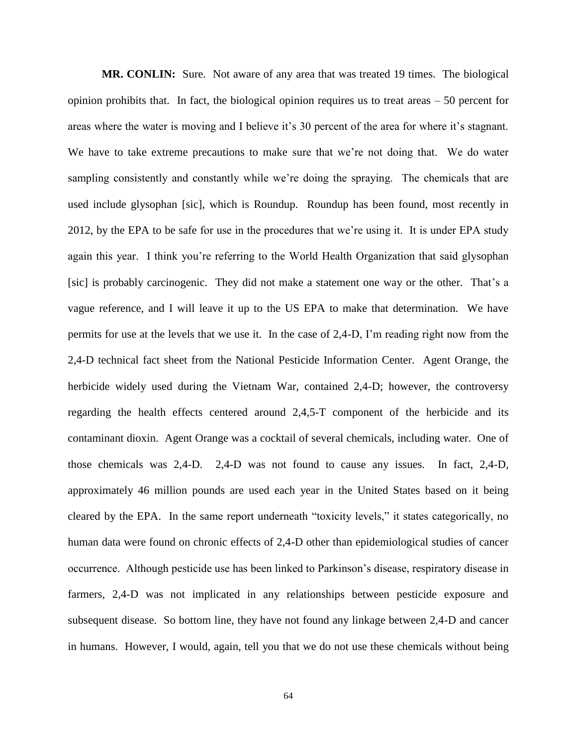**MR. CONLIN:** Sure. Not aware of any area that was treated 19 times. The biological opinion prohibits that. In fact, the biological opinion requires us to treat areas – 50 percent for areas where the water is moving and I believe it's 30 percent of the area for where it's stagnant. We have to take extreme precautions to make sure that we're not doing that. We do water sampling consistently and constantly while we're doing the spraying. The chemicals that are used include glysophan [sic], which is Roundup. Roundup has been found, most recently in 2012, by the EPA to be safe for use in the procedures that we're using it. It is under EPA study again this year. I think you're referring to the World Health Organization that said glysophan [sic] is probably carcinogenic. They did not make a statement one way or the other. That's a vague reference, and I will leave it up to the US EPA to make that determination. We have permits for use at the levels that we use it. In the case of 2,4-D, I'm reading right now from the 2,4-D technical fact sheet from the National Pesticide Information Center. Agent Orange, the herbicide widely used during the Vietnam War, contained 2,4-D; however, the controversy regarding the health effects centered around 2,4,5-T component of the herbicide and its contaminant dioxin. Agent Orange was a cocktail of several chemicals, including water. One of those chemicals was 2,4-D. 2,4-D was not found to cause any issues. In fact, 2,4-D, approximately 46 million pounds are used each year in the United States based on it being cleared by the EPA. In the same report underneath "toxicity levels," it states categorically, no human data were found on chronic effects of 2,4-D other than epidemiological studies of cancer occurrence. Although pesticide use has been linked to Parkinson's disease, respiratory disease in farmers, 2,4-D was not implicated in any relationships between pesticide exposure and subsequent disease. So bottom line, they have not found any linkage between 2,4-D and cancer in humans. However, I would, again, tell you that we do not use these chemicals without being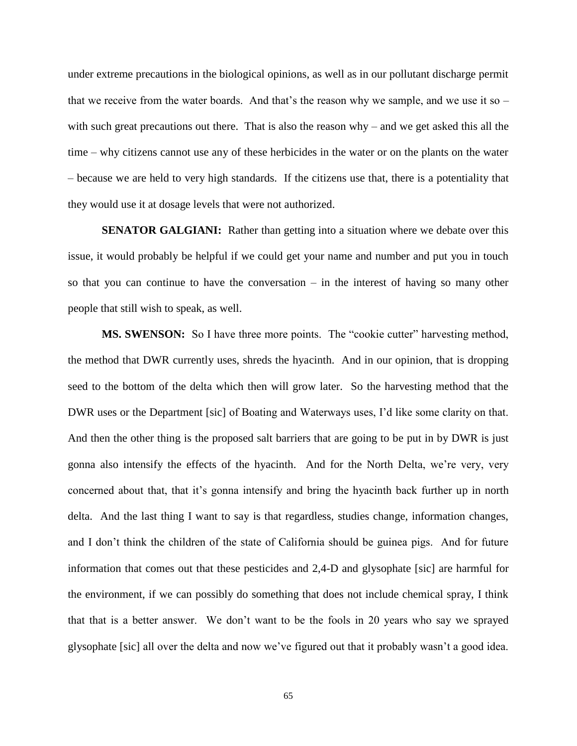under extreme precautions in the biological opinions, as well as in our pollutant discharge permit that we receive from the water boards. And that's the reason why we sample, and we use it so – with such great precautions out there. That is also the reason why – and we get asked this all the time – why citizens cannot use any of these herbicides in the water or on the plants on the water – because we are held to very high standards. If the citizens use that, there is a potentiality that they would use it at dosage levels that were not authorized.

**SENATOR GALGIANI:** Rather than getting into a situation where we debate over this issue, it would probably be helpful if we could get your name and number and put you in touch so that you can continue to have the conversation – in the interest of having so many other people that still wish to speak, as well.

**MS. SWENSON:** So I have three more points. The "cookie cutter" harvesting method, the method that DWR currently uses, shreds the hyacinth. And in our opinion, that is dropping seed to the bottom of the delta which then will grow later. So the harvesting method that the DWR uses or the Department [sic] of Boating and Waterways uses, I'd like some clarity on that. And then the other thing is the proposed salt barriers that are going to be put in by DWR is just gonna also intensify the effects of the hyacinth. And for the North Delta, we're very, very concerned about that, that it's gonna intensify and bring the hyacinth back further up in north delta. And the last thing I want to say is that regardless, studies change, information changes, and I don't think the children of the state of California should be guinea pigs. And for future information that comes out that these pesticides and 2,4-D and glysophate [sic] are harmful for the environment, if we can possibly do something that does not include chemical spray, I think that that is a better answer. We don't want to be the fools in 20 years who say we sprayed glysophate [sic] all over the delta and now we've figured out that it probably wasn't a good idea.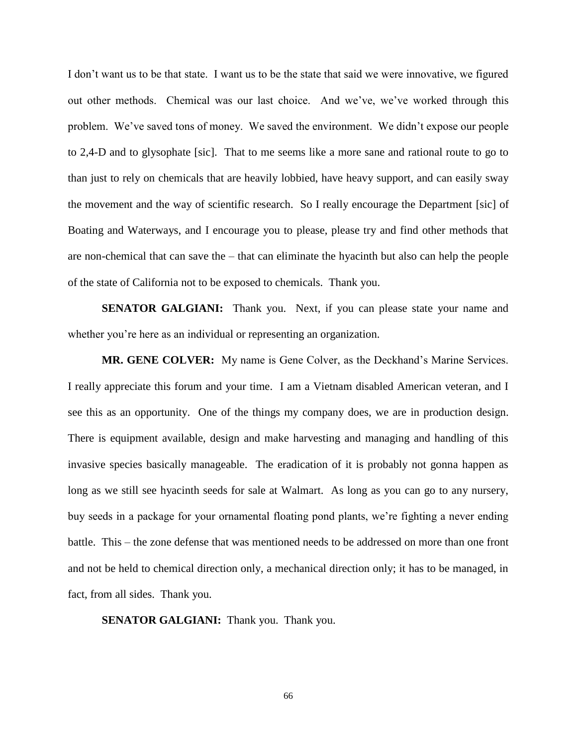I don't want us to be that state. I want us to be the state that said we were innovative, we figured out other methods. Chemical was our last choice. And we've, we've worked through this problem. We've saved tons of money. We saved the environment. We didn't expose our people to 2,4-D and to glysophate [sic]. That to me seems like a more sane and rational route to go to than just to rely on chemicals that are heavily lobbied, have heavy support, and can easily sway the movement and the way of scientific research. So I really encourage the Department [sic] of Boating and Waterways, and I encourage you to please, please try and find other methods that are non-chemical that can save the – that can eliminate the hyacinth but also can help the people of the state of California not to be exposed to chemicals. Thank you.

**SENATOR GALGIANI:** Thank you. Next, if you can please state your name and whether you're here as an individual or representing an organization.

**MR. GENE COLVER:** My name is Gene Colver, as the Deckhand's Marine Services. I really appreciate this forum and your time. I am a Vietnam disabled American veteran, and I see this as an opportunity. One of the things my company does, we are in production design. There is equipment available, design and make harvesting and managing and handling of this invasive species basically manageable. The eradication of it is probably not gonna happen as long as we still see hyacinth seeds for sale at Walmart. As long as you can go to any nursery, buy seeds in a package for your ornamental floating pond plants, we're fighting a never ending battle. This – the zone defense that was mentioned needs to be addressed on more than one front and not be held to chemical direction only, a mechanical direction only; it has to be managed, in fact, from all sides. Thank you.

**SENATOR GALGIANI:** Thank you. Thank you.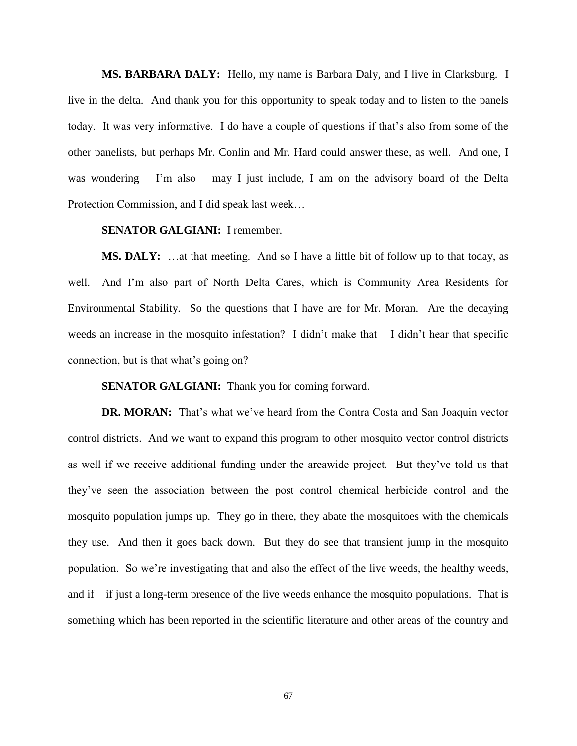**MS. BARBARA DALY:** Hello, my name is Barbara Daly, and I live in Clarksburg. I live in the delta. And thank you for this opportunity to speak today and to listen to the panels today. It was very informative. I do have a couple of questions if that's also from some of the other panelists, but perhaps Mr. Conlin and Mr. Hard could answer these, as well. And one, I was wondering – I'm also – may I just include, I am on the advisory board of the Delta Protection Commission, and I did speak last week…

### **SENATOR GALGIANI:** I remember.

**MS. DALY:** …at that meeting. And so I have a little bit of follow up to that today, as well. And I'm also part of North Delta Cares, which is Community Area Residents for Environmental Stability. So the questions that I have are for Mr. Moran. Are the decaying weeds an increase in the mosquito infestation? I didn't make that  $-$  I didn't hear that specific connection, but is that what's going on?

**SENATOR GALGIANI:** Thank you for coming forward.

**DR. MORAN:** That's what we've heard from the Contra Costa and San Joaquin vector control districts. And we want to expand this program to other mosquito vector control districts as well if we receive additional funding under the areawide project. But they've told us that they've seen the association between the post control chemical herbicide control and the mosquito population jumps up. They go in there, they abate the mosquitoes with the chemicals they use. And then it goes back down. But they do see that transient jump in the mosquito population. So we're investigating that and also the effect of the live weeds, the healthy weeds, and if  $-$  if just a long-term presence of the live weeds enhance the mosquito populations. That is something which has been reported in the scientific literature and other areas of the country and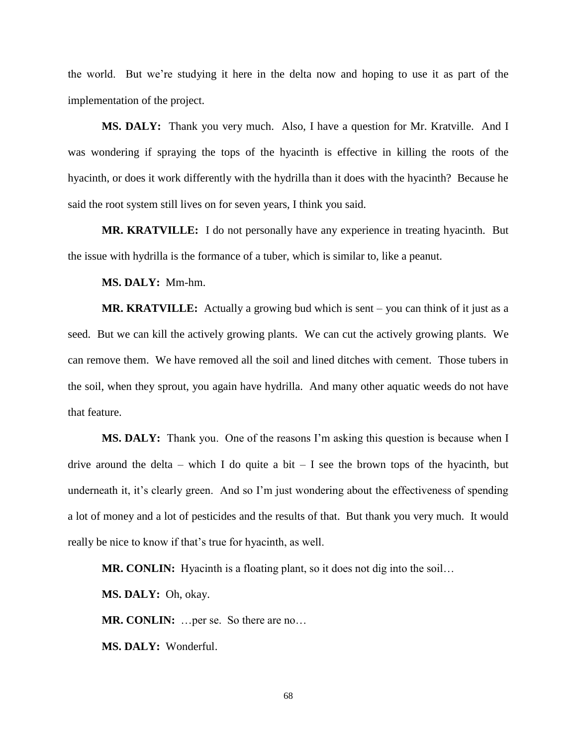the world. But we're studying it here in the delta now and hoping to use it as part of the implementation of the project.

**MS. DALY:** Thank you very much. Also, I have a question for Mr. Kratville. And I was wondering if spraying the tops of the hyacinth is effective in killing the roots of the hyacinth, or does it work differently with the hydrilla than it does with the hyacinth? Because he said the root system still lives on for seven years, I think you said.

**MR. KRATVILLE:** I do not personally have any experience in treating hyacinth. But the issue with hydrilla is the formance of a tuber, which is similar to, like a peanut.

**MS. DALY:** Mm-hm.

**MR. KRATVILLE:** Actually a growing bud which is sent – you can think of it just as a seed. But we can kill the actively growing plants. We can cut the actively growing plants. We can remove them. We have removed all the soil and lined ditches with cement. Those tubers in the soil, when they sprout, you again have hydrilla. And many other aquatic weeds do not have that feature.

**MS. DALY:** Thank you. One of the reasons I'm asking this question is because when I drive around the delta – which I do quite a bit – I see the brown tops of the hyacinth, but underneath it, it's clearly green. And so I'm just wondering about the effectiveness of spending a lot of money and a lot of pesticides and the results of that. But thank you very much. It would really be nice to know if that's true for hyacinth, as well.

**MR. CONLIN:** Hyacinth is a floating plant, so it does not dig into the soil...

**MS. DALY:** Oh, okay.

**MR. CONLIN:** …per se. So there are no…

**MS. DALY:** Wonderful.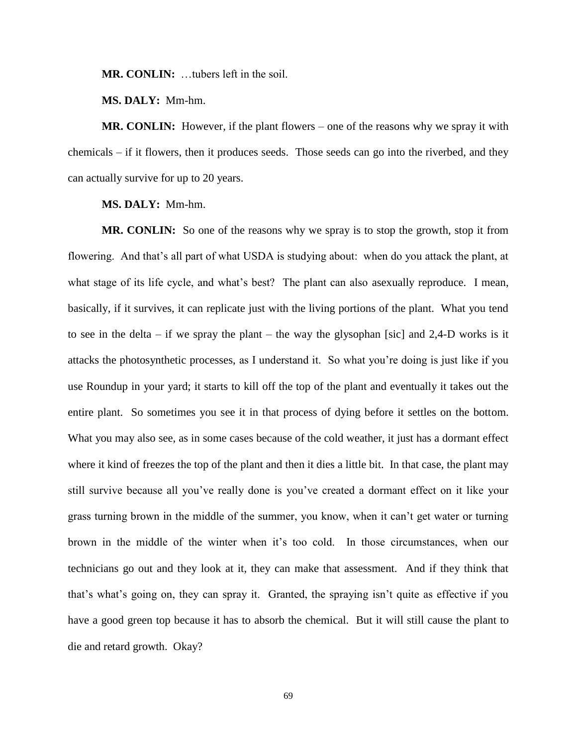**MR. CONLIN:** …tubers left in the soil.

**MS. DALY:** Mm-hm.

**MR. CONLIN:** However, if the plant flowers – one of the reasons why we spray it with chemicals – if it flowers, then it produces seeds. Those seeds can go into the riverbed, and they can actually survive for up to 20 years.

**MS. DALY:** Mm-hm.

**MR. CONLIN:** So one of the reasons why we spray is to stop the growth, stop it from flowering. And that's all part of what USDA is studying about: when do you attack the plant, at what stage of its life cycle, and what's best? The plant can also asexually reproduce. I mean, basically, if it survives, it can replicate just with the living portions of the plant. What you tend to see in the delta – if we spray the plant – the way the glysophan [sic] and  $2,4$ -D works is it attacks the photosynthetic processes, as I understand it. So what you're doing is just like if you use Roundup in your yard; it starts to kill off the top of the plant and eventually it takes out the entire plant. So sometimes you see it in that process of dying before it settles on the bottom. What you may also see, as in some cases because of the cold weather, it just has a dormant effect where it kind of freezes the top of the plant and then it dies a little bit. In that case, the plant may still survive because all you've really done is you've created a dormant effect on it like your grass turning brown in the middle of the summer, you know, when it can't get water or turning brown in the middle of the winter when it's too cold. In those circumstances, when our technicians go out and they look at it, they can make that assessment. And if they think that that's what's going on, they can spray it. Granted, the spraying isn't quite as effective if you have a good green top because it has to absorb the chemical. But it will still cause the plant to die and retard growth. Okay?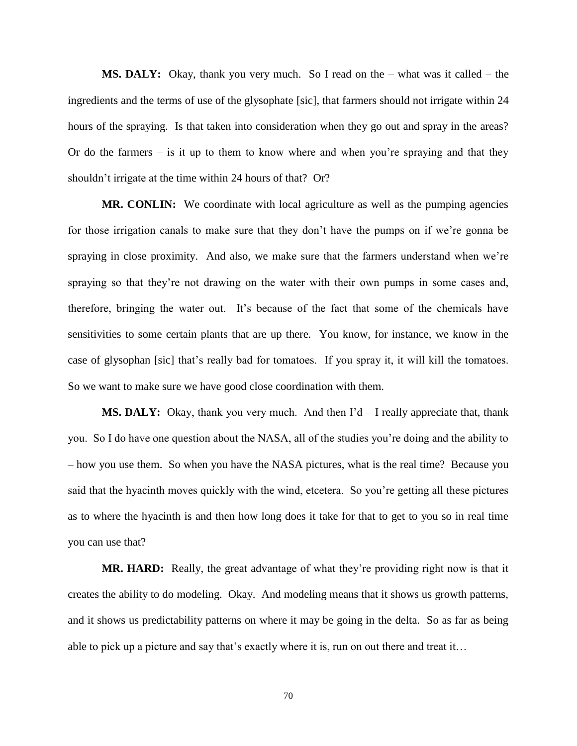**MS. DALY:** Okay, thank you very much. So I read on the – what was it called – the ingredients and the terms of use of the glysophate [sic], that farmers should not irrigate within 24 hours of the spraying. Is that taken into consideration when they go out and spray in the areas? Or do the farmers  $-$  is it up to them to know where and when you're spraying and that they shouldn't irrigate at the time within 24 hours of that? Or?

**MR. CONLIN:** We coordinate with local agriculture as well as the pumping agencies for those irrigation canals to make sure that they don't have the pumps on if we're gonna be spraying in close proximity. And also, we make sure that the farmers understand when we're spraying so that they're not drawing on the water with their own pumps in some cases and, therefore, bringing the water out. It's because of the fact that some of the chemicals have sensitivities to some certain plants that are up there. You know, for instance, we know in the case of glysophan [sic] that's really bad for tomatoes. If you spray it, it will kill the tomatoes. So we want to make sure we have good close coordination with them.

**MS. DALY:** Okay, thank you very much. And then I'd – I really appreciate that, thank you. So I do have one question about the NASA, all of the studies you're doing and the ability to – how you use them. So when you have the NASA pictures, what is the real time? Because you said that the hyacinth moves quickly with the wind, etcetera. So you're getting all these pictures as to where the hyacinth is and then how long does it take for that to get to you so in real time you can use that?

**MR. HARD:** Really, the great advantage of what they're providing right now is that it creates the ability to do modeling. Okay. And modeling means that it shows us growth patterns, and it shows us predictability patterns on where it may be going in the delta. So as far as being able to pick up a picture and say that's exactly where it is, run on out there and treat it…

70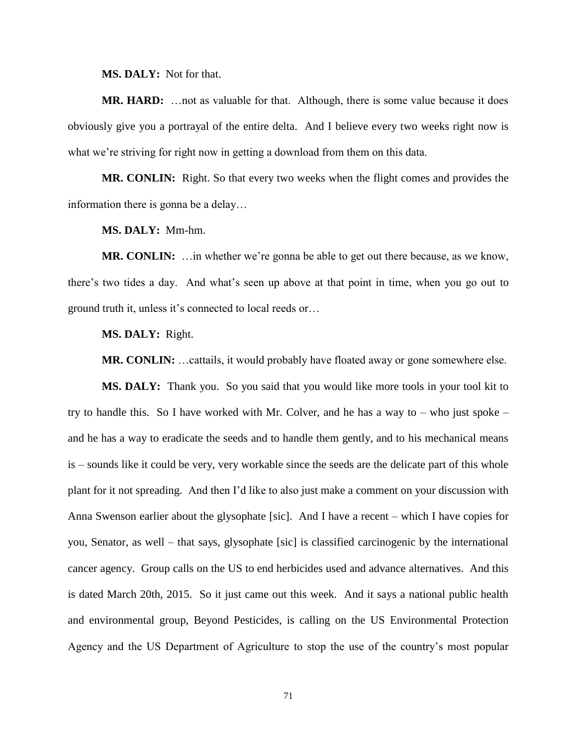**MS. DALY:** Not for that.

**MR. HARD:** …not as valuable for that. Although, there is some value because it does obviously give you a portrayal of the entire delta. And I believe every two weeks right now is what we're striving for right now in getting a download from them on this data.

**MR. CONLIN:** Right. So that every two weeks when the flight comes and provides the information there is gonna be a delay…

**MS. DALY:** Mm-hm.

**MR. CONLIN:** …in whether we're gonna be able to get out there because, as we know, there's two tides a day. And what's seen up above at that point in time, when you go out to ground truth it, unless it's connected to local reeds or…

**MS. DALY:** Right.

**MR. CONLIN:** …cattails, it would probably have floated away or gone somewhere else.

**MS. DALY:** Thank you. So you said that you would like more tools in your tool kit to try to handle this. So I have worked with Mr. Colver, and he has a way to  $-$  who just spoke  $$ and he has a way to eradicate the seeds and to handle them gently, and to his mechanical means is – sounds like it could be very, very workable since the seeds are the delicate part of this whole plant for it not spreading. And then I'd like to also just make a comment on your discussion with Anna Swenson earlier about the glysophate [sic]. And I have a recent – which I have copies for you, Senator, as well – that says, glysophate [sic] is classified carcinogenic by the international cancer agency. Group calls on the US to end herbicides used and advance alternatives. And this is dated March 20th, 2015. So it just came out this week. And it says a national public health and environmental group, Beyond Pesticides, is calling on the US Environmental Protection Agency and the US Department of Agriculture to stop the use of the country's most popular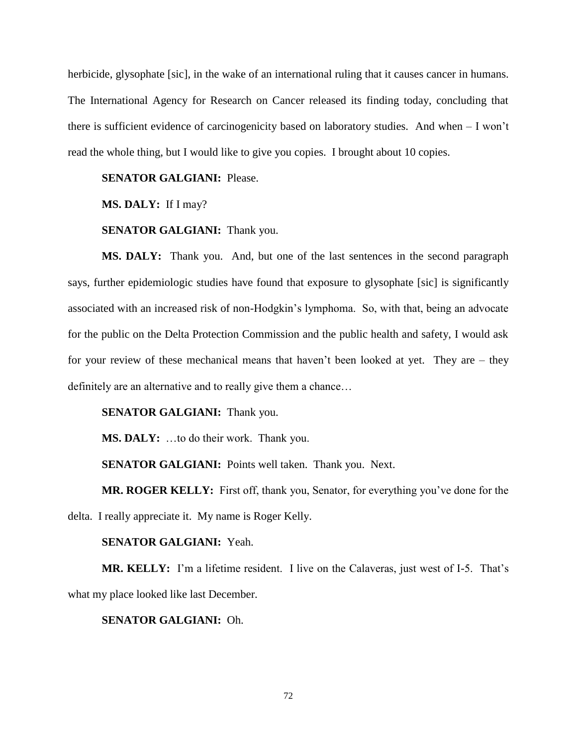herbicide, glysophate [sic], in the wake of an international ruling that it causes cancer in humans. The International Agency for Research on Cancer released its finding today, concluding that there is sufficient evidence of carcinogenicity based on laboratory studies. And when – I won't read the whole thing, but I would like to give you copies. I brought about 10 copies.

# **SENATOR GALGIANI:** Please.

**MS. DALY:** If I may?

## **SENATOR GALGIANI:** Thank you.

**MS. DALY:** Thank you. And, but one of the last sentences in the second paragraph says, further epidemiologic studies have found that exposure to glysophate [sic] is significantly associated with an increased risk of non-Hodgkin's lymphoma. So, with that, being an advocate for the public on the Delta Protection Commission and the public health and safety, I would ask for your review of these mechanical means that haven't been looked at yet. They are – they definitely are an alternative and to really give them a chance…

## **SENATOR GALGIANI:** Thank you.

**MS. DALY:** …to do their work. Thank you.

**SENATOR GALGIANI:** Points well taken. Thank you. Next.

**MR. ROGER KELLY:** First off, thank you, Senator, for everything you've done for the delta. I really appreciate it. My name is Roger Kelly.

### **SENATOR GALGIANI:** Yeah.

**MR. KELLY:** I'm a lifetime resident. I live on the Calaveras, just west of I-5. That's what my place looked like last December.

## **SENATOR GALGIANI:** Oh.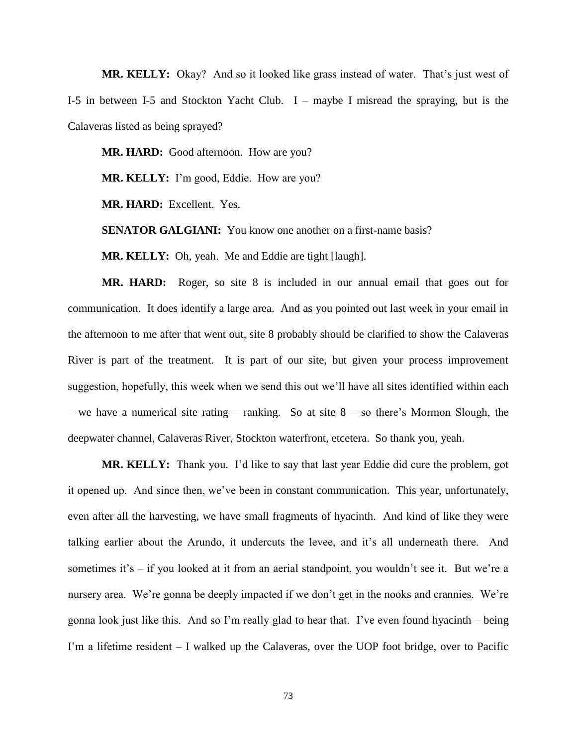**MR. KELLY:** Okay? And so it looked like grass instead of water. That's just west of I-5 in between I-5 and Stockton Yacht Club. I – maybe I misread the spraying, but is the Calaveras listed as being sprayed?

MR. HARD: Good afternoon. How are you?

**MR. KELLY:** I'm good, Eddie. How are you?

**MR. HARD:** Excellent. Yes.

**SENATOR GALGIANI:** You know one another on a first-name basis?

**MR. KELLY:** Oh, yeah. Me and Eddie are tight [laugh].

**MR. HARD:** Roger, so site 8 is included in our annual email that goes out for communication. It does identify a large area. And as you pointed out last week in your email in the afternoon to me after that went out, site 8 probably should be clarified to show the Calaveras River is part of the treatment. It is part of our site, but given your process improvement suggestion, hopefully, this week when we send this out we'll have all sites identified within each – we have a numerical site rating – ranking. So at site  $8 -$  so there's Mormon Slough, the deepwater channel, Calaveras River, Stockton waterfront, etcetera. So thank you, yeah.

**MR. KELLY:** Thank you. I'd like to say that last year Eddie did cure the problem, got it opened up. And since then, we've been in constant communication. This year, unfortunately, even after all the harvesting, we have small fragments of hyacinth. And kind of like they were talking earlier about the Arundo, it undercuts the levee, and it's all underneath there. And sometimes it's – if you looked at it from an aerial standpoint, you wouldn't see it. But we're a nursery area. We're gonna be deeply impacted if we don't get in the nooks and crannies. We're gonna look just like this. And so I'm really glad to hear that. I've even found hyacinth – being I'm a lifetime resident – I walked up the Calaveras, over the UOP foot bridge, over to Pacific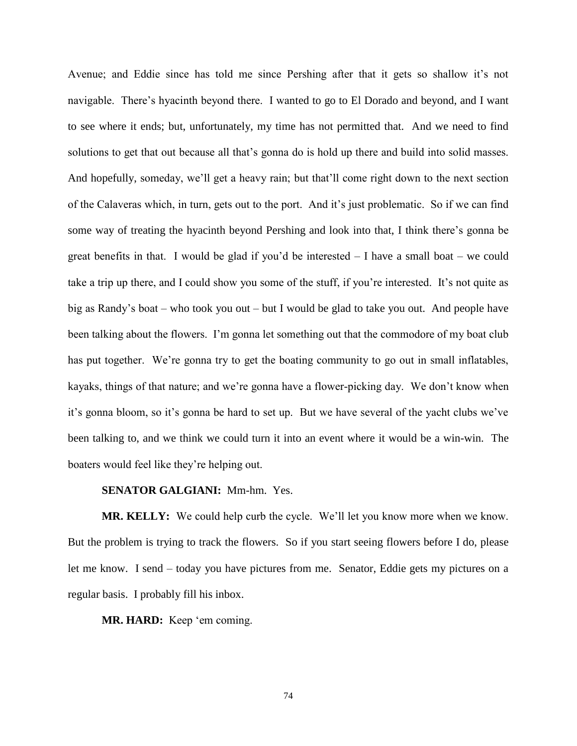Avenue; and Eddie since has told me since Pershing after that it gets so shallow it's not navigable. There's hyacinth beyond there. I wanted to go to El Dorado and beyond, and I want to see where it ends; but, unfortunately, my time has not permitted that. And we need to find solutions to get that out because all that's gonna do is hold up there and build into solid masses. And hopefully, someday, we'll get a heavy rain; but that'll come right down to the next section of the Calaveras which, in turn, gets out to the port. And it's just problematic. So if we can find some way of treating the hyacinth beyond Pershing and look into that, I think there's gonna be great benefits in that. I would be glad if you'd be interested  $-$  I have a small boat  $-$  we could take a trip up there, and I could show you some of the stuff, if you're interested. It's not quite as big as Randy's boat – who took you out – but I would be glad to take you out. And people have been talking about the flowers. I'm gonna let something out that the commodore of my boat club has put together. We're gonna try to get the boating community to go out in small inflatables, kayaks, things of that nature; and we're gonna have a flower-picking day. We don't know when it's gonna bloom, so it's gonna be hard to set up. But we have several of the yacht clubs we've been talking to, and we think we could turn it into an event where it would be a win-win. The boaters would feel like they're helping out.

## **SENATOR GALGIANI:** Mm-hm. Yes.

**MR. KELLY:** We could help curb the cycle. We'll let you know more when we know. But the problem is trying to track the flowers. So if you start seeing flowers before I do, please let me know. I send – today you have pictures from me. Senator, Eddie gets my pictures on a regular basis. I probably fill his inbox.

**MR. HARD:** Keep 'em coming.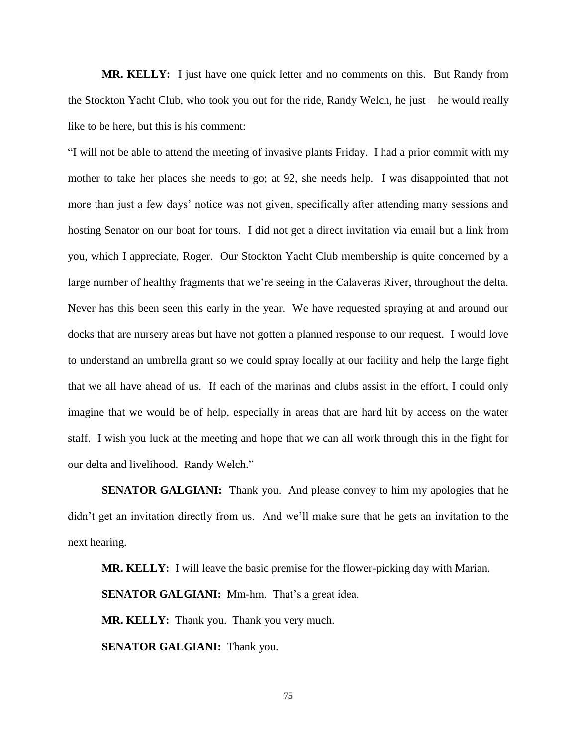**MR. KELLY:** I just have one quick letter and no comments on this. But Randy from the Stockton Yacht Club, who took you out for the ride, Randy Welch, he just – he would really like to be here, but this is his comment:

"I will not be able to attend the meeting of invasive plants Friday. I had a prior commit with my mother to take her places she needs to go; at 92, she needs help. I was disappointed that not more than just a few days' notice was not given, specifically after attending many sessions and hosting Senator on our boat for tours. I did not get a direct invitation via email but a link from you, which I appreciate, Roger. Our Stockton Yacht Club membership is quite concerned by a large number of healthy fragments that we're seeing in the Calaveras River, throughout the delta. Never has this been seen this early in the year. We have requested spraying at and around our docks that are nursery areas but have not gotten a planned response to our request. I would love to understand an umbrella grant so we could spray locally at our facility and help the large fight that we all have ahead of us. If each of the marinas and clubs assist in the effort, I could only imagine that we would be of help, especially in areas that are hard hit by access on the water staff. I wish you luck at the meeting and hope that we can all work through this in the fight for our delta and livelihood. Randy Welch."

**SENATOR GALGIANI:** Thank you. And please convey to him my apologies that he didn't get an invitation directly from us. And we'll make sure that he gets an invitation to the next hearing.

**MR. KELLY:** I will leave the basic premise for the flower-picking day with Marian. **SENATOR GALGIANI:** Mm-hm. That's a great idea. **MR. KELLY:** Thank you. Thank you very much. **SENATOR GALGIANI:** Thank you.

75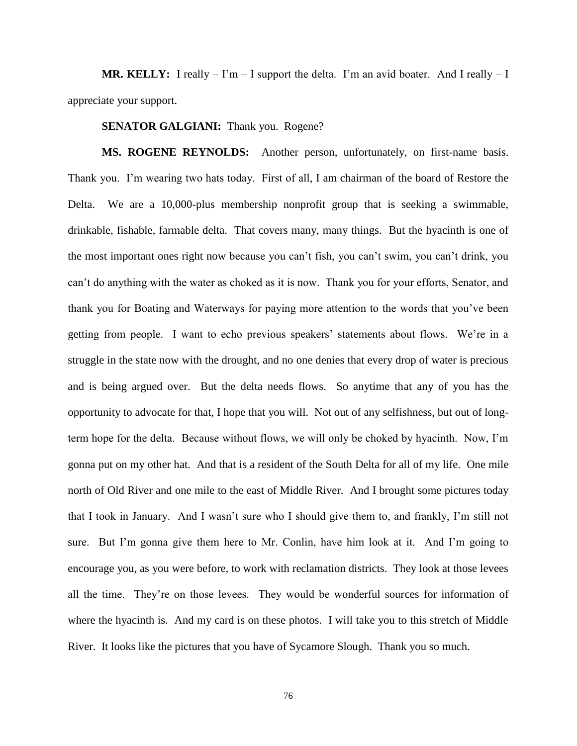**MR. KELLY:** I really  $-1$ 'm  $-1$  support the delta. I'm an avid boater. And I really  $-1$ appreciate your support.

**SENATOR GALGIANI:** Thank you. Rogene?

**MS. ROGENE REYNOLDS:** Another person, unfortunately, on first-name basis. Thank you. I'm wearing two hats today. First of all, I am chairman of the board of Restore the Delta. We are a 10,000-plus membership nonprofit group that is seeking a swimmable, drinkable, fishable, farmable delta. That covers many, many things. But the hyacinth is one of the most important ones right now because you can't fish, you can't swim, you can't drink, you can't do anything with the water as choked as it is now. Thank you for your efforts, Senator, and thank you for Boating and Waterways for paying more attention to the words that you've been getting from people. I want to echo previous speakers' statements about flows. We're in a struggle in the state now with the drought, and no one denies that every drop of water is precious and is being argued over. But the delta needs flows. So anytime that any of you has the opportunity to advocate for that, I hope that you will. Not out of any selfishness, but out of longterm hope for the delta. Because without flows, we will only be choked by hyacinth. Now, I'm gonna put on my other hat. And that is a resident of the South Delta for all of my life. One mile north of Old River and one mile to the east of Middle River. And I brought some pictures today that I took in January. And I wasn't sure who I should give them to, and frankly, I'm still not sure. But I'm gonna give them here to Mr. Conlin, have him look at it. And I'm going to encourage you, as you were before, to work with reclamation districts. They look at those levees all the time. They're on those levees. They would be wonderful sources for information of where the hyacinth is. And my card is on these photos. I will take you to this stretch of Middle River. It looks like the pictures that you have of Sycamore Slough. Thank you so much.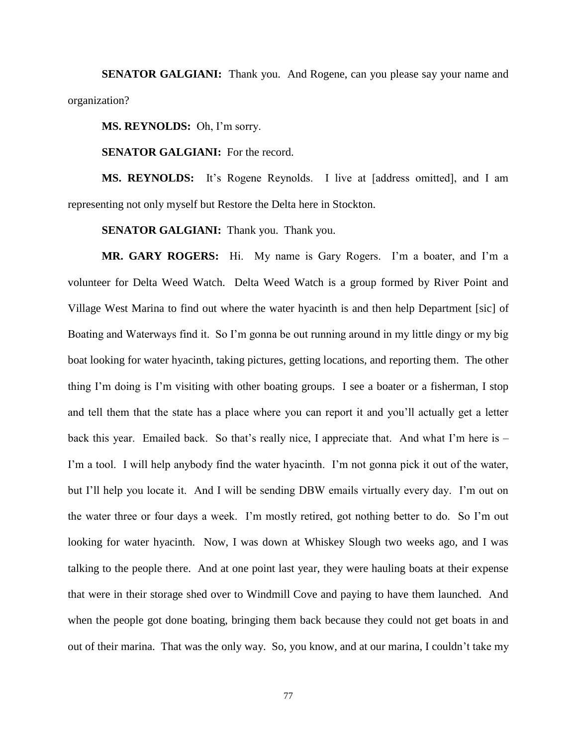**SENATOR GALGIANI:** Thank you. And Rogene, can you please say your name and organization?

**MS. REYNOLDS:** Oh, I'm sorry.

**SENATOR GALGIANI:** For the record.

**MS. REYNOLDS:** It's Rogene Reynolds. I live at [address omitted], and I am representing not only myself but Restore the Delta here in Stockton.

**SENATOR GALGIANI:** Thank you. Thank you.

**MR. GARY ROGERS:** Hi. My name is Gary Rogers. I'm a boater, and I'm a volunteer for Delta Weed Watch. Delta Weed Watch is a group formed by River Point and Village West Marina to find out where the water hyacinth is and then help Department [sic] of Boating and Waterways find it. So I'm gonna be out running around in my little dingy or my big boat looking for water hyacinth, taking pictures, getting locations, and reporting them. The other thing I'm doing is I'm visiting with other boating groups. I see a boater or a fisherman, I stop and tell them that the state has a place where you can report it and you'll actually get a letter back this year. Emailed back. So that's really nice, I appreciate that. And what I'm here is – I'm a tool. I will help anybody find the water hyacinth. I'm not gonna pick it out of the water, but I'll help you locate it. And I will be sending DBW emails virtually every day. I'm out on the water three or four days a week. I'm mostly retired, got nothing better to do. So I'm out looking for water hyacinth. Now, I was down at Whiskey Slough two weeks ago, and I was talking to the people there. And at one point last year, they were hauling boats at their expense that were in their storage shed over to Windmill Cove and paying to have them launched. And when the people got done boating, bringing them back because they could not get boats in and out of their marina. That was the only way. So, you know, and at our marina, I couldn't take my